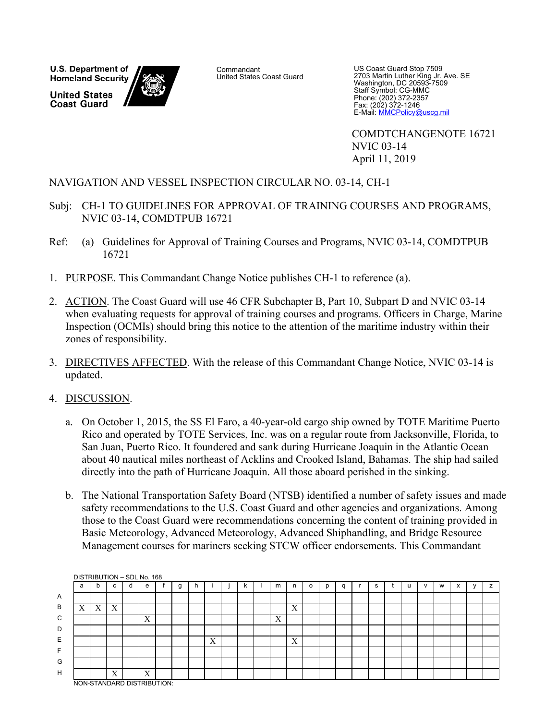U.S. Department of **Homeland Security United States Coast Guard** 

**Commandant** United States Coast Guard

US Coast Guard Stop 7509 2703 Martin Luther King Jr. Ave. SE Washington, DC 20593-7509 Staff Symbol: CG-MMC Phone: (202) 372-2357 Fax: (202) 372-1246 E-Mail: MMCPolicy@uscg.mil

COMDTCHANGENOTE 16721 NVIC 03-14 April 11, 2019

### NAVIGATION AND VESSEL INSPECTION CIRCULAR NO. 03-14, CH-1

- Subj: CH-1 TO GUIDELINES FOR APPROVAL OF TRAINING COURSES AND PROGRAMS, NVIC 03-14, COMDTPUB 16721
- Ref: (a) Guidelines for Approval of Training Courses and Programs, NVIC 03-14, COMDTPUB 16721
- 1. PURPOSE. This Commandant Change Notice publishes CH-1 to reference (a).
- 2. ACTION. The Coast Guard will use 46 CFR Subchapter B, Part 10, Subpart D and NVIC 03-14 when evaluating requests for approval of training courses and programs. Officers in Charge, Marine Inspection (OCMIs) should bring this notice to the attention of the maritime industry within their zones of responsibility.
- 3. DIRECTIVES AFFECTED. With the release of this Commandant Change Notice, NVIC 03-14 is updated.
- 4. DISCUSSION.
	- a. On October 1, 2015, the SS El Faro, a 40-year-old cargo ship owned by TOTE Maritime Puerto Rico and operated by TOTE Services, Inc. was on a regular route from Jacksonville, Florida, to San Juan, Puerto Rico. It foundered and sank during Hurricane Joaquin in the Atlantic Ocean about 40 nautical miles northeast of Acklins and Crooked Island, Bahamas. The ship had sailed directly into the path of Hurricane Joaquin. All those aboard perished in the sinking.
	- b. The National Transportation Safety Board (NTSB) identified a number of safety issues and made safety recommendations to the U.S. Coast Guard and other agencies and organizations. Among those to the Coast Guard were recommendations concerning the content of training provided in Basic Meteorology, Advanced Meteorology, Advanced Shiphandling, and Bridge Resource Management courses for mariners seeking STCW officer endorsements. This Commandant

|   | DISTRIBUTION - SDL No. 168 |                           |                           |   |                  |   |   |   |   |   |   |          |   |   |   |   |              |   |                                   |   |
|---|----------------------------|---------------------------|---------------------------|---|------------------|---|---|---|---|---|---|----------|---|---|---|---|--------------|---|-----------------------------------|---|
|   | a                          |                           | c.                        | d | e                | g | r |   | ĸ | m | n | $\Omega$ | p | q | s | u | $\mathsf{v}$ | W | $\ddot{\phantom{1}}$<br>$\lambda$ | z |
| Α |                            |                           |                           |   |                  |   |   |   |   |   |   |          |   |   |   |   |              |   |                                   |   |
| B | X                          | $\mathbf{x}$<br>$\Lambda$ | $\mathbf{v}$<br>$\Lambda$ |   |                  |   |   |   |   |   | X |          |   |   |   |   |              |   |                                   |   |
| C |                            |                           |                           |   | $\mathbf v$<br>A |   |   |   |   | X |   |          |   |   |   |   |              |   |                                   |   |
| D |                            |                           |                           |   |                  |   |   |   |   |   |   |          |   |   |   |   |              |   |                                   |   |
| E |                            |                           |                           |   |                  |   |   | X |   |   | X |          |   |   |   |   |              |   |                                   |   |
| F |                            |                           |                           |   |                  |   |   |   |   |   |   |          |   |   |   |   |              |   |                                   |   |
| G |                            |                           |                           |   |                  |   |   |   |   |   |   |          |   |   |   |   |              |   |                                   |   |
| H |                            |                           | X                         |   | X                |   |   |   |   |   |   |          |   |   |   |   |              |   |                                   |   |
|   | NON-STANDARD DISTRIBUTION: |                           |                           |   |                  |   |   |   |   |   |   |          |   |   |   |   |              |   |                                   |   |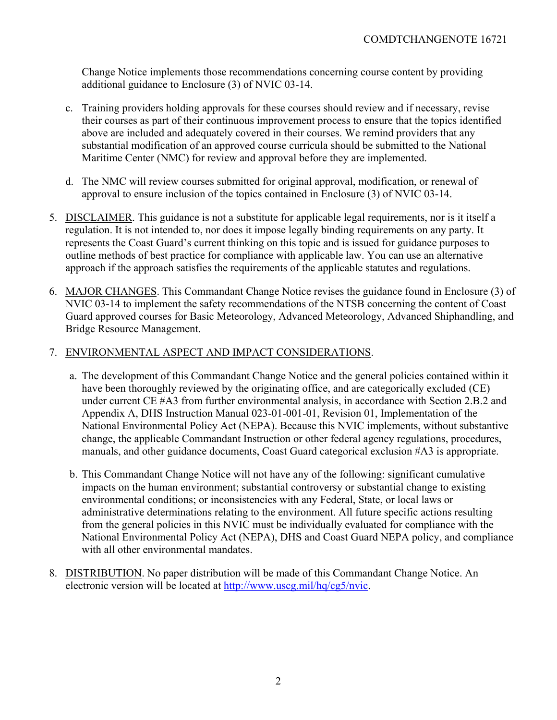Change Notice implements those recommendations concerning course content by providing additional guidance to Enclosure (3) of NVIC 03-14.

- c. Training providers holding approvals for these courses should review and if necessary, revise their courses as part of their continuous improvement process to ensure that the topics identified above are included and adequately covered in their courses. We remind providers that any substantial modification of an approved course curricula should be submitted to the National Maritime Center (NMC) for review and approval before they are implemented.
- d. The NMC will review courses submitted for original approval, modification, or renewal of approval to ensure inclusion of the topics contained in Enclosure (3) of NVIC 03-14.
- 5. DISCLAIMER. This guidance is not a substitute for applicable legal requirements, nor is it itself a regulation. It is not intended to, nor does it impose legally binding requirements on any party. It represents the Coast Guard's current thinking on this topic and is issued for guidance purposes to outline methods of best practice for compliance with applicable law. You can use an alternative approach if the approach satisfies the requirements of the applicable statutes and regulations.
- 6. MAJOR CHANGES. This Commandant Change Notice revises the guidance found in Enclosure (3) of NVIC 03-14 to implement the safety recommendations of the NTSB concerning the content of Coast Guard approved courses for Basic Meteorology, Advanced Meteorology, Advanced Shiphandling, and Bridge Resource Management.

### 7. ENVIRONMENTAL ASPECT AND IMPACT CONSIDERATIONS.

- a. The development of this Commandant Change Notice and the general policies contained within it have been thoroughly reviewed by the originating office, and are categorically excluded (CE) under current CE #A3 from further environmental analysis, in accordance with Section 2.B.2 and Appendix A, DHS Instruction Manual 023-01-001-01, Revision 01, Implementation of the National Environmental Policy Act (NEPA). Because this NVIC implements, without substantive change, the applicable Commandant Instruction or other federal agency regulations, procedures, manuals, and other guidance documents, Coast Guard categorical exclusion #A3 is appropriate.
- b. This Commandant Change Notice will not have any of the following: significant cumulative impacts on the human environment; substantial controversy or substantial change to existing environmental conditions; or inconsistencies with any Federal, State, or local laws or administrative determinations relating to the environment. All future specific actions resulting from the general policies in this NVIC must be individually evaluated for compliance with the National Environmental Policy Act (NEPA), DHS and Coast Guard NEPA policy, and compliance with all other environmental mandates.
- 8. DISTRIBUTION. No paper distribution will be made of this Commandant Change Notice. An electronic version will be located at http://www.uscg.mil/hq/cg5/nvic.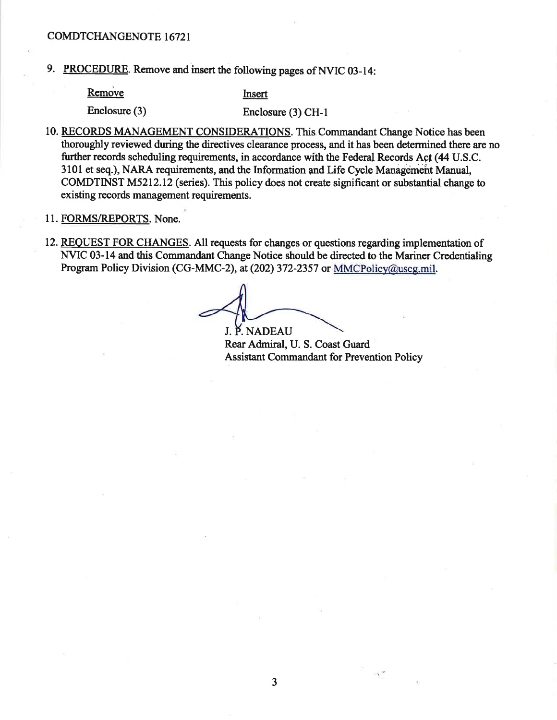9. PROCEDURE. Remove and insert the following pages of NVIC 03-14:

Remove

Insert

Enclosure (3)

Enclosure (3) CH-1

- 10. RECORDS MANAGEMENT CONSIDERATIONS. This Commandant Change Notice has been thoroughly reviewed during the directives clearance process, and it has been determined there are no further records scheduling requirements, in accordance with the Federal Records Act (44 U.S.C. 3101 et seq.), NARA requirements, and the Information and Life Cycle Management Manual, COMDTINST M5212.12 (series). This policy does not create significant or substantial change to existing records management requirements.
- 11. FORMS/REPORTS. None.
- 12. REQUEST FOR CHANGES. All requests for changes or questions regarding implementation of NVIC 03-14 and this Commandant Change Notice should be directed to the Mariner Credentialing Program Policy Division (CG-MMC-2), at (202) 372-2357 or MMCPolicy@uscg.mil.

J. P. NADEAU Rear Admiral, U. S. Coast Guard **Assistant Commandant for Prevention Policy** 

 $\mathcal{L}_{\mathrm{R}}$  .  $\mathcal{M}$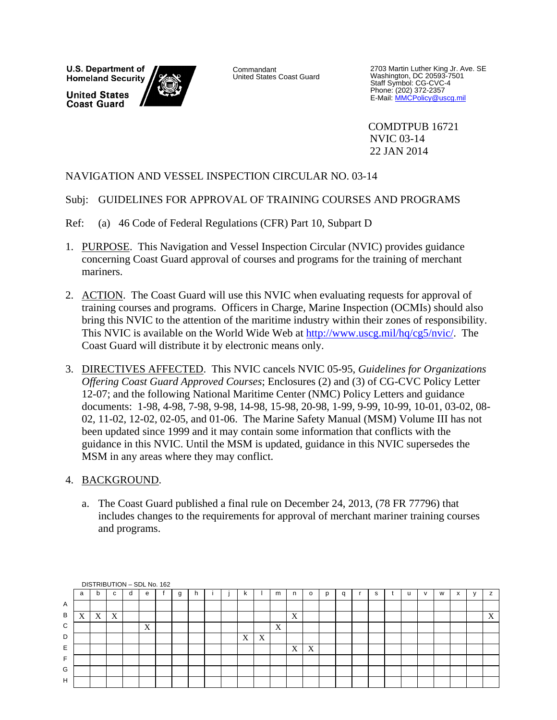U.S. Department of **Homeland Security United States Coast Guard** 



Commandant United States Coast Guard

2703 Martin Luther King Jr. Ave. SE Washington, DC 20593-7501 Staff Symbol: CG-CVC-4 Phone: (202) 372-2357<br>E-Mail: <u>MMCPolicy@uscg.mil</u>

COMDTPUB 16721 NVIC 03-14 22 JAN 2014

### NAVIGATION AND VESSEL INSPECTION CIRCULAR NO. 03-14

### Subj: GUIDELINES FOR APPROVAL OF TRAINING COURSES AND PROGRAMS

Ref: (a) 46 Code of Federal Regulations (CFR) Part 10, Subpart D

- 1. PURPOSE. This Navigation and Vessel Inspection Circular (NVIC) provides guidance concerning Coast Guard approval of courses and programs for the training of merchant mariners.
- 2. ACTION. The Coast Guard will use this NVIC when evaluating requests for approval of training courses and programs. Officers in Charge, Marine Inspection (OCMIs) should also bring this NVIC to the attention of the maritime industry within their zones of responsibility. This NVIC is available on the World Wide Web at http://www.uscg.mil/hq/cg5/nvic/. The Coast Guard will distribute it by electronic means only.
- 3. DIRECTIVES AFFECTED. This NVIC cancels NVIC 05-95, *Guidelines for Organizations Offering Coast Guard Approved Courses*; Enclosures (2) and (3) of CG-CVC Policy Letter 12-07; and the following National Maritime Center (NMC) Policy Letters and guidance documents: 1-98, 4-98, 7-98, 9-98, 14-98, 15-98, 20-98, 1-99, 9-99, 10-99, 10-01, 03-02, 08- 02, 11-02, 12-02, 02-05, and 01-06. The Marine Safety Manual (MSM) Volume III has not been updated since 1999 and it may contain some information that conflicts with the guidance in this NVIC. Until the MSM is updated, guidance in this NVIC supersedes the MSM in any areas where they may conflict.

### 4. BACKGROUND.

a. The Coast Guard published a final rule on December 24, 2013, (78 FR 77796) that includes changes to the requirements for approval of merchant mariner training courses and programs.

|    |   |   |    | DISTRIBUTION - SDL No. 162 |   |   |  |   |   |   |   |         |   |   |  |              |   |              |   |
|----|---|---|----|----------------------------|---|---|--|---|---|---|---|---------|---|---|--|--------------|---|--------------|---|
|    | a | b | C. | e                          | g | h |  | ĸ |   | m | n | $\circ$ | q | s |  | $\mathbf{v}$ | W | $\mathbf{v}$ | z |
| Α  |   |   |    |                            |   |   |  |   |   |   |   |         |   |   |  |              |   |              |   |
| B  | X | X | X  |                            |   |   |  |   |   |   | X |         |   |   |  |              |   |              | X |
| C  |   |   |    | X                          |   |   |  |   |   | X |   |         |   |   |  |              |   |              |   |
| D  |   |   |    |                            |   |   |  | X | X |   |   |         |   |   |  |              |   |              |   |
| Ε  |   |   |    |                            |   |   |  |   |   |   | X | X       |   |   |  |              |   |              |   |
| F. |   |   |    |                            |   |   |  |   |   |   |   |         |   |   |  |              |   |              |   |
| G  |   |   |    |                            |   |   |  |   |   |   |   |         |   |   |  |              |   |              |   |
| H  |   |   |    |                            |   |   |  |   |   |   |   |         |   |   |  |              |   |              |   |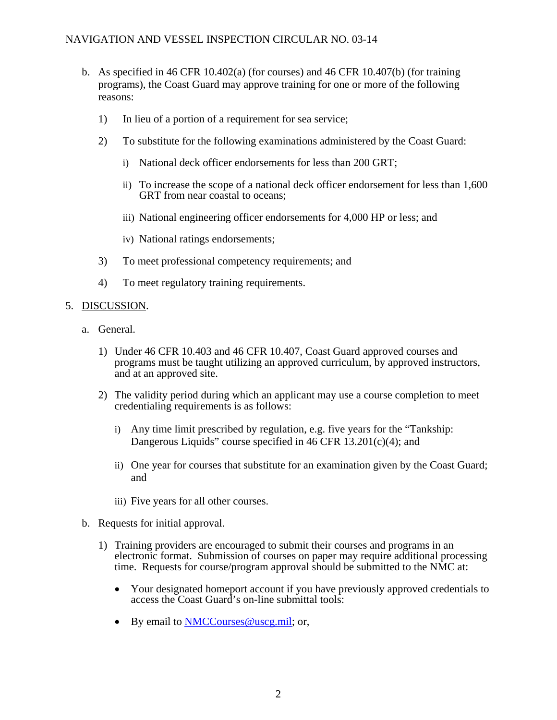- b. As specified in 46 CFR 10.402(a) (for courses) and 46 CFR 10.407(b) (for training programs), the Coast Guard may approve training for one or more of the following reasons:
	- 1) In lieu of a portion of a requirement for sea service;
	- 2) To substitute for the following examinations administered by the Coast Guard:
		- i) National deck officer endorsements for less than 200 GRT;
		- ii) To increase the scope of a national deck officer endorsement for less than 1,600 GRT from near coastal to oceans;
		- iii) National engineering officer endorsements for 4,000 HP or less; and
		- iv) National ratings endorsements;
	- 3) To meet professional competency requirements; and
	- 4) To meet regulatory training requirements.

### 5. DISCUSSION.

- a. General.
	- 1) Under 46 CFR 10.403 and 46 CFR 10.407, Coast Guard approved courses and programs must be taught utilizing an approved curriculum, by approved instructors, and at an approved site.
	- 2) The validity period during which an applicant may use a course completion to meet credentialing requirements is as follows:
		- i) Any time limit prescribed by regulation, e.g. five years for the "Tankship: Dangerous Liquids" course specified in 46 CFR 13.201(c)(4); and
		- ii) One year for courses that substitute for an examination given by the Coast Guard; and
		- iii) Five years for all other courses.
- b. Requests for initial approval.
	- 1) Training providers are encouraged to submit their courses and programs in an electronic format. Submission of courses on paper may require additional processing time. Requests for course/program approval should be submitted to the NMC at:
		- Your designated homeport account if you have previously approved credentials to access the Coast Guard's on-line submittal tools:
		- By email to NMCCourses @uscg.mil: or,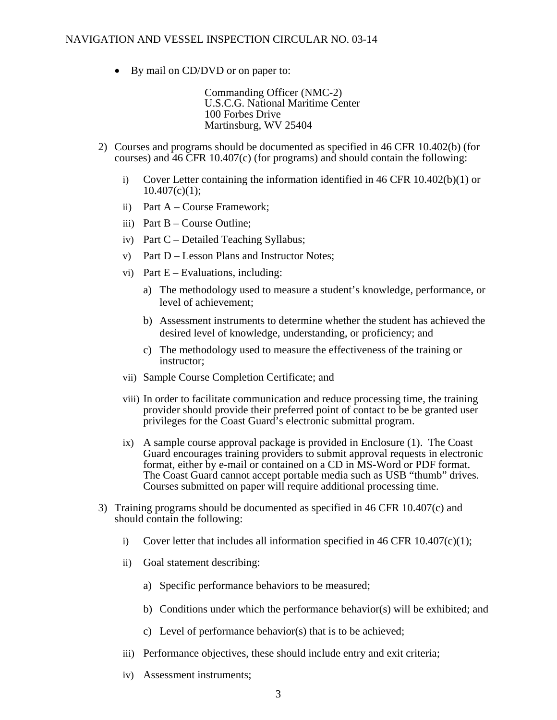• By mail on CD/DVD or on paper to:

Commanding Officer (NMC-2) U.S.C.G. National Maritime Center 100 Forbes Drive Martinsburg, WV 25404

- 2) Courses and programs should be documented as specified in 46 CFR 10.402(b) (for courses) and 46 CFR 10.407(c) (for programs) and should contain the following:
	- i) Cover Letter containing the information identified in 46 CFR  $10.402(b)(1)$  or  $10.407(c)(1);$
	- ii) Part A Course Framework;
	- iii) Part  $B -$ Course Outline;
	- iv) Part C Detailed Teaching Syllabus;
	- v) Part D Lesson Plans and Instructor Notes;
	- vi) Part  $E -$  Evaluations, including:
		- a) The methodology used to measure a student's knowledge, performance, or level of achievement;
		- b) Assessment instruments to determine whether the student has achieved the desired level of knowledge, understanding, or proficiency; and
		- c) The methodology used to measure the effectiveness of the training or instructor;
	- vii) Sample Course Completion Certificate; and
	- viii) In order to facilitate communication and reduce processing time, the training provider should provide their preferred point of contact to be be granted user privileges for the Coast Guard's electronic submittal program.
	- ix) A sample course approval package is provided in Enclosure (1). The Coast Guard encourages training providers to submit approval requests in electronic format, either by e-mail or contained on a CD in MS-Word or PDF format. The Coast Guard cannot accept portable media such as USB "thumb" drives. Courses submitted on paper will require additional processing time.
- 3) Training programs should be documented as specified in 46 CFR 10.407(c) and should contain the following:
	- i) Cover letter that includes all information specified in 46 CFR  $10.407(c)(1)$ ;
	- ii) Goal statement describing:
		- a) Specific performance behaviors to be measured;
		- b) Conditions under which the performance behavior(s) will be exhibited; and
		- c) Level of performance behavior(s) that is to be achieved;
	- iii) Performance objectives, these should include entry and exit criteria;
	- iv) Assessment instruments;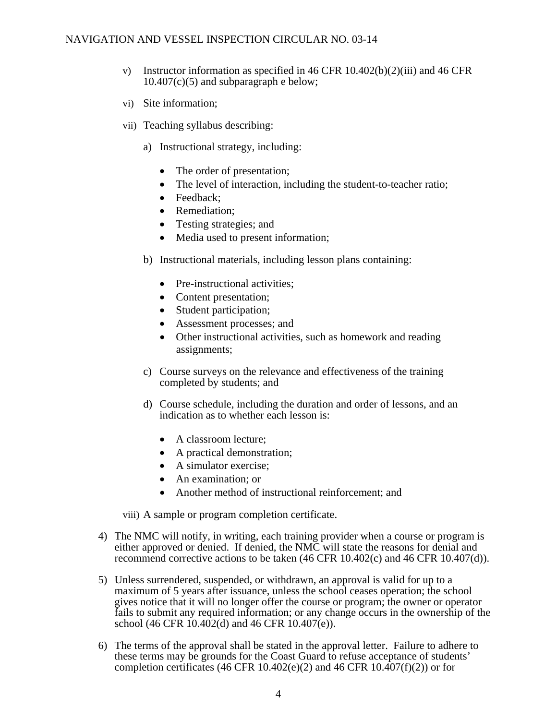- v) Instructor information as specified in 46 CFR  $10.402(b)(2)(iii)$  and 46 CFR  $10.407(c)(5)$  and subparagraph e below;
- vi) Site information;
- vii) Teaching syllabus describing:
	- a) Instructional strategy, including:
		- The order of presentation;
		- The level of interaction, including the student-to-teacher ratio;
		- Feedback:
		- Remediation;
		- Testing strategies; and
		- Media used to present information;
	- b) Instructional materials, including lesson plans containing:
		- Pre-instructional activities;
		- Content presentation;
		- Student participation;
		- Assessment processes; and
		- Other instructional activities, such as homework and reading assignments;
	- c) Course surveys on the relevance and effectiveness of the training completed by students; and
	- d) Course schedule, including the duration and order of lessons, and an indication as to whether each lesson is:
		- A classroom lecture:
		- A practical demonstration;
		- A simulator exercise;
		- An examination; or
		- Another method of instructional reinforcement; and

viii) A sample or program completion certificate.

- 4) The NMC will notify, in writing, each training provider when a course or program is either approved or denied. If denied, the NMC will state the reasons for denial and recommend corrective actions to be taken (46 CFR 10.402(c) and 46 CFR 10.407(d)).
- 5) Unless surrendered, suspended, or withdrawn, an approval is valid for up to a maximum of 5 years after issuance, unless the school ceases operation; the school gives notice that it will no longer offer the course or program; the owner or operator fails to submit any required information; or any change occurs in the ownership of the school (46 CFR 10.402(d) and 46 CFR 10.407(e)).
- 6) The terms of the approval shall be stated in the approval letter. Failure to adhere to these terms may be grounds for the Coast Guard to refuse acceptance of students' completion certificates (46 CFR 10.402(e)(2) and 46 CFR 10.407(f)(2)) or for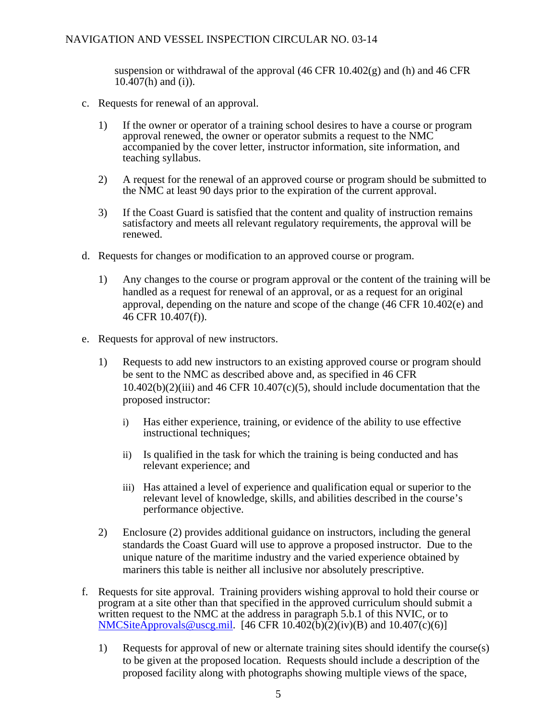suspension or withdrawal of the approval  $(46 \text{ CFR } 10.402(g)$  and (h) and 46 CFR  $10.\overline{407}$ (h) and (i)).

- c. Requests for renewal of an approval.
	- 1) If the owner or operator of a training school desires to have a course or program approval renewed, the owner or operator submits a request to the NMC accompanied by the cover letter, instructor information, site information, and teaching syllabus.
	- 2) A request for the renewal of an approved course or program should be submitted to the NMC at least 90 days prior to the expiration of the current approval.
	- 3) If the Coast Guard is satisfied that the content and quality of instruction remains satisfactory and meets all relevant regulatory requirements, the approval will be renewed.
- d. Requests for changes or modification to an approved course or program.
	- 1) Any changes to the course or program approval or the content of the training will be handled as a request for renewal of an approval, or as a request for an original approval, depending on the nature and scope of the change (46 CFR 10.402(e) and 46 CFR 10.407(f)).
- e. Requests for approval of new instructors.
	- 1) Requests to add new instructors to an existing approved course or program should be sent to the NMC as described above and, as specified in 46 CFR  $10.402(b)(2)(iii)$  and  $46$  CFR  $10.407(c)(5)$ , should include documentation that the proposed instructor:
		- i) Has either experience, training, or evidence of the ability to use effective instructional techniques;
		- ii) Is qualified in the task for which the training is being conducted and has relevant experience; and
		- iii) Has attained a level of experience and qualification equal or superior to the relevant level of knowledge, skills, and abilities described in the course's performance objective.
	- 2) Enclosure (2) provides additional guidance on instructors, including the general standards the Coast Guard will use to approve a proposed instructor. Due to the unique nature of the maritime industry and the varied experience obtained by mariners this table is neither all inclusive nor absolutely prescriptive.
- f. Requests for site approval. Training providers wishing approval to hold their course or program at a site other than that specified in the approved curriculum should submit a written request to the NMC at the address in paragraph 5.b.1 of this NVIC, or to NMCSiteApprovals@uscg.mil. [46 CFR 10.402(b)(2)(iv)(B) and 10.407(c)(6)]
	- 1) Requests for approval of new or alternate training sites should identify the course(s) to be given at the proposed location. Requests should include a description of the proposed facility along with photographs showing multiple views of the space,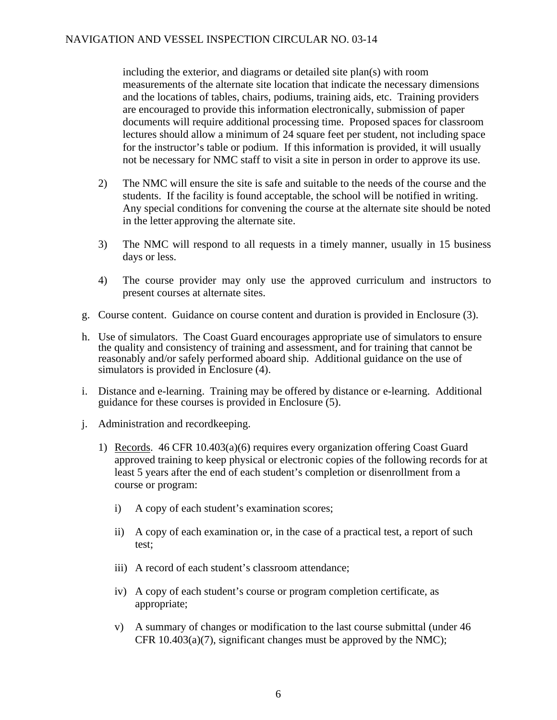including the exterior, and diagrams or detailed site plan(s) with room measurements of the alternate site location that indicate the necessary dimensions and the locations of tables, chairs, podiums, training aids, etc. Training providers are encouraged to provide this information electronically, submission of paper documents will require additional processing time. Proposed spaces for classroom lectures should allow a minimum of 24 square feet per student, not including space for the instructor's table or podium. If this information is provided, it will usually not be necessary for NMC staff to visit a site in person in order to approve its use.

- 2) The NMC will ensure the site is safe and suitable to the needs of the course and the students. If the facility is found acceptable, the school will be notified in writing. Any special conditions for convening the course at the alternate site should be noted in the letter approving the alternate site.
- 3) The NMC will respond to all requests in a timely manner, usually in 15 business days or less.
- 4) The course provider may only use the approved curriculum and instructors to present courses at alternate sites.
- g. Course content. Guidance on course content and duration is provided in Enclosure (3).
- h. Use of simulators. The Coast Guard encourages appropriate use of simulators to ensure the quality and consistency of training and assessment, and for training that cannot be reasonably and/or safely performed aboard ship. Additional guidance on the use of simulators is provided in Enclosure (4).
- i. Distance and e-learning. Training may be offered by distance or e-learning. Additional guidance for these courses is provided in Enclosure (5).
- j. Administration and recordkeeping.
	- 1) Records. 46 CFR 10.403(a)(6) requires every organization offering Coast Guard approved training to keep physical or electronic copies of the following records for at least 5 years after the end of each student's completion or disenrollment from a course or program:
		- i) A copy of each student's examination scores;
		- ii) A copy of each examination or, in the case of a practical test, a report of such test;
		- iii) A record of each student's classroom attendance;
		- iv) A copy of each student's course or program completion certificate, as appropriate;
		- v) A summary of changes or modification to the last course submittal (under 46 CFR  $10.403(a)(7)$ , significant changes must be approved by the NMC);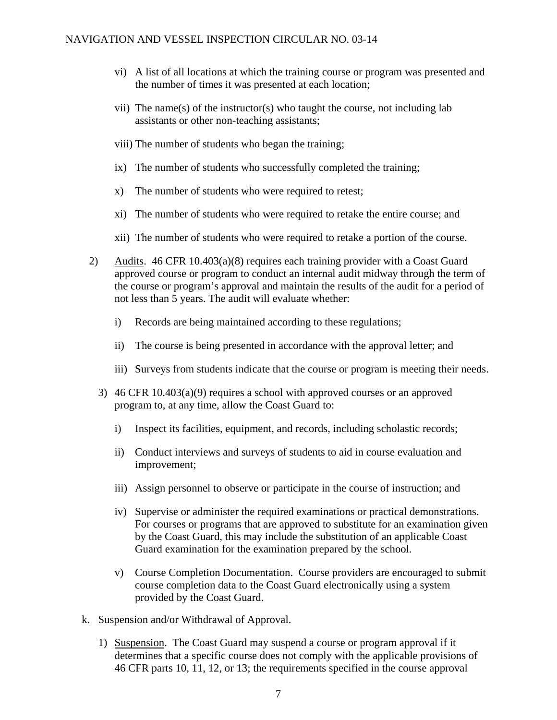- vi) A list of all locations at which the training course or program was presented and the number of times it was presented at each location;
- vii) The name(s) of the instructor(s) who taught the course, not including lab assistants or other non-teaching assistants;
- viii) The number of students who began the training;
- ix) The number of students who successfully completed the training;
- x) The number of students who were required to retest;
- xi) The number of students who were required to retake the entire course; and
- xii) The number of students who were required to retake a portion of the course.
- 2) Audits. 46 CFR 10.403(a)(8) requires each training provider with a Coast Guard approved course or program to conduct an internal audit midway through the term of the course or program's approval and maintain the results of the audit for a period of not less than 5 years. The audit will evaluate whether:
	- i) Records are being maintained according to these regulations;
	- ii) The course is being presented in accordance with the approval letter; and
	- iii) Surveys from students indicate that the course or program is meeting their needs.
	- 3) 46 CFR 10.403(a)(9) requires a school with approved courses or an approved program to, at any time, allow the Coast Guard to:
		- i) Inspect its facilities, equipment, and records, including scholastic records;
		- ii) Conduct interviews and surveys of students to aid in course evaluation and improvement;
		- iii) Assign personnel to observe or participate in the course of instruction; and
		- iv) Supervise or administer the required examinations or practical demonstrations. For courses or programs that are approved to substitute for an examination given by the Coast Guard, this may include the substitution of an applicable Coast Guard examination for the examination prepared by the school.
		- v) Course Completion Documentation. Course providers are encouraged to submit course completion data to the Coast Guard electronically using a system provided by the Coast Guard.
- k. Suspension and/or Withdrawal of Approval.
	- 1) Suspension. The Coast Guard may suspend a course or program approval if it determines that a specific course does not comply with the applicable provisions of 46 CFR parts 10, 11, 12, or 13; the requirements specified in the course approval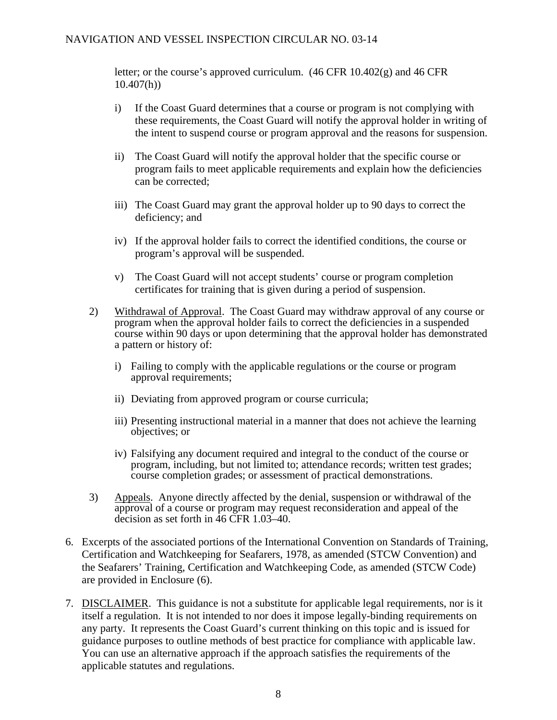### NAVIGATION AND VESSEL INSPECTION CIRCULAR NO. 03-14

letter; or the course's approved curriculum. (46 CFR 10.402(g) and 46 CFR 10.407(h))

- i) If the Coast Guard determines that a course or program is not complying with these requirements, the Coast Guard will notify the approval holder in writing of the intent to suspend course or program approval and the reasons for suspension.
- ii) The Coast Guard will notify the approval holder that the specific course or program fails to meet applicable requirements and explain how the deficiencies can be corrected;
- iii) The Coast Guard may grant the approval holder up to 90 days to correct the deficiency; and
- iv) If the approval holder fails to correct the identified conditions, the course or program's approval will be suspended.
- v) The Coast Guard will not accept students' course or program completion certificates for training that is given during a period of suspension.
- 2) Withdrawal of Approval. The Coast Guard may withdraw approval of any course or program when the approval holder fails to correct the deficiencies in a suspended course within 90 days or upon determining that the approval holder has demonstrated a pattern or history of:
	- i) Failing to comply with the applicable regulations or the course or program approval requirements;
	- ii) Deviating from approved program or course curricula;
	- iii) Presenting instructional material in a manner that does not achieve the learning objectives; or
	- iv) Falsifying any document required and integral to the conduct of the course or program, including, but not limited to; attendance records; written test grades; course completion grades; or assessment of practical demonstrations.
- 3) Appeals. Anyone directly affected by the denial, suspension or withdrawal of the approval of a course or program may request reconsideration and appeal of the decision as set forth in 46 CFR 1.03–40.
- 6. Excerpts of the associated portions of the International Convention on Standards of Training, Certification and Watchkeeping for Seafarers, 1978, as amended (STCW Convention) and the Seafarers' Training, Certification and Watchkeeping Code, as amended (STCW Code) are provided in Enclosure (6).
- 7. DISCLAIMER. This guidance is not a substitute for applicable legal requirements, nor is it itself a regulation. It is not intended to nor does it impose legally-binding requirements on any party. It represents the Coast Guard's current thinking on this topic and is issued for guidance purposes to outline methods of best practice for compliance with applicable law. You can use an alternative approach if the approach satisfies the requirements of the applicable statutes and regulations.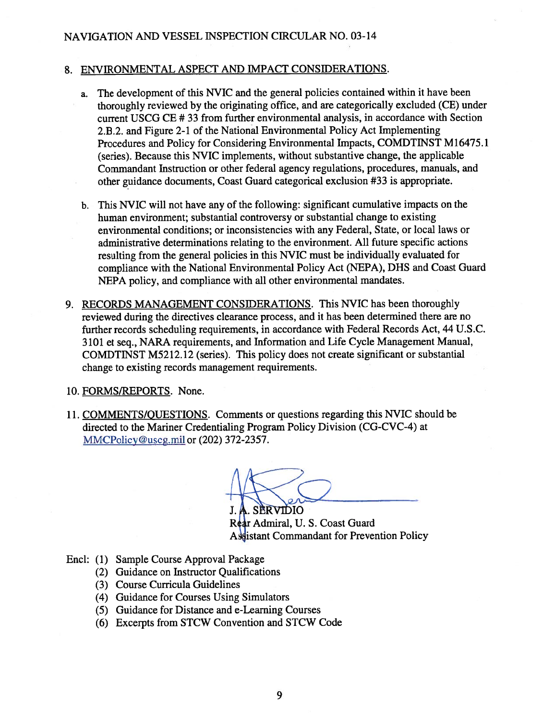### NAVIGATION AND VESSEL INSPECTION CIRCULAR NO. 03-14

### 8. ENVIRONMENTAL ASPECT AND IMPACT CONSIDERATIONS.

- The development of this NVIC and the general policies contained within it have been a. thoroughly reviewed by the originating office, and are categorically excluded (CE) under current USCG CE #33 from further environmental analysis, in accordance with Section 2.B.2. and Figure 2-1 of the National Environmental Policy Act Implementing Procedures and Policy for Considering Environmental Impacts, COMDTINST M16475.1 (series). Because this NVIC implements, without substantive change, the applicable Commandant Instruction or other federal agency regulations, procedures, manuals, and other guidance documents, Coast Guard categorical exclusion #33 is appropriate.
- b. This NVIC will not have any of the following: significant cumulative impacts on the human environment; substantial controversy or substantial change to existing environmental conditions; or inconsistencies with any Federal, State, or local laws or administrative determinations relating to the environment. All future specific actions resulting from the general policies in this NVIC must be individually evaluated for compliance with the National Environmental Policy Act (NEPA), DHS and Coast Guard NEPA policy, and compliance with all other environmental mandates.
- 9. RECORDS MANAGEMENT CONSIDERATIONS. This NVIC has been thoroughly reviewed during the directives clearance process, and it has been determined there are no further records scheduling requirements, in accordance with Federal Records Act, 44 U.S.C. 3101 et seq., NARA requirements, and Information and Life Cycle Management Manual, COMDTINST M5212.12 (series). This policy does not create significant or substantial change to existing records management requirements.
- 10. FORMS/REPORTS. None.
- 11. COMMENTS/QUESTIONS. Comments or questions regarding this NVIC should be directed to the Mariner Credentialing Program Policy Division (CG-CVC-4) at MMCPolicy@uscg.mil or (202) 372-2357.

SERVIDIO

Rear Admiral, U. S. Coast Guard **Assistant Commandant for Prevention Policy** 

- Encl: (1) Sample Course Approval Package
	- (2) Guidance on Instructor Qualifications
	- (3) Course Curricula Guidelines
	- (4) Guidance for Courses Using Simulators
	- (5) Guidance for Distance and e-Learning Courses
	- (6) Excerpts from STCW Convention and STCW Code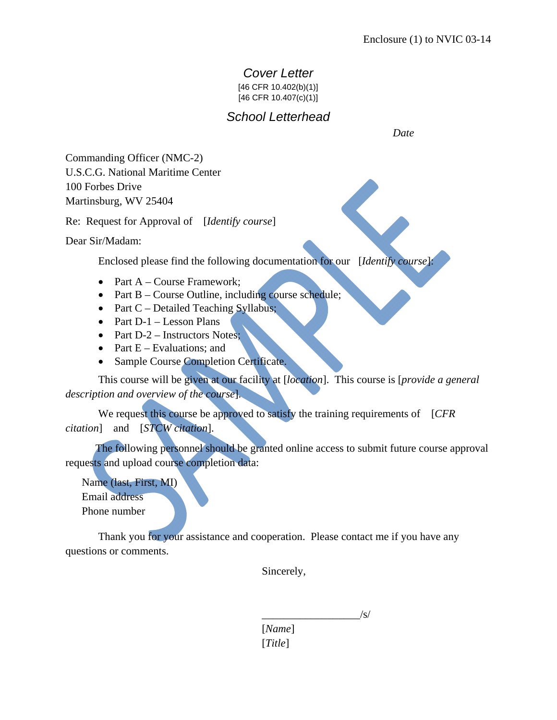# *Cover Letter*

[46 CFR 10.402(b)(1)]

[46 CFR 10.407(c)(1)]

# *School Letterhead*

 *Date* 

Commanding Officer (NMC-2) U.S.C.G. National Maritime Center 100 Forbes Drive Martinsburg, WV 25404

Re: Request for Approval of [*Identify course*]

Dear Sir/Madam:

Enclosed please find the following documentation for our [*Identify course*]:

- Part A Course Framework;
- Part B Course Outline, including course schedule;
- Part C Detailed Teaching Syllabus;
- Part  $D-1$  Lesson Plans
- Part D-2 Instructors Notes;
- Part  $E -$  Evaluations; and
- Sample Course Completion Certificate.

 This course will be given at our facility at [*location*]. This course is [*provide a general description and overview of the course*].

We request this course be approved to satisfy the training requirements of [*CFR citation*] and [*STCW citation*].

 The following personnel should be granted online access to submit future course approval requests and upload course completion data:

Name (last, First, MI) Email address Phone number

 Thank you for your assistance and cooperation. Please contact me if you have any questions or comments.

Sincerely,

 $\overline{\phantom{a}}$  /s/

 [*Name*] [*Title*]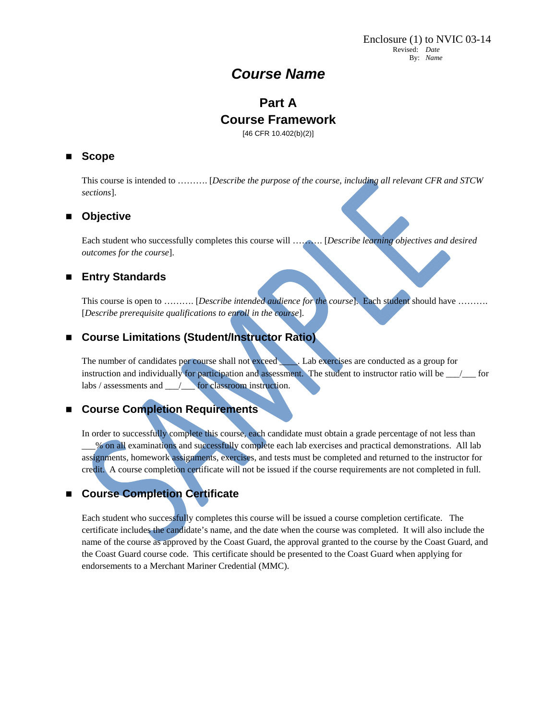# *Course Name*

# **Part A Course Framework**

[46 CFR 10.402(b)(2)]

### **Scope**

This course is intended to ………. [*Describe the purpose of the course, including all relevant CFR and STCW sections*].

### **Objective**

Each student who successfully completes this course will ………. [*Describe learning objectives and desired outcomes for the course*].

### **Entry Standards**

This course is open to ………. [*Describe intended audience for the course*]. Each student should have ………. [*Describe prerequisite qualifications to enroll in the course*].

### ■ Course Limitations (Student/Instructor Ratio)

The number of candidates per course shall not exceed *\_\_\_\_*. Lab exercises are conducted as a group for instruction and individually for participation and assessment. The student to instructor ratio will be \_\_\_/\_\_\_ for labs / assessments and \_\_\_/\_\_\_ for classroom instruction.

### **Course Completion Requirements**

In order to successfully complete this course, each candidate must obtain a grade percentage of not less than \_\_\_% on all examinations and successfully complete each lab exercises and practical demonstrations. All lab assignments, homework assignments, exercises, and tests must be completed and returned to the instructor for credit. A course completion certificate will not be issued if the course requirements are not completed in full.

### **Course Completion Certificate**

Each student who successfully completes this course will be issued a course completion certificate. The certificate includes the candidate's name, and the date when the course was completed. It will also include the name of the course as approved by the Coast Guard, the approval granted to the course by the Coast Guard, and the Coast Guard course code. This certificate should be presented to the Coast Guard when applying for endorsements to a Merchant Mariner Credential (MMC).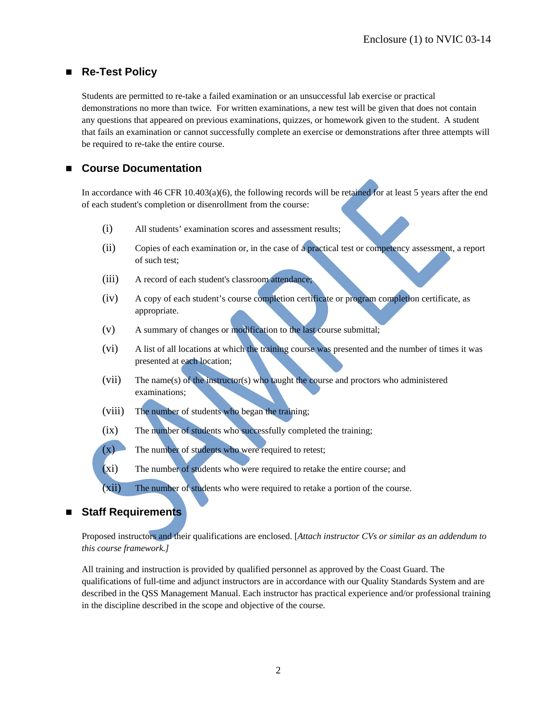### ■ Re-Test Policy

Students are permitted to re-take a failed examination or an unsuccessful lab exercise or practical demonstrations no more than twice. For written examinations, a new test will be given that does not contain any questions that appeared on previous examinations, quizzes, or homework given to the student. A student that fails an examination or cannot successfully complete an exercise or demonstrations after three attempts will be required to re-take the entire course.

### **Course Documentation**

In accordance with 46 CFR 10.403(a)(6), the following records will be retained for at least 5 years after the end of each student's completion or disenrollment from the course:

- (i) All students' examination scores and assessment results;
- (ii) Copies of each examination or, in the case of a practical test or competency assessment, a report of such test;
- (iii) A record of each student's classroom attendance;
- (iv) A copy of each student's course completion certificate or program completion certificate, as appropriate.
- (v) A summary of changes or modification to the last course submittal;
- (vi) A list of all locations at which the training course was presented and the number of times it was presented at each location;
- (vii) The name(s) of the instructor(s) who taught the course and proctors who administered examinations;
- (viii) The number of students who began the training;
- (ix) The number of students who successfully completed the training;
- $(x)$  The number of students who were required to retest;
- (xi) The number of students who were required to retake the entire course; and
- (xii) The number of students who were required to retake a portion of the course.

### **Staff Requirements**

Proposed instructors and their qualifications are enclosed. [*Attach instructor CVs or similar as an addendum to this course framework.]* 

All training and instruction is provided by qualified personnel as approved by the Coast Guard. The qualifications of full-time and adjunct instructors are in accordance with our Quality Standards System and are described in the QSS Management Manual. Each instructor has practical experience and/or professional training in the discipline described in the scope and objective of the course.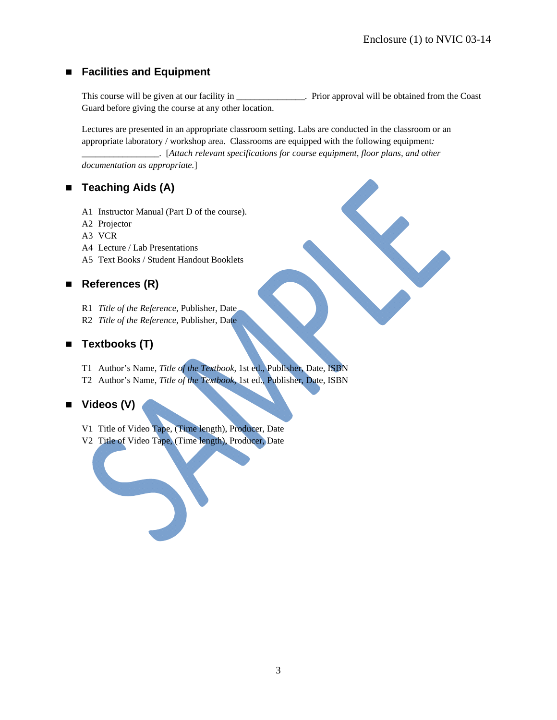### **Facilities and Equipment**

This course will be given at our facility in  $\blacksquare$ . Prior approval will be obtained from the Coast Guard before giving the course at any other location.

Lectures are presented in an appropriate classroom setting. Labs are conducted in the classroom or an appropriate laboratory / workshop area. Classrooms are equipped with the following equipment*:* 

*\_\_\_\_\_\_\_\_\_\_\_\_\_\_\_\_\_*. [*Attach relevant specifications for course equipment, floor plans, and other documentation as appropriate.*]

### ■ Teaching Aids (A)

- A1 Instructor Manual (Part D of the course).
- A2 Projector
- A3 VCR
- A4 Lecture / Lab Presentations
- A5 Text Books / Student Handout Booklets

### ■ References (R)

- R1 *Title of the Reference*, Publisher, Date
- R2 *Title of the Reference*, Publisher, Date

## ■ Textbooks (T)

- T1 Author's Name, *Title of the Textbook*, 1st ed., Publisher, Date, ISBN
- T2 Author's Name, *Title of the Textbook*, 1st ed., Publisher, Date, ISBN

### **Videos (V)**

- V1 Title of Video Tape, (Time length), Producer, Date
- V2 Title of Video Tape, (Time length), Producer, Date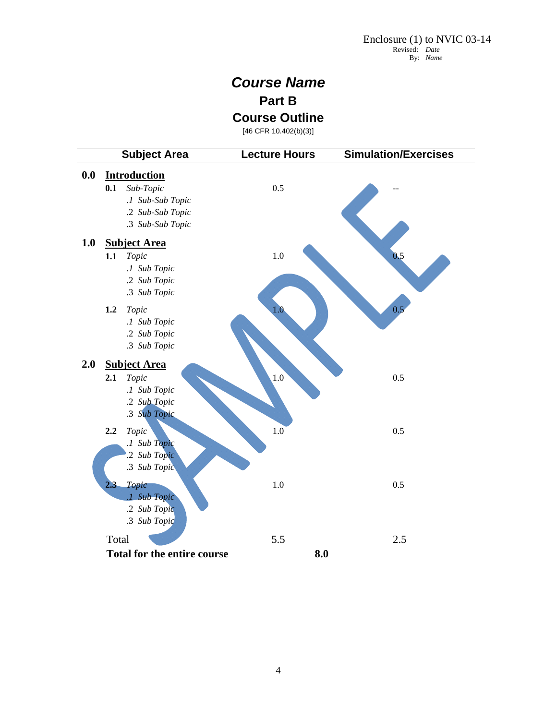# *Course Name* **Part B**

**Course Outline** 

[46 CFR 10.402(b)(3)]

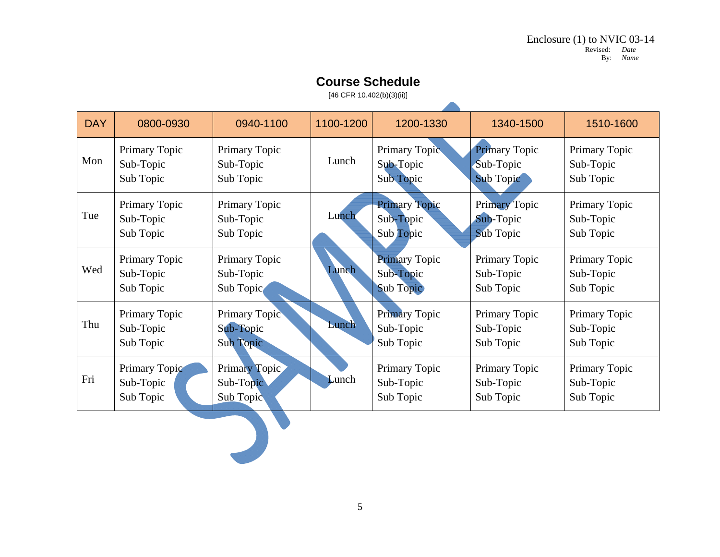### DAY 0800-0930 0940-1100 1100-1200 1200-1330 | 1340-1500 | 1510-1600 Mon Primary Topic Sub-Topic Sub Topic Primary Topic Sub-Topic Sub Topic Lunch Primary Topic Sub-Topic Sub Topic Primary Topic Sub-Topic Sub Topic Primary Topic Sub-Topic Sub Topic Tue Primary Topic Sub-Topic Sub Topic Primary Topic Sub-Topic Sub Topic Lunch Primary Topic Sub-Topic Sub Topic Primary Topic Sub-Topic Sub Topic Primary Topic Sub-Topic Sub Topic Wed Primary Topic Sub-Topic Sub Topic Primary Topic Sub-Topic Sub Topic Lunch Primary Topic Sub-Topic Sub Topic Primary Topic Sub-Topic Sub Topic Primary Topic Sub-Topic Sub Topic Thu Primary Topic Sub-Topic Sub Topic Primary Topic Sub-Topic Sub Topic Lunch Primary Topic Sub-Topic Sub Topic Primary Topic Sub-Topic Sub Topic Primary Topic Sub-Topic Sub Topic Fri Primary Topic Sub-Topic Sub Topic Primary Topic Sub-Topic Sub Topic Lunch Primary Topic Sub-Topic Sub Topic Primary Topic Sub-Topic Sub Topic Primary Topic Sub-Topic Sub Topic

# **Course Schedule**

[46 CFR 10.402(b)(3)(ii)]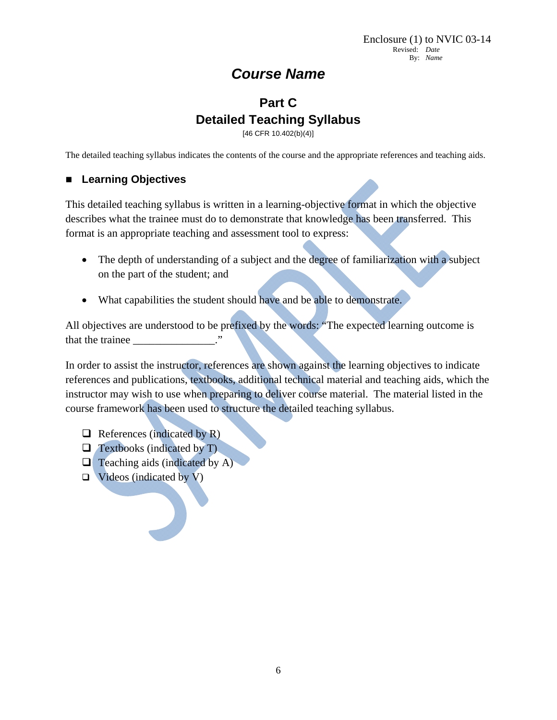# *Course Name*

# **Part C Detailed Teaching Syllabus**

[46 CFR 10.402(b)(4)]

The detailed teaching syllabus indicates the contents of the course and the appropriate references and teaching aids.

### **Learning Objectives**

This detailed teaching syllabus is written in a learning-objective format in which the objective describes what the trainee must do to demonstrate that knowledge has been transferred. This format is an appropriate teaching and assessment tool to express:

- The depth of understanding of a subject and the degree of familiarization with a subject on the part of the student; and
- What capabilities the student should have and be able to demonstrate.

All objectives are understood to be prefixed by the words: "The expected learning outcome is that the trainee

In order to assist the instructor, references are shown against the learning objectives to indicate references and publications, textbooks, additional technical material and teaching aids, which the instructor may wish to use when preparing to deliver course material. The material listed in the course framework has been used to structure the detailed teaching syllabus.

- $\Box$  References (indicated by R)
- $\Box$  Textbooks (indicated by T)
- $\Box$  Teaching aids (indicated by A)
- $\Box$  Videos (indicated by V)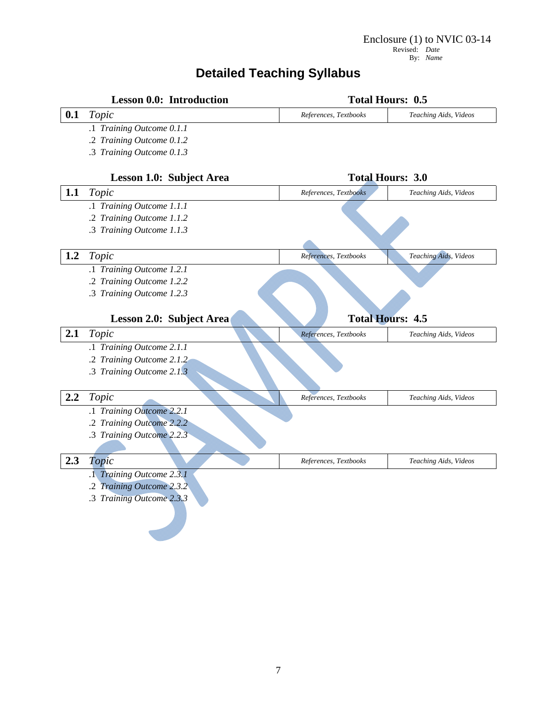# **Detailed Teaching Syllabus**

|                         | <b>Lesson 0.0: Introduction</b> | <b>Total Hours: 0.5</b> |                         |
|-------------------------|---------------------------------|-------------------------|-------------------------|
| 0.1                     | Topic                           | References, Textbooks   | Teaching Aids, Videos   |
|                         | .1 Training Outcome 0.1.1       |                         |                         |
|                         | .2 Training Outcome 0.1.2       |                         |                         |
|                         | .3 Training Outcome 0.1.3       |                         |                         |
|                         | Lesson 1.0: Subject Area        |                         | <b>Total Hours: 3.0</b> |
| 1.1                     | Topic                           | References, Textbooks   | Teaching Aids, Videos   |
|                         | .1 Training Outcome 1.1.1       |                         |                         |
|                         | .2 Training Outcome 1.1.2       |                         |                         |
|                         | .3 Training Outcome 1.1.3       |                         |                         |
|                         |                                 |                         |                         |
| 1.2                     | Topic                           | References, Textbooks   | Teaching Aids, Videos   |
|                         | .1 Training Outcome 1.2.1       |                         |                         |
|                         | .2 Training Outcome 1.2.2       |                         |                         |
|                         | .3 Training Outcome 1.2.3       |                         |                         |
|                         |                                 |                         |                         |
|                         |                                 |                         |                         |
|                         | Lesson 2.0: Subject Area        | <b>Total Hours: 4.5</b> |                         |
|                         | Topic                           | References, Textbooks   | Teaching Aids, Videos   |
|                         | .1 Training Outcome 2.1.1       |                         |                         |
|                         | .2 Training Outcome 2.1.2       |                         |                         |
|                         | .3 Training Outcome 2.1.3       |                         |                         |
|                         |                                 |                         |                         |
|                         | Topic                           | References, Textbooks   | Teaching Aids, Videos   |
|                         | .1 Training Outcome 2.2.1       |                         |                         |
| 2.1<br>$2.2\phantom{0}$ | .2 Training Outcome 2.2.2       |                         |                         |
|                         | .3 Training Outcome 2.2.3       |                         |                         |
|                         |                                 |                         |                         |
|                         | Topic                           | References, Textbooks   | Teaching Aids, Videos   |
|                         | .1 Training Outcome 2.3.1       |                         |                         |
|                         | .2 Training Outcome 2.3.2       |                         |                         |
| 2.3                     | .3 Training Outcome 2.3.3       |                         |                         |
|                         |                                 |                         |                         |
|                         |                                 |                         |                         |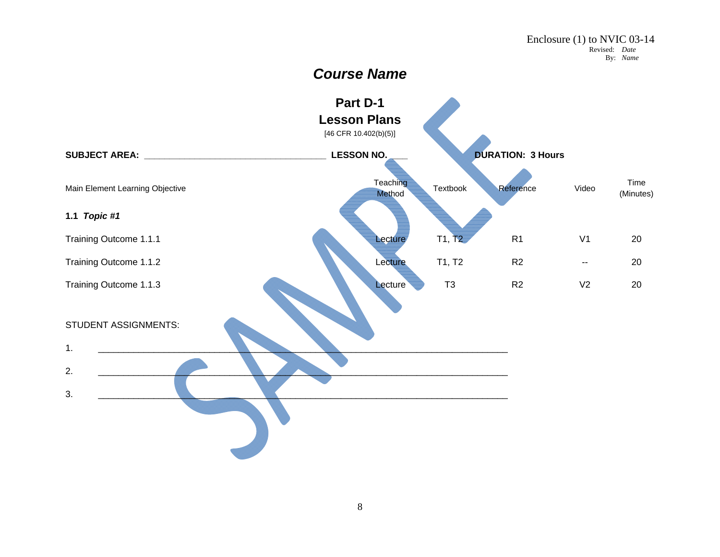# *Course Name*

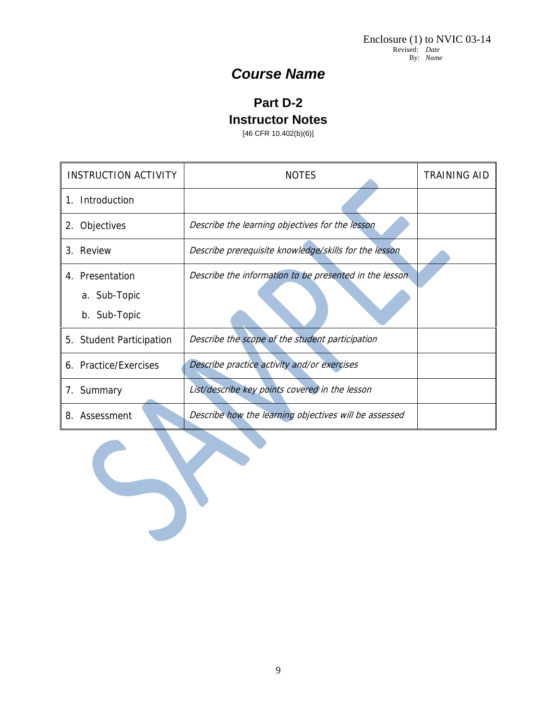# *Course Name*

# **Part D-2**

**Instructor Notes** 

[46 CFR 10.402(b)(6)]

| <b>INSTRUCTION ACTIVITY</b> | <b>NOTES</b>                                           | TRAINING AID |
|-----------------------------|--------------------------------------------------------|--------------|
| Introduction<br>$1_{-}$     |                                                        |              |
| 2. Objectives               | Describe the learning objectives for the lesson        |              |
| 3. Review                   | Describe prerequisite knowledge/skills for the lesson  |              |
| 4. Presentation             | Describe the information to be presented in the lesson |              |
| a. Sub-Topic                |                                                        |              |
| b. Sub-Topic                |                                                        |              |
| 5. Student Participation    | Describe the scope of the student participation        |              |
| 6. Practice/Exercises       | Describe practice activity and/or exercises            |              |
| 7. Summary                  | List/describe key points covered in the lesson         |              |
| Assessment<br>8.            | Describe how the learning objectives will be assessed  |              |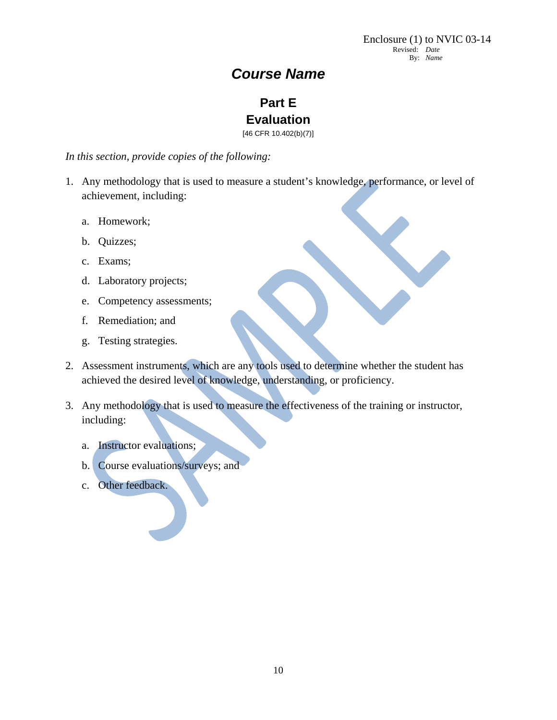# *Course Name*

# **Part E Evaluation**

[46 CFR 10.402(b)(7)]

*In this section, provide copies of the following:* 

- 1. Any methodology that is used to measure a student's knowledge, performance, or level of achievement, including:
	- a. Homework;
	- b. Quizzes;
	- c. Exams;
	- d. Laboratory projects;
	- e. Competency assessments;
	- f. Remediation; and
	- g. Testing strategies.
- 2. Assessment instruments, which are any tools used to determine whether the student has achieved the desired level of knowledge, understanding, or proficiency.
- 3. Any methodology that is used to measure the effectiveness of the training or instructor, including:
	- a. Instructor evaluations;
	- b. Course evaluations/surveys; and
	- c. Other feedback.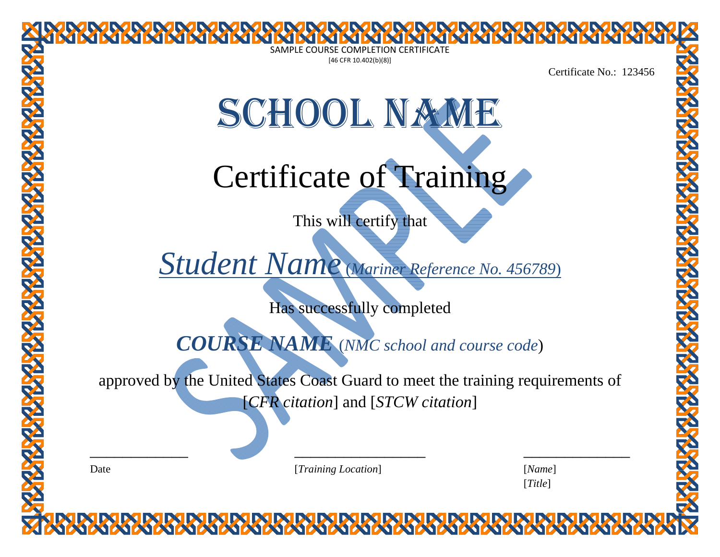|      | <b>MARIA MARIA MARIA MARIA MARIA MARIA MARIA MARIA MARIA</b>                   |                     |
|------|--------------------------------------------------------------------------------|---------------------|
|      | $[46$ CFR 10.402(b)(8)]                                                        | Certificate No.: 12 |
|      | SCHOOL NAME                                                                    |                     |
|      | Certificate of Training                                                        |                     |
|      | This will certify that                                                         |                     |
|      | Student Name (Mariner Reference No. 456789)                                    |                     |
|      | Has successfully completed                                                     |                     |
|      | <b>COURSE NAME</b> (NMC school and course code)                                |                     |
|      | approved by the United States Coast Guard to meet the training requirements of |                     |
|      | [ <i>CFR</i> citation] and [ <i>STCW</i> citation]                             |                     |
| Date | [Training Location]                                                            | [Name]<br>[Title]   |

Certificate No.: 123456

# SCHOOL NAME

3 DK DK DK DK DK DK DK DK DK DK DK D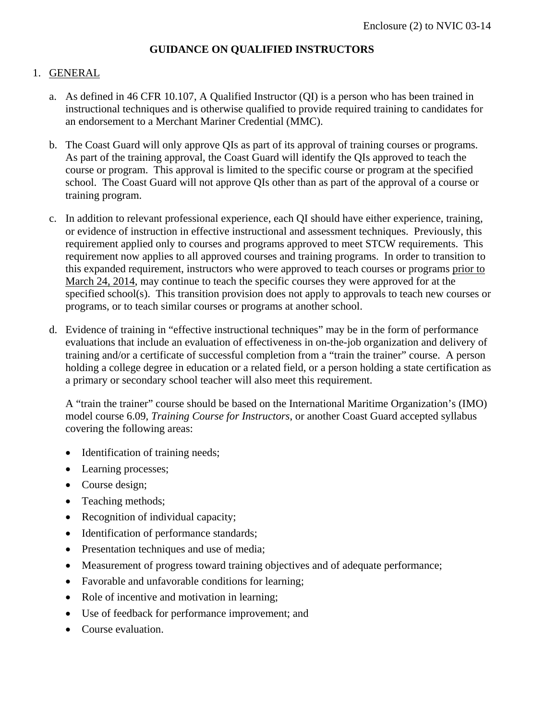### **GUIDANCE ON QUALIFIED INSTRUCTORS**

### 1. GENERAL

- a. As defined in 46 CFR 10.107, A Qualified Instructor (QI) is a person who has been trained in instructional techniques and is otherwise qualified to provide required training to candidates for an endorsement to a Merchant Mariner Credential (MMC).
- b. The Coast Guard will only approve QIs as part of its approval of training courses or programs. As part of the training approval, the Coast Guard will identify the QIs approved to teach the course or program. This approval is limited to the specific course or program at the specified school. The Coast Guard will not approve QIs other than as part of the approval of a course or training program.
- c. In addition to relevant professional experience, each QI should have either experience, training, or evidence of instruction in effective instructional and assessment techniques. Previously, this requirement applied only to courses and programs approved to meet STCW requirements. This requirement now applies to all approved courses and training programs. In order to transition to this expanded requirement, instructors who were approved to teach courses or programs prior to March 24, 2014, may continue to teach the specific courses they were approved for at the specified school(s). This transition provision does not apply to approvals to teach new courses or programs, or to teach similar courses or programs at another school.
- d. Evidence of training in "effective instructional techniques" may be in the form of performance evaluations that include an evaluation of effectiveness in on-the-job organization and delivery of training and/or a certificate of successful completion from a "train the trainer" course. A person holding a college degree in education or a related field, or a person holding a state certification as a primary or secondary school teacher will also meet this requirement.

A "train the trainer" course should be based on the International Maritime Organization's (IMO) model course 6.09, *Training Course for Instructors*, or another Coast Guard accepted syllabus covering the following areas:

- Identification of training needs;
- Learning processes;
- Course design;
- Teaching methods;
- Recognition of individual capacity;
- Identification of performance standards;
- Presentation techniques and use of media;
- Measurement of progress toward training objectives and of adequate performance;
- Favorable and unfavorable conditions for learning;
- Role of incentive and motivation in learning;
- Use of feedback for performance improvement; and
- Course evaluation.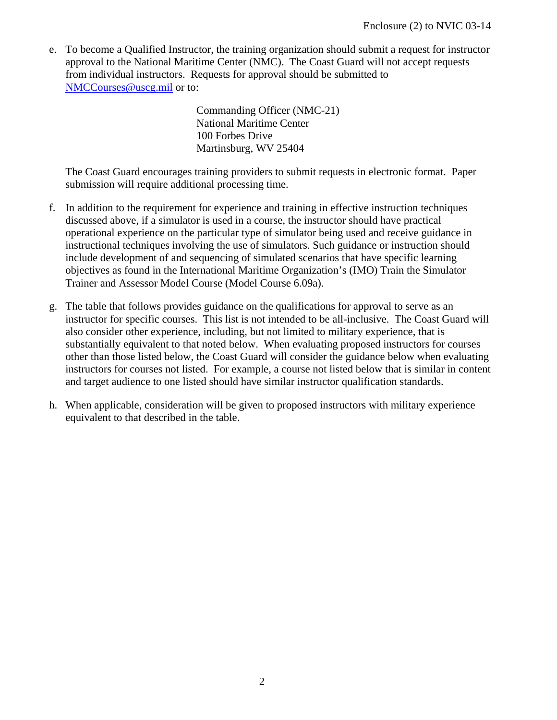e. To become a Qualified Instructor, the training organization should submit a request for instructor approval to the National Maritime Center (NMC). The Coast Guard will not accept requests from individual instructors. Requests for approval should be submitted to NMCCourses@uscg.mil or to:

> Commanding Officer (NMC-21) National Maritime Center 100 Forbes Drive Martinsburg, WV 25404

The Coast Guard encourages training providers to submit requests in electronic format. Paper submission will require additional processing time.

- f. In addition to the requirement for experience and training in effective instruction techniques discussed above, if a simulator is used in a course, the instructor should have practical operational experience on the particular type of simulator being used and receive guidance in instructional techniques involving the use of simulators. Such guidance or instruction should include development of and sequencing of simulated scenarios that have specific learning objectives as found in the International Maritime Organization's (IMO) Train the Simulator Trainer and Assessor Model Course (Model Course 6.09a).
- g. The table that follows provides guidance on the qualifications for approval to serve as an instructor for specific courses. This list is not intended to be all-inclusive. The Coast Guard will also consider other experience, including, but not limited to military experience, that is substantially equivalent to that noted below. When evaluating proposed instructors for courses other than those listed below, the Coast Guard will consider the guidance below when evaluating instructors for courses not listed. For example, a course not listed below that is similar in content and target audience to one listed should have similar instructor qualification standards.
- h. When applicable, consideration will be given to proposed instructors with military experience equivalent to that described in the table.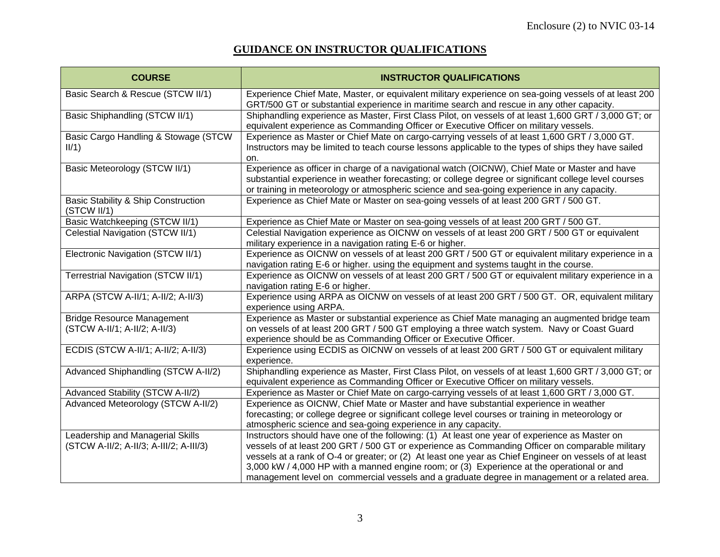# **GUIDANCE ON INSTRUCTOR QUALIFICATIONS**

| <b>COURSE</b>                                                               | <b>INSTRUCTOR QUALIFICATIONS</b>                                                                                                                                                                                                                                                                                                                                                                                                                                                                           |
|-----------------------------------------------------------------------------|------------------------------------------------------------------------------------------------------------------------------------------------------------------------------------------------------------------------------------------------------------------------------------------------------------------------------------------------------------------------------------------------------------------------------------------------------------------------------------------------------------|
| Basic Search & Rescue (STCW II/1)                                           | Experience Chief Mate, Master, or equivalent military experience on sea-going vessels of at least 200<br>GRT/500 GT or substantial experience in maritime search and rescue in any other capacity.                                                                                                                                                                                                                                                                                                         |
| Basic Shiphandling (STCW II/1)                                              | Shiphandling experience as Master, First Class Pilot, on vessels of at least 1,600 GRT / 3,000 GT; or<br>equivalent experience as Commanding Officer or Executive Officer on military vessels.                                                                                                                                                                                                                                                                                                             |
| Basic Cargo Handling & Stowage (STCW<br>II/1)                               | Experience as Master or Chief Mate on cargo-carrying vessels of at least 1,600 GRT / 3,000 GT.<br>Instructors may be limited to teach course lessons applicable to the types of ships they have sailed<br>on.                                                                                                                                                                                                                                                                                              |
| Basic Meteorology (STCW II/1)                                               | Experience as officer in charge of a navigational watch (OICNW), Chief Mate or Master and have<br>substantial experience in weather forecasting; or college degree or significant college level courses<br>or training in meteorology or atmospheric science and sea-going experience in any capacity.                                                                                                                                                                                                     |
| <b>Basic Stability &amp; Ship Construction</b><br>(STCW II/1)               | Experience as Chief Mate or Master on sea-going vessels of at least 200 GRT / 500 GT.                                                                                                                                                                                                                                                                                                                                                                                                                      |
| Basic Watchkeeping (STCW II/1)                                              | Experience as Chief Mate or Master on sea-going vessels of at least 200 GRT / 500 GT.                                                                                                                                                                                                                                                                                                                                                                                                                      |
| Celestial Navigation (STCW II/1)                                            | Celestial Navigation experience as OICNW on vessels of at least 200 GRT / 500 GT or equivalent<br>military experience in a navigation rating E-6 or higher.                                                                                                                                                                                                                                                                                                                                                |
| Electronic Navigation (STCW II/1)                                           | Experience as OICNW on vessels of at least 200 GRT / 500 GT or equivalent military experience in a<br>navigation rating E-6 or higher. using the equipment and systems taught in the course.                                                                                                                                                                                                                                                                                                               |
| <b>Terrestrial Navigation (STCW II/1)</b>                                   | Experience as OICNW on vessels of at least 200 GRT / 500 GT or equivalent military experience in a<br>navigation rating E-6 or higher.                                                                                                                                                                                                                                                                                                                                                                     |
| ARPA (STCW A-II/1; A-II/2; A-II/3)                                          | Experience using ARPA as OICNW on vessels of at least 200 GRT / 500 GT. OR, equivalent military<br>experience using ARPA.                                                                                                                                                                                                                                                                                                                                                                                  |
| <b>Bridge Resource Management</b><br>(STCW A-II/1; A-II/2; A-II/3)          | Experience as Master or substantial experience as Chief Mate managing an augmented bridge team<br>on vessels of at least 200 GRT / 500 GT employing a three watch system. Navy or Coast Guard<br>experience should be as Commanding Officer or Executive Officer.                                                                                                                                                                                                                                          |
| ECDIS (STCW A-II/1; A-II/2; A-II/3)                                         | Experience using ECDIS as OICNW on vessels of at least 200 GRT / 500 GT or equivalent military<br>experience.                                                                                                                                                                                                                                                                                                                                                                                              |
| Advanced Shiphandling (STCW A-II/2)                                         | Shiphandling experience as Master, First Class Pilot, on vessels of at least 1,600 GRT / 3,000 GT; or<br>equivalent experience as Commanding Officer or Executive Officer on military vessels.                                                                                                                                                                                                                                                                                                             |
| <b>Advanced Stability (STCW A-II/2)</b>                                     | Experience as Master or Chief Mate on cargo-carrying vessels of at least 1,600 GRT / 3,000 GT.                                                                                                                                                                                                                                                                                                                                                                                                             |
| Advanced Meteorology (STCW A-II/2)                                          | Experience as OICNW, Chief Mate or Master and have substantial experience in weather<br>forecasting; or college degree or significant college level courses or training in meteorology or<br>atmospheric science and sea-going experience in any capacity.                                                                                                                                                                                                                                                 |
| Leadership and Managerial Skills<br>(STCW A-II/2; A-II/3; A-III/2; A-III/3) | Instructors should have one of the following: (1) At least one year of experience as Master on<br>vessels of at least 200 GRT / 500 GT or experience as Commanding Officer on comparable military<br>vessels at a rank of O-4 or greater; or (2) At least one year as Chief Engineer on vessels of at least<br>3,000 kW / 4,000 HP with a manned engine room; or (3) Experience at the operational or and<br>management level on commercial vessels and a graduate degree in management or a related area. |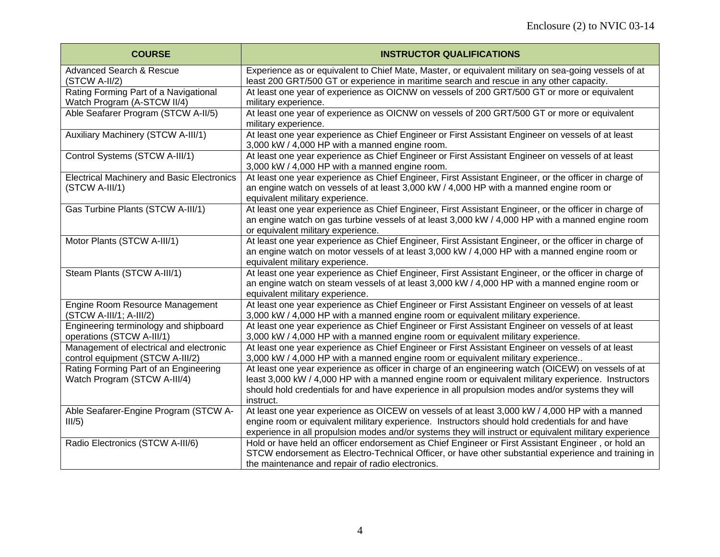| <b>COURSE</b>                                                               | <b>INSTRUCTOR QUALIFICATIONS</b>                                                                                                                                                                                                                                                                                          |
|-----------------------------------------------------------------------------|---------------------------------------------------------------------------------------------------------------------------------------------------------------------------------------------------------------------------------------------------------------------------------------------------------------------------|
| <b>Advanced Search &amp; Rescue</b><br>(STCW A-II/2)                        | Experience as or equivalent to Chief Mate, Master, or equivalent military on sea-going vessels of at<br>least 200 GRT/500 GT or experience in maritime search and rescue in any other capacity.                                                                                                                           |
| Rating Forming Part of a Navigational<br>Watch Program (A-STCW II/4)        | At least one year of experience as OICNW on vessels of 200 GRT/500 GT or more or equivalent<br>military experience.                                                                                                                                                                                                       |
| Able Seafarer Program (STCW A-II/5)                                         | At least one year of experience as OICNW on vessels of 200 GRT/500 GT or more or equivalent<br>military experience.                                                                                                                                                                                                       |
| <b>Auxiliary Machinery (STCW A-III/1)</b>                                   | At least one year experience as Chief Engineer or First Assistant Engineer on vessels of at least<br>3,000 kW / 4,000 HP with a manned engine room.                                                                                                                                                                       |
| Control Systems (STCW A-III/1)                                              | At least one year experience as Chief Engineer or First Assistant Engineer on vessels of at least<br>3,000 kW / 4,000 HP with a manned engine room.                                                                                                                                                                       |
| <b>Electrical Machinery and Basic Electronics</b><br>(STCW A-III/1)         | At least one year experience as Chief Engineer, First Assistant Engineer, or the officer in charge of<br>an engine watch on vessels of at least 3,000 kW / 4,000 HP with a manned engine room or<br>equivalent military experience.                                                                                       |
| Gas Turbine Plants (STCW A-III/1)                                           | At least one year experience as Chief Engineer, First Assistant Engineer, or the officer in charge of<br>an engine watch on gas turbine vessels of at least 3,000 kW / 4,000 HP with a manned engine room<br>or equivalent military experience.                                                                           |
| Motor Plants (STCW A-III/1)                                                 | At least one year experience as Chief Engineer, First Assistant Engineer, or the officer in charge of<br>an engine watch on motor vessels of at least 3,000 kW / 4,000 HP with a manned engine room or<br>equivalent military experience.                                                                                 |
| Steam Plants (STCW A-III/1)                                                 | At least one year experience as Chief Engineer, First Assistant Engineer, or the officer in charge of<br>an engine watch on steam vessels of at least 3,000 kW / 4,000 HP with a manned engine room or<br>equivalent military experience.                                                                                 |
| Engine Room Resource Management<br>(STCW A-III/1; A-III/2)                  | At least one year experience as Chief Engineer or First Assistant Engineer on vessels of at least<br>3,000 kW / 4,000 HP with a manned engine room or equivalent military experience.                                                                                                                                     |
| Engineering terminology and shipboard<br>operations (STCW A-III/1)          | At least one year experience as Chief Engineer or First Assistant Engineer on vessels of at least<br>3,000 kW / 4,000 HP with a manned engine room or equivalent military experience.                                                                                                                                     |
| Management of electrical and electronic<br>control equipment (STCW A-III/2) | At least one year experience as Chief Engineer or First Assistant Engineer on vessels of at least<br>3,000 kW / 4,000 HP with a manned engine room or equivalent military experience                                                                                                                                      |
| Rating Forming Part of an Engineering<br>Watch Program (STCW A-III/4)       | At least one year experience as officer in charge of an engineering watch (OICEW) on vessels of at<br>least 3,000 kW / 4,000 HP with a manned engine room or equivalent military experience. Instructors<br>should hold credentials for and have experience in all propulsion modes and/or systems they will<br>instruct. |
| Able Seafarer-Engine Program (STCW A-<br>III/5)                             | At least one year experience as OICEW on vessels of at least 3,000 kW / 4,000 HP with a manned<br>engine room or equivalent military experience. Instructors should hold credentials for and have<br>experience in all propulsion modes and/or systems they will instruct or equivalent military experience               |
| Radio Electronics (STCW A-III/6)                                            | Hold or have held an officer endorsement as Chief Engineer or First Assistant Engineer, or hold an<br>STCW endorsement as Electro-Technical Officer, or have other substantial experience and training in<br>the maintenance and repair of radio electronics.                                                             |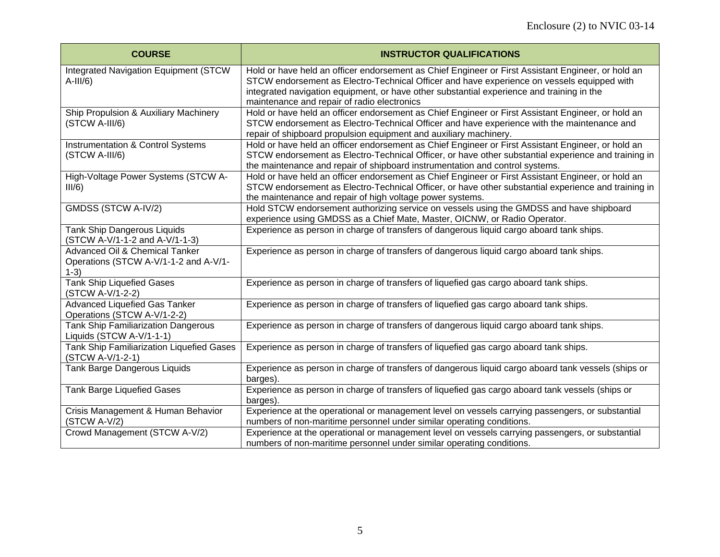| <b>COURSE</b>                                                                     | <b>INSTRUCTOR QUALIFICATIONS</b>                                                                                                                                                                                                                                                                                                             |
|-----------------------------------------------------------------------------------|----------------------------------------------------------------------------------------------------------------------------------------------------------------------------------------------------------------------------------------------------------------------------------------------------------------------------------------------|
| <b>Integrated Navigation Equipment (STCW</b><br>$A-III/6$ )                       | Hold or have held an officer endorsement as Chief Engineer or First Assistant Engineer, or hold an<br>STCW endorsement as Electro-Technical Officer and have experience on vessels equipped with<br>integrated navigation equipment, or have other substantial experience and training in the<br>maintenance and repair of radio electronics |
| Ship Propulsion & Auxiliary Machinery<br>(STCW A-III/6)                           | Hold or have held an officer endorsement as Chief Engineer or First Assistant Engineer, or hold an<br>STCW endorsement as Electro-Technical Officer and have experience with the maintenance and<br>repair of shipboard propulsion equipment and auxiliary machinery.                                                                        |
| <b>Instrumentation &amp; Control Systems</b><br>(STCW A-III/6)                    | Hold or have held an officer endorsement as Chief Engineer or First Assistant Engineer, or hold an<br>STCW endorsement as Electro-Technical Officer, or have other substantial experience and training in<br>the maintenance and repair of shipboard instrumentation and control systems.                                                    |
| High-Voltage Power Systems (STCW A-<br>III/6)                                     | Hold or have held an officer endorsement as Chief Engineer or First Assistant Engineer, or hold an<br>STCW endorsement as Electro-Technical Officer, or have other substantial experience and training in<br>the maintenance and repair of high voltage power systems.                                                                       |
| GMDSS (STCW A-IV/2)                                                               | Hold STCW endorsement authorizing service on vessels using the GMDSS and have shipboard<br>experience using GMDSS as a Chief Mate, Master, OICNW, or Radio Operator.                                                                                                                                                                         |
| <b>Tank Ship Dangerous Liquids</b><br>(STCW A-V/1-1-2 and A-V/1-1-3)              | Experience as person in charge of transfers of dangerous liquid cargo aboard tank ships.                                                                                                                                                                                                                                                     |
| Advanced Oil & Chemical Tanker<br>Operations (STCW A-V/1-1-2 and A-V/1-<br>$1-3)$ | Experience as person in charge of transfers of dangerous liquid cargo aboard tank ships.                                                                                                                                                                                                                                                     |
| <b>Tank Ship Liquefied Gases</b><br>(STCW A-V/1-2-2)                              | Experience as person in charge of transfers of liquefied gas cargo aboard tank ships.                                                                                                                                                                                                                                                        |
| Advanced Liquefied Gas Tanker<br>Operations (STCW A-V/1-2-2)                      | Experience as person in charge of transfers of liquefied gas cargo aboard tank ships.                                                                                                                                                                                                                                                        |
| <b>Tank Ship Familiarization Dangerous</b><br>Liquids (STCW A-V/1-1-1)            | Experience as person in charge of transfers of dangerous liquid cargo aboard tank ships.                                                                                                                                                                                                                                                     |
| Tank Ship Familiarization Liquefied Gases<br>(STCW A-V/1-2-1)                     | Experience as person in charge of transfers of liquefied gas cargo aboard tank ships.                                                                                                                                                                                                                                                        |
| Tank Barge Dangerous Liquids                                                      | Experience as person in charge of transfers of dangerous liquid cargo aboard tank vessels (ships or<br>barges).                                                                                                                                                                                                                              |
| <b>Tank Barge Liquefied Gases</b>                                                 | Experience as person in charge of transfers of liquefied gas cargo aboard tank vessels (ships or<br>barges).                                                                                                                                                                                                                                 |
| Crisis Management & Human Behavior<br>(STCW A-V/2)                                | Experience at the operational or management level on vessels carrying passengers, or substantial<br>numbers of non-maritime personnel under similar operating conditions.                                                                                                                                                                    |
| Crowd Management (STCW A-V/2)                                                     | Experience at the operational or management level on vessels carrying passengers, or substantial<br>numbers of non-maritime personnel under similar operating conditions.                                                                                                                                                                    |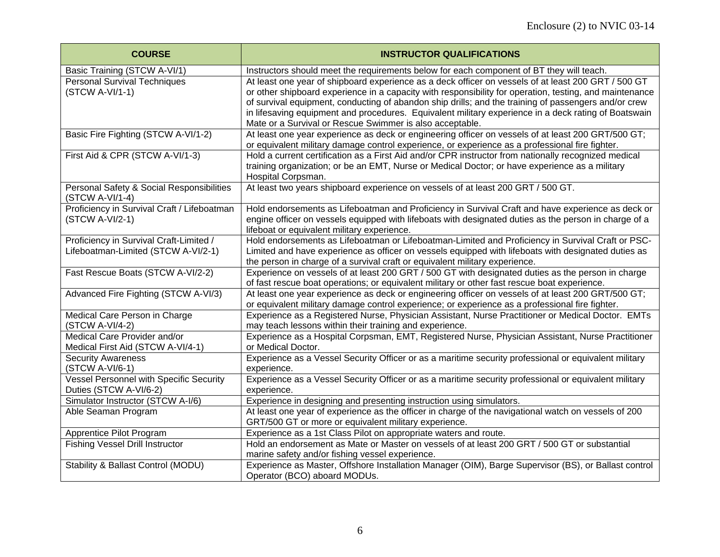| <b>COURSE</b>                                                                  | <b>INSTRUCTOR QUALIFICATIONS</b>                                                                                                                                                                                                                                                                                                                                                                                                                                                           |
|--------------------------------------------------------------------------------|--------------------------------------------------------------------------------------------------------------------------------------------------------------------------------------------------------------------------------------------------------------------------------------------------------------------------------------------------------------------------------------------------------------------------------------------------------------------------------------------|
| Basic Training (STCW A-VI/1)                                                   | Instructors should meet the requirements below for each component of BT they will teach.                                                                                                                                                                                                                                                                                                                                                                                                   |
| <b>Personal Survival Techniques</b><br>(STCW A-VI/1-1)                         | At least one year of shipboard experience as a deck officer on vessels of at least 200 GRT / 500 GT<br>or other shipboard experience in a capacity with responsibility for operation, testing, and maintenance<br>of survival equipment, conducting of abandon ship drills; and the training of passengers and/or crew<br>in lifesaving equipment and procedures. Equivalent military experience in a deck rating of Boatswain<br>Mate or a Survival or Rescue Swimmer is also acceptable. |
| Basic Fire Fighting (STCW A-VI/1-2)                                            | At least one year experience as deck or engineering officer on vessels of at least 200 GRT/500 GT;<br>or equivalent military damage control experience, or experience as a professional fire fighter.                                                                                                                                                                                                                                                                                      |
| First Aid & CPR (STCW A-VI/1-3)                                                | Hold a current certification as a First Aid and/or CPR instructor from nationally recognized medical<br>training organization; or be an EMT, Nurse or Medical Doctor; or have experience as a military<br>Hospital Corpsman.                                                                                                                                                                                                                                                               |
| Personal Safety & Social Responsibilities<br>(STCW A-VI/1-4)                   | At least two years shipboard experience on vessels of at least 200 GRT / 500 GT.                                                                                                                                                                                                                                                                                                                                                                                                           |
| Proficiency in Survival Craft / Lifeboatman<br>(STCW A-VI/2-1)                 | Hold endorsements as Lifeboatman and Proficiency in Survival Craft and have experience as deck or<br>engine officer on vessels equipped with lifeboats with designated duties as the person in charge of a<br>lifeboat or equivalent military experience.                                                                                                                                                                                                                                  |
| Proficiency in Survival Craft-Limited /<br>Lifeboatman-Limited (STCW A-VI/2-1) | Hold endorsements as Lifeboatman or Lifeboatman-Limited and Proficiency in Survival Craft or PSC-<br>Limited and have experience as officer on vessels equipped with lifeboats with designated duties as<br>the person in charge of a survival craft or equivalent military experience.                                                                                                                                                                                                    |
| Fast Rescue Boats (STCW A-VI/2-2)                                              | Experience on vessels of at least 200 GRT / 500 GT with designated duties as the person in charge<br>of fast rescue boat operations; or equivalent military or other fast rescue boat experience.                                                                                                                                                                                                                                                                                          |
| Advanced Fire Fighting (STCW A-VI/3)                                           | At least one year experience as deck or engineering officer on vessels of at least 200 GRT/500 GT;<br>or equivalent military damage control experience; or experience as a professional fire fighter.                                                                                                                                                                                                                                                                                      |
| Medical Care Person in Charge<br>(STCW A-VI/4-2)                               | Experience as a Registered Nurse, Physician Assistant, Nurse Practitioner or Medical Doctor. EMTs<br>may teach lessons within their training and experience.                                                                                                                                                                                                                                                                                                                               |
| Medical Care Provider and/or<br>Medical First Aid (STCW A-VI/4-1)              | Experience as a Hospital Corpsman, EMT, Registered Nurse, Physician Assistant, Nurse Practitioner<br>or Medical Doctor.                                                                                                                                                                                                                                                                                                                                                                    |
| <b>Security Awareness</b><br>(STCW A-VI/6-1)                                   | Experience as a Vessel Security Officer or as a maritime security professional or equivalent military<br>experience.                                                                                                                                                                                                                                                                                                                                                                       |
| Vessel Personnel with Specific Security<br>Duties (STCW A-VI/6-2)              | Experience as a Vessel Security Officer or as a maritime security professional or equivalent military<br>experience.                                                                                                                                                                                                                                                                                                                                                                       |
| Simulator Instructor (STCW A-I/6)                                              | Experience in designing and presenting instruction using simulators.                                                                                                                                                                                                                                                                                                                                                                                                                       |
| Able Seaman Program                                                            | At least one year of experience as the officer in charge of the navigational watch on vessels of 200<br>GRT/500 GT or more or equivalent military experience.                                                                                                                                                                                                                                                                                                                              |
| Apprentice Pilot Program                                                       | Experience as a 1st Class Pilot on appropriate waters and route.                                                                                                                                                                                                                                                                                                                                                                                                                           |
| <b>Fishing Vessel Drill Instructor</b>                                         | Hold an endorsement as Mate or Master on vessels of at least 200 GRT / 500 GT or substantial<br>marine safety and/or fishing vessel experience.                                                                                                                                                                                                                                                                                                                                            |
| Stability & Ballast Control (MODU)                                             | Experience as Master, Offshore Installation Manager (OIM), Barge Supervisor (BS), or Ballast control<br>Operator (BCO) aboard MODUs.                                                                                                                                                                                                                                                                                                                                                       |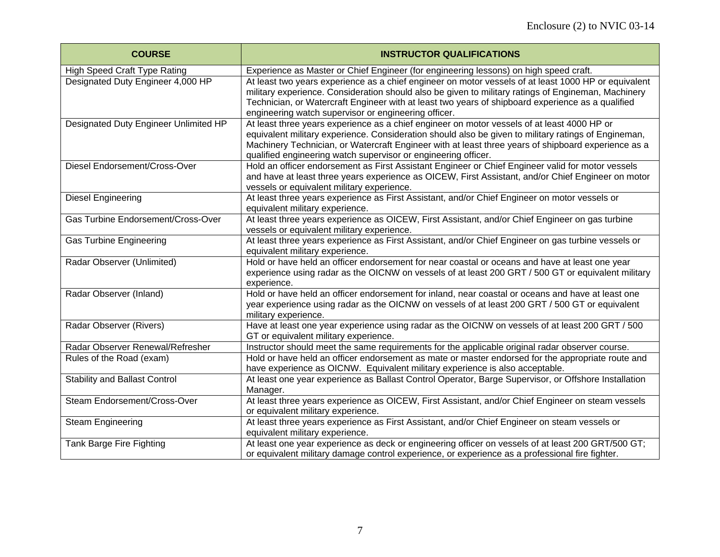| <b>COURSE</b>                         | <b>INSTRUCTOR QUALIFICATIONS</b>                                                                                                                                                                                                                                                                                                                                             |
|---------------------------------------|------------------------------------------------------------------------------------------------------------------------------------------------------------------------------------------------------------------------------------------------------------------------------------------------------------------------------------------------------------------------------|
| <b>High Speed Craft Type Rating</b>   | Experience as Master or Chief Engineer (for engineering lessons) on high speed craft.                                                                                                                                                                                                                                                                                        |
| Designated Duty Engineer 4,000 HP     | At least two years experience as a chief engineer on motor vessels of at least 1000 HP or equivalent<br>military experience. Consideration should also be given to military ratings of Engineman, Machinery<br>Technician, or Watercraft Engineer with at least two years of shipboard experience as a qualified<br>engineering watch supervisor or engineering officer.     |
| Designated Duty Engineer Unlimited HP | At least three years experience as a chief engineer on motor vessels of at least 4000 HP or<br>equivalent military experience. Consideration should also be given to military ratings of Engineman,<br>Machinery Technician, or Watercraft Engineer with at least three years of shipboard experience as a<br>qualified engineering watch supervisor or engineering officer. |
| Diesel Endorsement/Cross-Over         | Hold an officer endorsement as First Assistant Engineer or Chief Engineer valid for motor vessels<br>and have at least three years experience as OICEW, First Assistant, and/or Chief Engineer on motor<br>vessels or equivalent military experience.                                                                                                                        |
| <b>Diesel Engineering</b>             | At least three years experience as First Assistant, and/or Chief Engineer on motor vessels or<br>equivalent military experience.                                                                                                                                                                                                                                             |
| Gas Turbine Endorsement/Cross-Over    | At least three years experience as OICEW, First Assistant, and/or Chief Engineer on gas turbine<br>vessels or equivalent military experience.                                                                                                                                                                                                                                |
| <b>Gas Turbine Engineering</b>        | At least three years experience as First Assistant, and/or Chief Engineer on gas turbine vessels or<br>equivalent military experience.                                                                                                                                                                                                                                       |
| Radar Observer (Unlimited)            | Hold or have held an officer endorsement for near coastal or oceans and have at least one year<br>experience using radar as the OICNW on vessels of at least 200 GRT / 500 GT or equivalent military<br>experience.                                                                                                                                                          |
| Radar Observer (Inland)               | Hold or have held an officer endorsement for inland, near coastal or oceans and have at least one<br>year experience using radar as the OICNW on vessels of at least 200 GRT / 500 GT or equivalent<br>military experience.                                                                                                                                                  |
| Radar Observer (Rivers)               | Have at least one year experience using radar as the OICNW on vessels of at least 200 GRT / 500<br>GT or equivalent military experience.                                                                                                                                                                                                                                     |
| Radar Observer Renewal/Refresher      | Instructor should meet the same requirements for the applicable original radar observer course.                                                                                                                                                                                                                                                                              |
| Rules of the Road (exam)              | Hold or have held an officer endorsement as mate or master endorsed for the appropriate route and<br>have experience as OICNW. Equivalent military experience is also acceptable.                                                                                                                                                                                            |
| <b>Stability and Ballast Control</b>  | At least one year experience as Ballast Control Operator, Barge Supervisor, or Offshore Installation<br>Manager.                                                                                                                                                                                                                                                             |
| Steam Endorsement/Cross-Over          | At least three years experience as OICEW, First Assistant, and/or Chief Engineer on steam vessels<br>or equivalent military experience.                                                                                                                                                                                                                                      |
| Steam Engineering                     | At least three years experience as First Assistant, and/or Chief Engineer on steam vessels or<br>equivalent military experience.                                                                                                                                                                                                                                             |
| Tank Barge Fire Fighting              | At least one year experience as deck or engineering officer on vessels of at least 200 GRT/500 GT;<br>or equivalent military damage control experience, or experience as a professional fire fighter.                                                                                                                                                                        |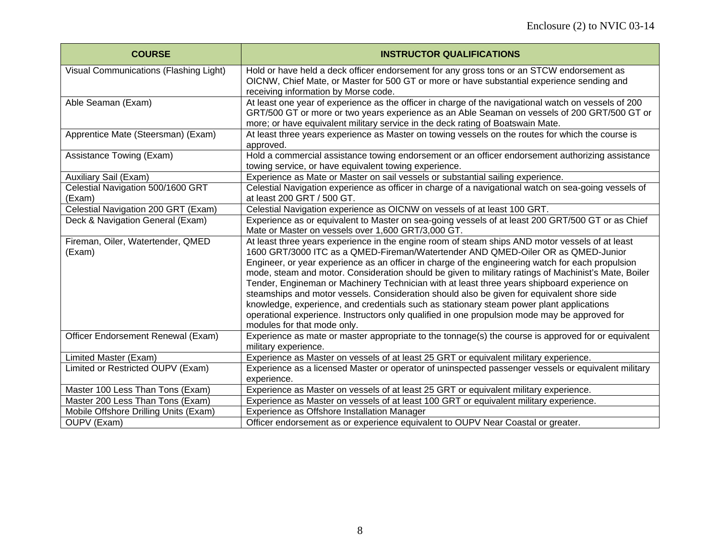| <b>COURSE</b>                          | <b>INSTRUCTOR QUALIFICATIONS</b>                                                                                                         |
|----------------------------------------|------------------------------------------------------------------------------------------------------------------------------------------|
| Visual Communications (Flashing Light) | Hold or have held a deck officer endorsement for any gross tons or an STCW endorsement as                                                |
|                                        | OICNW, Chief Mate, or Master for 500 GT or more or have substantial experience sending and                                               |
|                                        | receiving information by Morse code.                                                                                                     |
| Able Seaman (Exam)                     | At least one year of experience as the officer in charge of the navigational watch on vessels of 200                                     |
|                                        | GRT/500 GT or more or two years experience as an Able Seaman on vessels of 200 GRT/500 GT or                                             |
|                                        | more; or have equivalent military service in the deck rating of Boatswain Mate.                                                          |
| Apprentice Mate (Steersman) (Exam)     | At least three years experience as Master on towing vessels on the routes for which the course is                                        |
|                                        | approved.                                                                                                                                |
| Assistance Towing (Exam)               | Hold a commercial assistance towing endorsement or an officer endorsement authorizing assistance                                         |
| Auxiliary Sail (Exam)                  | towing service, or have equivalent towing experience.<br>Experience as Mate or Master on sail vessels or substantial sailing experience. |
| Celestial Navigation 500/1600 GRT      | Celestial Navigation experience as officer in charge of a navigational watch on sea-going vessels of                                     |
| (Exam)                                 | at least 200 GRT / 500 GT.                                                                                                               |
| Celestial Navigation 200 GRT (Exam)    | Celestial Navigation experience as OICNW on vessels of at least 100 GRT.                                                                 |
| Deck & Navigation General (Exam)       | Experience as or equivalent to Master on sea-going vessels of at least 200 GRT/500 GT or as Chief                                        |
|                                        | Mate or Master on vessels over 1,600 GRT/3,000 GT.                                                                                       |
| Fireman, Oiler, Watertender, QMED      | At least three years experience in the engine room of steam ships AND motor vessels of at least                                          |
| (Exam)                                 | 1600 GRT/3000 ITC as a QMED-Fireman/Watertender AND QMED-Oiler OR as QMED-Junior                                                         |
|                                        | Engineer, or year experience as an officer in charge of the engineering watch for each propulsion                                        |
|                                        | mode, steam and motor. Consideration should be given to military ratings of Machinist's Mate, Boiler                                     |
|                                        | Tender, Engineman or Machinery Technician with at least three years shipboard experience on                                              |
|                                        | steamships and motor vessels. Consideration should also be given for equivalent shore side                                               |
|                                        | knowledge, experience, and credentials such as stationary steam power plant applications                                                 |
|                                        | operational experience. Instructors only qualified in one propulsion mode may be approved for                                            |
|                                        | modules for that mode only.                                                                                                              |
| Officer Endorsement Renewal (Exam)     | Experience as mate or master appropriate to the tonnage(s) the course is approved for or equivalent                                      |
|                                        | military experience.                                                                                                                     |
| Limited Master (Exam)                  | Experience as Master on vessels of at least 25 GRT or equivalent military experience.                                                    |
| Limited or Restricted OUPV (Exam)      | Experience as a licensed Master or operator of uninspected passenger vessels or equivalent military                                      |
|                                        | experience.                                                                                                                              |
| Master 100 Less Than Tons (Exam)       | Experience as Master on vessels of at least 25 GRT or equivalent military experience.                                                    |
| Master 200 Less Than Tons (Exam)       | Experience as Master on vessels of at least 100 GRT or equivalent military experience.                                                   |
| Mobile Offshore Drilling Units (Exam)  | Experience as Offshore Installation Manager                                                                                              |
| OUPV (Exam)                            | Officer endorsement as or experience equivalent to OUPV Near Coastal or greater.                                                         |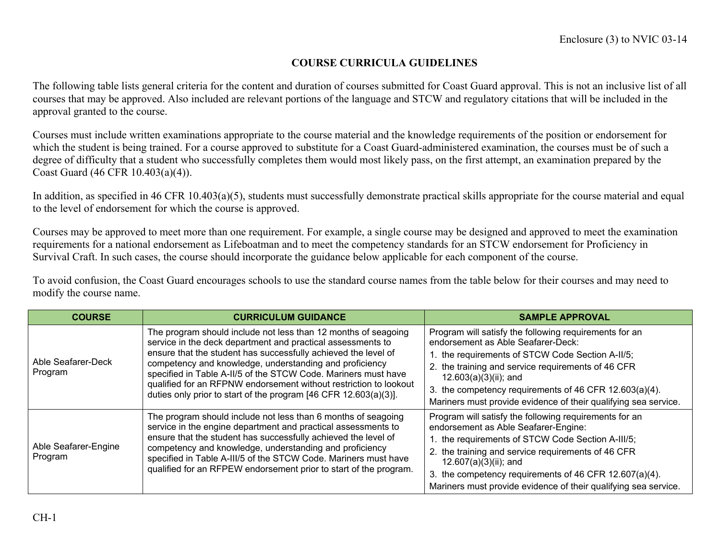### **COURSE CURRICULA GUIDELINES**

The following table lists general criteria for the content and duration of courses submitted for Coast Guard approval. This is not an inclusive list of all courses that may be approved. Also included are relevant portions of the language and STCW and regulatory citations that will be included in the approval granted to the course.

Courses must include written examinations appropriate to the course material and the knowledge requirements of the position or endorsement for which the student is being trained. For a course approved to substitute for a Coast Guard-administered examination, the courses must be of such a degree of difficulty that a student who successfully completes them would most likely pass, on the first attempt, an examination prepared by the Coast Guard (46 CFR 10.403(a)(4)).

In addition, as specified in 46 CFR 10.403(a)(5), students must successfully demonstrate practical skills appropriate for the course material and equal to the level of endorsement for which the course is approved.

Courses may be approved to meet more than one requirement. For example, a single course may be designed and approved to meet the examination requirements for a national endorsement as Lifeboatman and to meet the competency standards for an STCW endorsement for Proficiency in Survival Craft. In such cases, the course should incorporate the guidance below applicable for each component of the course.

To avoid confusion, the Coast Guard encourages schools to use the standard course names from the table below for their courses and may need to modify the course name.

| <b>COURSE</b>                   | <b>CURRICULUM GUIDANCE</b>                                                                                                                                                                                                                                                                                                                                                                                                                                            | <b>SAMPLE APPROVAL</b>                                                                                                                                                                                                                                                                                                                                          |
|---------------------------------|-----------------------------------------------------------------------------------------------------------------------------------------------------------------------------------------------------------------------------------------------------------------------------------------------------------------------------------------------------------------------------------------------------------------------------------------------------------------------|-----------------------------------------------------------------------------------------------------------------------------------------------------------------------------------------------------------------------------------------------------------------------------------------------------------------------------------------------------------------|
| Able Seafarer-Deck<br>Program   | The program should include not less than 12 months of seagoing<br>service in the deck department and practical assessments to<br>ensure that the student has successfully achieved the level of<br>competency and knowledge, understanding and proficiency<br>specified in Table A-II/5 of the STCW Code. Mariners must have<br>qualified for an RFPNW endorsement without restriction to lookout<br>duties only prior to start of the program [46 CFR 12.603(a)(3)]. | Program will satisfy the following requirements for an<br>endorsement as Able Seafarer-Deck:<br>1. the requirements of STCW Code Section A-II/5;<br>2. the training and service requirements of 46 CFR<br>$12.603(a)(3)(ii)$ ; and<br>3. the competency requirements of 46 CFR 12.603(a)(4).<br>Mariners must provide evidence of their qualifying sea service. |
| Able Seafarer-Engine<br>Program | The program should include not less than 6 months of seagoing<br>service in the engine department and practical assessments to<br>ensure that the student has successfully achieved the level of<br>competency and knowledge, understanding and proficiency<br>specified in Table A-III/5 of the STCW Code. Mariners must have<br>qualified for an RFPEW endorsement prior to start of the program.                                                                   | Program will satisfy the following requirements for an<br>endorsement as Able Seafarer-Engine:<br>1. the requirements of STCW Code Section A-III/5;<br>2. the training and service requirements of 46 CFR<br>12.607(a)(3)(ii); and<br>3. the competency requirements of 46 CFR 12.607(a)(4).<br>Mariners must provide evidence of their qualifying sea service. |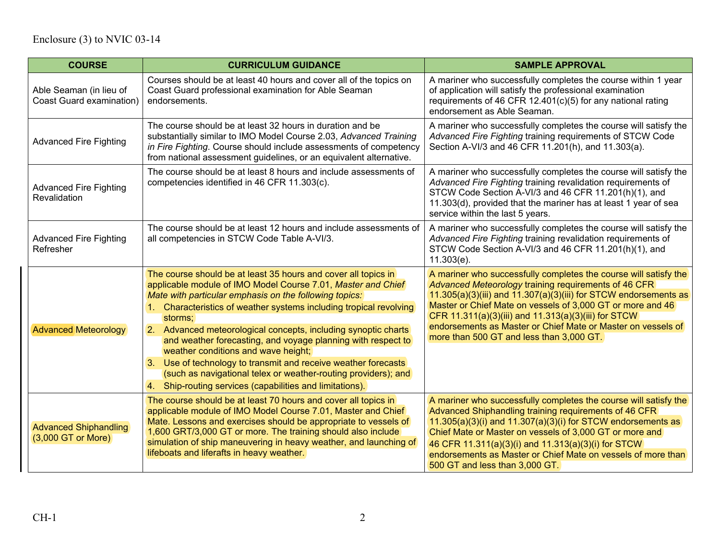| <b>COURSE</b>                                       | <b>CURRICULUM GUIDANCE</b>                                                                                                                                                                                                                                                                                                                                                                                                                                                                                                                                                                                                                         | <b>SAMPLE APPROVAL</b>                                                                                                                                                                                                                                                                                                                                                                                                               |
|-----------------------------------------------------|----------------------------------------------------------------------------------------------------------------------------------------------------------------------------------------------------------------------------------------------------------------------------------------------------------------------------------------------------------------------------------------------------------------------------------------------------------------------------------------------------------------------------------------------------------------------------------------------------------------------------------------------------|--------------------------------------------------------------------------------------------------------------------------------------------------------------------------------------------------------------------------------------------------------------------------------------------------------------------------------------------------------------------------------------------------------------------------------------|
| Able Seaman (in lieu of<br>Coast Guard examination) | Courses should be at least 40 hours and cover all of the topics on<br>Coast Guard professional examination for Able Seaman<br>endorsements.                                                                                                                                                                                                                                                                                                                                                                                                                                                                                                        | A mariner who successfully completes the course within 1 year<br>of application will satisfy the professional examination<br>requirements of 46 CFR 12.401(c)(5) for any national rating<br>endorsement as Able Seaman.                                                                                                                                                                                                              |
| <b>Advanced Fire Fighting</b>                       | The course should be at least 32 hours in duration and be<br>substantially similar to IMO Model Course 2.03, Advanced Training<br>in Fire Fighting. Course should include assessments of competency<br>from national assessment guidelines, or an equivalent alternative.                                                                                                                                                                                                                                                                                                                                                                          | A mariner who successfully completes the course will satisfy the<br>Advanced Fire Fighting training requirements of STCW Code<br>Section A-VI/3 and 46 CFR 11.201(h), and 11.303(a).                                                                                                                                                                                                                                                 |
| <b>Advanced Fire Fighting</b><br>Revalidation       | The course should be at least 8 hours and include assessments of<br>competencies identified in 46 CFR 11.303(c).                                                                                                                                                                                                                                                                                                                                                                                                                                                                                                                                   | A mariner who successfully completes the course will satisfy the<br>Advanced Fire Fighting training revalidation requirements of<br>STCW Code Section A-VI/3 and 46 CFR 11.201(h)(1), and<br>11.303(d), provided that the mariner has at least 1 year of sea<br>service within the last 5 years.                                                                                                                                     |
| <b>Advanced Fire Fighting</b><br>Refresher          | The course should be at least 12 hours and include assessments of<br>all competencies in STCW Code Table A-VI/3.                                                                                                                                                                                                                                                                                                                                                                                                                                                                                                                                   | A mariner who successfully completes the course will satisfy the<br>Advanced Fire Fighting training revalidation requirements of<br>STCW Code Section A-VI/3 and 46 CFR 11.201(h)(1), and<br>$11.303(e)$ .                                                                                                                                                                                                                           |
| <b>Advanced Meteorology</b>                         | The course should be at least 35 hours and cover all topics in<br>applicable module of IMO Model Course 7.01, Master and Chief<br>Mate with particular emphasis on the following topics:<br>1. Characteristics of weather systems including tropical revolving<br>storms;<br>2. Advanced meteorological concepts, including synoptic charts<br>and weather forecasting, and voyage planning with respect to<br>weather conditions and wave height;<br>3. Use of technology to transmit and receive weather forecasts<br>(such as navigational telex or weather-routing providers); and<br>4. Ship-routing services (capabilities and limitations). | A mariner who successfully completes the course will satisfy the<br>Advanced Meteorology training requirements of 46 CFR<br>$11.305(a)(3)$ (iii) and $11.307(a)(3)$ (iii) for STCW endorsements as<br>Master or Chief Mate on vessels of 3,000 GT or more and 46<br>CFR 11.311(a)(3)(iii) and 11.313(a)(3)(iii) for STCW<br>endorsements as Master or Chief Mate or Master on vessels of<br>more than 500 GT and less than 3,000 GT. |
| <b>Advanced Shiphandling</b><br>(3,000 GT or More)  | The course should be at least 70 hours and cover all topics in<br>applicable module of IMO Model Course 7.01, Master and Chief<br>Mate. Lessons and exercises should be appropriate to vessels of<br>1,600 GRT/3,000 GT or more. The training should also include<br>simulation of ship maneuvering in heavy weather, and launching of<br>lifeboats and liferafts in heavy weather.                                                                                                                                                                                                                                                                | A mariner who successfully completes the course will satisfy the<br>Advanced Shiphandling training requirements of 46 CFR<br>$11.305(a)(3)(i)$ and $11.307(a)(3)(i)$ for STCW endorsements as<br>Chief Mate or Master on vessels of 3,000 GT or more and<br>46 CFR 11.311(a)(3)(i) and 11.313(a)(3)(i) for STCW<br>endorsements as Master or Chief Mate on vessels of more than<br>500 GT and less than 3,000 GT.                    |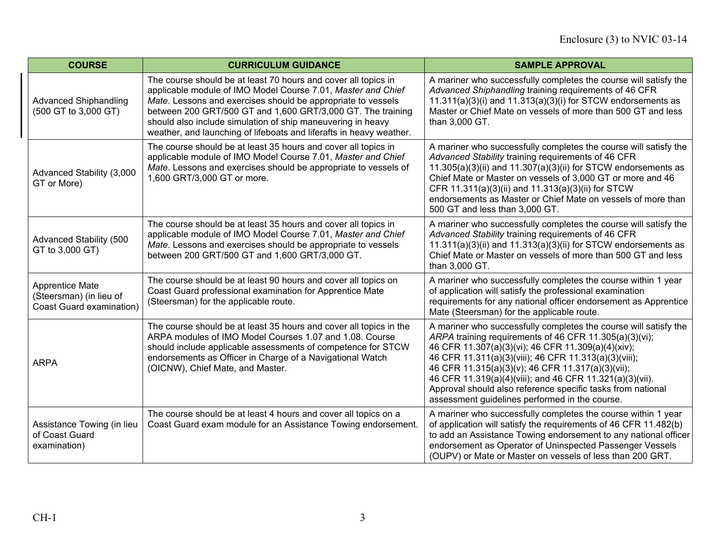| <b>COURSE</b>                                                          | <b>CURRICULUM GUIDANCE</b>                                                                                                                                                                                                                                                                                                                                                                          | <b>SAMPLE APPROVAL</b>                                                                                                                                                                                                                                                                                                                                                                                                                                                      |
|------------------------------------------------------------------------|-----------------------------------------------------------------------------------------------------------------------------------------------------------------------------------------------------------------------------------------------------------------------------------------------------------------------------------------------------------------------------------------------------|-----------------------------------------------------------------------------------------------------------------------------------------------------------------------------------------------------------------------------------------------------------------------------------------------------------------------------------------------------------------------------------------------------------------------------------------------------------------------------|
| <b>Advanced Shiphandling</b><br>(500 GT to 3,000 GT)                   | The course should be at least 70 hours and cover all topics in<br>applicable module of IMO Model Course 7.01, Master and Chief<br>Mate. Lessons and exercises should be appropriate to vessels<br>between 200 GRT/500 GT and 1,600 GRT/3,000 GT. The training<br>should also include simulation of ship maneuvering in heavy<br>weather, and launching of lifeboats and liferafts in heavy weather. | A mariner who successfully completes the course will satisfy the<br>Advanced Shiphandling training requirements of 46 CFR<br>$11.311(a)(3)(i)$ and $11.313(a)(3)(i)$ for STCW endorsements as<br>Master or Chief Mate on vessels of more than 500 GT and less<br>than 3,000 GT.                                                                                                                                                                                             |
| Advanced Stability (3,000<br>GT or More)                               | The course should be at least 35 hours and cover all topics in<br>applicable module of IMO Model Course 7.01, Master and Chief<br>Mate. Lessons and exercises should be appropriate to vessels of<br>1,600 GRT/3,000 GT or more.                                                                                                                                                                    | A mariner who successfully completes the course will satisfy the<br>Advanced Stability training requirements of 46 CFR<br>$11.305(a)(3)(ii)$ and $11.307(a)(3)(ii)$ for STCW endorsements as<br>Chief Mate or Master on vessels of 3,000 GT or more and 46<br>CFR 11.311(a)(3)(ii) and 11.313(a)(3)(ii) for STCW<br>endorsements as Master or Chief Mate on vessels of more than<br>500 GT and less than 3,000 GT.                                                          |
| Advanced Stability (500<br>GT to 3,000 GT)                             | The course should be at least 35 hours and cover all topics in<br>applicable module of IMO Model Course 7.01, Master and Chief<br>Mate. Lessons and exercises should be appropriate to vessels<br>between 200 GRT/500 GT and 1,600 GRT/3,000 GT.                                                                                                                                                    | A mariner who successfully completes the course will satisfy the<br>Advanced Stability training requirements of 46 CFR<br>$11.311(a)(3)(ii)$ and $11.313(a)(3)(ii)$ for STCW endorsements as<br>Chief Mate or Master on vessels of more than 500 GT and less<br>than 3,000 GT.                                                                                                                                                                                              |
| Apprentice Mate<br>(Steersman) (in lieu of<br>Coast Guard examination) | The course should be at least 90 hours and cover all topics on<br>Coast Guard professional examination for Apprentice Mate<br>(Steersman) for the applicable route.                                                                                                                                                                                                                                 | A mariner who successfully completes the course within 1 year<br>of application will satisfy the professional examination<br>requirements for any national officer endorsement as Apprentice<br>Mate (Steersman) for the applicable route.                                                                                                                                                                                                                                  |
| <b>ARPA</b>                                                            | The course should be at least 35 hours and cover all topics in the<br>ARPA modules of IMO Model Courses 1.07 and 1.08. Course<br>should include applicable assessments of competence for STCW<br>endorsements as Officer in Charge of a Navigational Watch<br>(OICNW), Chief Mate, and Master.                                                                                                      | A mariner who successfully completes the course will satisfy the<br>ARPA training requirements of 46 CFR 11.305(a)(3)(vi);<br>46 CFR 11.307(a)(3)(vi); 46 CFR 11.309(a)(4)(xiv);<br>46 CFR 11.311(a)(3)(viii); 46 CFR 11.313(a)(3)(viii);<br>46 CFR 11.315(a)(3)(v); 46 CFR 11.317(a)(3)(vii);<br>46 CFR 11.319(a)(4)(viii); and 46 CFR 11.321(a)(3)(vii).<br>Approval should also reference specific tasks from national<br>assessment guidelines performed in the course. |
| Assistance Towing (in lieu<br>of Coast Guard<br>examination)           | The course should be at least 4 hours and cover all topics on a<br>Coast Guard exam module for an Assistance Towing endorsement.                                                                                                                                                                                                                                                                    | A mariner who successfully completes the course within 1 year<br>of application will satisfy the requirements of 46 CFR 11.482(b)<br>to add an Assistance Towing endorsement to any national officer<br>endorsement as Operator of Uninspected Passenger Vessels<br>(OUPV) or Mate or Master on vessels of less than 200 GRT.                                                                                                                                               |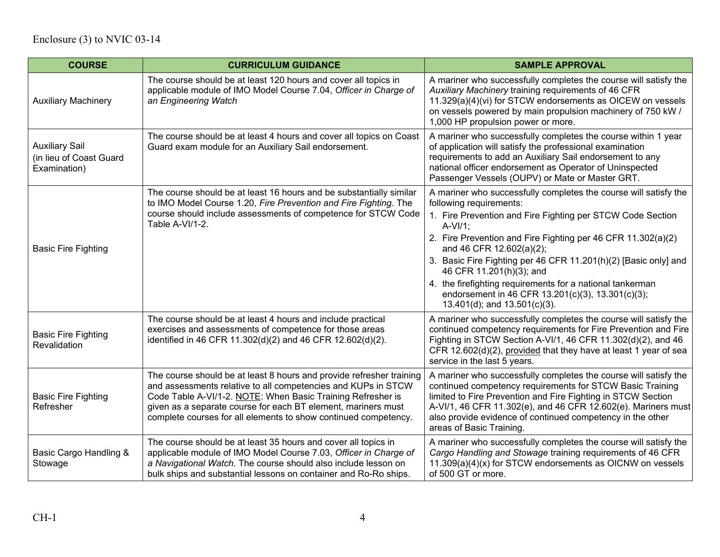| <b>COURSE</b>                                                    | <b>CURRICULUM GUIDANCE</b>                                                                                                                                                                                                                                                                                                               | <b>SAMPLE APPROVAL</b>                                                                                                                                                                                                                                                                                                                                                                                                                                                                                                 |
|------------------------------------------------------------------|------------------------------------------------------------------------------------------------------------------------------------------------------------------------------------------------------------------------------------------------------------------------------------------------------------------------------------------|------------------------------------------------------------------------------------------------------------------------------------------------------------------------------------------------------------------------------------------------------------------------------------------------------------------------------------------------------------------------------------------------------------------------------------------------------------------------------------------------------------------------|
| <b>Auxiliary Machinery</b>                                       | The course should be at least 120 hours and cover all topics in<br>applicable module of IMO Model Course 7.04, Officer in Charge of<br>an Engineering Watch                                                                                                                                                                              | A mariner who successfully completes the course will satisfy the<br>Auxiliary Machinery training requirements of 46 CFR<br>11.329(a)(4)(vi) for STCW endorsements as OICEW on vessels<br>on vessels powered by main propulsion machinery of 750 kW /<br>1,000 HP propulsion power or more.                                                                                                                                                                                                                             |
| <b>Auxiliary Sail</b><br>(in lieu of Coast Guard<br>Examination) | The course should be at least 4 hours and cover all topics on Coast<br>Guard exam module for an Auxiliary Sail endorsement.                                                                                                                                                                                                              | A mariner who successfully completes the course within 1 year<br>of application will satisfy the professional examination<br>requirements to add an Auxiliary Sail endorsement to any<br>national officer endorsement as Operator of Uninspected<br>Passenger Vessels (OUPV) or Mate or Master GRT.                                                                                                                                                                                                                    |
| <b>Basic Fire Fighting</b>                                       | The course should be at least 16 hours and be substantially similar<br>to IMO Model Course 1.20, Fire Prevention and Fire Fighting. The<br>course should include assessments of competence for STCW Code<br>Table A-VI/1-2.                                                                                                              | A mariner who successfully completes the course will satisfy the<br>following requirements:<br>1. Fire Prevention and Fire Fighting per STCW Code Section<br>$A-VI/1;$<br>2. Fire Prevention and Fire Fighting per 46 CFR 11.302(a)(2)<br>and 46 CFR 12.602(a)(2);<br>3. Basic Fire Fighting per 46 CFR 11.201(h)(2) [Basic only] and<br>46 CFR 11.201(h)(3); and<br>4. the firefighting requirements for a national tankerman<br>endorsement in 46 CFR 13.201(c)(3), 13.301(c)(3);<br>13.401(d); and $13.501(c)(3)$ . |
| <b>Basic Fire Fighting</b><br>Revalidation                       | The course should be at least 4 hours and include practical<br>exercises and assessments of competence for those areas<br>identified in 46 CFR 11.302(d)(2) and 46 CFR 12.602(d)(2).                                                                                                                                                     | A mariner who successfully completes the course will satisfy the<br>continued competency requirements for Fire Prevention and Fire<br>Fighting in STCW Section A-VI/1, 46 CFR 11.302(d)(2), and 46<br>CFR 12.602(d)(2), provided that they have at least 1 year of sea<br>service in the last 5 years.                                                                                                                                                                                                                 |
| <b>Basic Fire Fighting</b><br>Refresher                          | The course should be at least 8 hours and provide refresher training<br>and assessments relative to all competencies and KUPs in STCW<br>Code Table A-VI/1-2. NOTE: When Basic Training Refresher is<br>given as a separate course for each BT element, mariners must<br>complete courses for all elements to show continued competency. | A mariner who successfully completes the course will satisfy the<br>continued competency requirements for STCW Basic Training<br>limited to Fire Prevention and Fire Fighting in STCW Section<br>A-VI/1, 46 CFR 11.302(e), and 46 CFR 12.602(e). Mariners must<br>also provide evidence of continued competency in the other<br>areas of Basic Training.                                                                                                                                                               |
| Basic Cargo Handling &<br>Stowage                                | The course should be at least 35 hours and cover all topics in<br>applicable module of IMO Model Course 7.03, Officer in Charge of<br>a Navigational Watch. The course should also include lesson on<br>bulk ships and substantial lessons on container and Ro-Ro ships.                                                                 | A mariner who successfully completes the course will satisfy the<br>Cargo Handling and Stowage training requirements of 46 CFR<br>11.309(a)(4)(x) for STCW endorsements as OICNW on vessels<br>of 500 GT or more.                                                                                                                                                                                                                                                                                                      |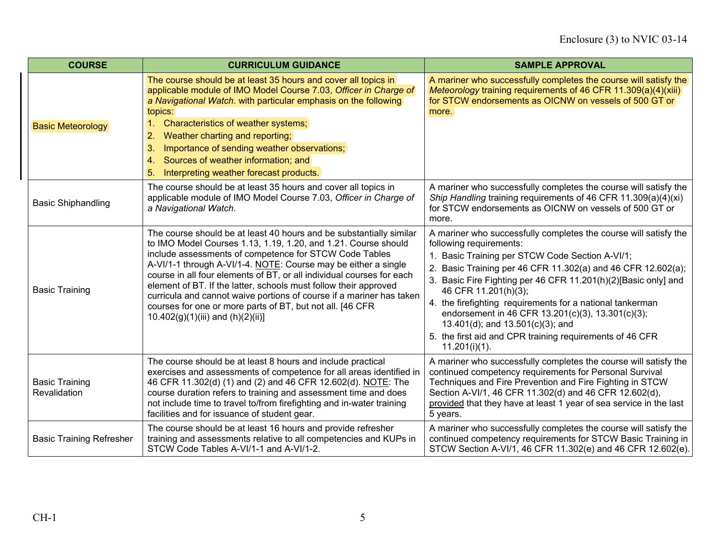| <b>COURSE</b>                         | <b>CURRICULUM GUIDANCE</b>                                                                                                                                                                                                                                                                                                                                                                                                                                                                                                                                                                  | <b>SAMPLE APPROVAL</b>                                                                                                                                                                                                                                                                                                                                                                                                                                                                                                                      |
|---------------------------------------|---------------------------------------------------------------------------------------------------------------------------------------------------------------------------------------------------------------------------------------------------------------------------------------------------------------------------------------------------------------------------------------------------------------------------------------------------------------------------------------------------------------------------------------------------------------------------------------------|---------------------------------------------------------------------------------------------------------------------------------------------------------------------------------------------------------------------------------------------------------------------------------------------------------------------------------------------------------------------------------------------------------------------------------------------------------------------------------------------------------------------------------------------|
| <b>Basic Meteorology</b>              | The course should be at least 35 hours and cover all topics in<br>applicable module of IMO Model Course 7.03, Officer in Charge of<br>a Navigational Watch. with particular emphasis on the following<br>topics:<br>1. Characteristics of weather systems;<br>Weather charting and reporting;<br>2.<br>Importance of sending weather observations;<br>3.<br>Sources of weather information; and<br>4 <sup>1</sup><br>Interpreting weather forecast products.<br>5.                                                                                                                          | A mariner who successfully completes the course will satisfy the<br>Meteorology training requirements of 46 CFR 11.309(a)(4)(xiii)<br>for STCW endorsements as OICNW on vessels of 500 GT or<br>more.                                                                                                                                                                                                                                                                                                                                       |
| <b>Basic Shiphandling</b>             | The course should be at least 35 hours and cover all topics in<br>applicable module of IMO Model Course 7.03, Officer in Charge of<br>a Navigational Watch.                                                                                                                                                                                                                                                                                                                                                                                                                                 | A mariner who successfully completes the course will satisfy the<br>Ship Handling training requirements of 46 CFR 11.309(a)(4)(xi)<br>for STCW endorsements as OICNW on vessels of 500 GT or<br>more.                                                                                                                                                                                                                                                                                                                                       |
| <b>Basic Training</b>                 | The course should be at least 40 hours and be substantially similar<br>to IMO Model Courses 1.13, 1.19, 1.20, and 1.21. Course should<br>include assessments of competence for STCW Code Tables<br>A-VI/1-1 through A-VI/1-4. NOTE: Course may be either a single<br>course in all four elements of BT, or all individual courses for each<br>element of BT. If the latter, schools must follow their approved<br>curricula and cannot waive portions of course if a mariner has taken<br>courses for one or more parts of BT, but not all. [46 CFR<br>$10.402(g)(1)(iii)$ and $(h)(2)(ii)$ | A mariner who successfully completes the course will satisfy the<br>following requirements:<br>Basic Training per STCW Code Section A-VI/1;<br>2. Basic Training per 46 CFR 11.302(a) and 46 CFR 12.602(a);<br>3. Basic Fire Fighting per 46 CFR 11.201(h)(2)[Basic only] and<br>46 CFR 11.201(h)(3);<br>4. the firefighting requirements for a national tankerman<br>endorsement in 46 CFR 13.201(c)(3), 13.301(c)(3);<br>13.401(d); and 13.501(c)(3); and<br>5. the first aid and CPR training requirements of 46 CFR<br>$11.201(i)(1)$ . |
| <b>Basic Training</b><br>Revalidation | The course should be at least 8 hours and include practical<br>exercises and assessments of competence for all areas identified in<br>46 CFR 11.302(d) (1) and (2) and 46 CFR 12.602(d). NOTE: The<br>course duration refers to training and assessment time and does<br>not include time to travel to/from firefighting and in-water training<br>facilities and for issuance of student gear.                                                                                                                                                                                              | A mariner who successfully completes the course will satisfy the<br>continued competency requirements for Personal Survival<br>Techniques and Fire Prevention and Fire Fighting in STCW<br>Section A-VI/1, 46 CFR 11.302(d) and 46 CFR 12.602(d),<br>provided that they have at least 1 year of sea service in the last<br>5 years.                                                                                                                                                                                                         |
| <b>Basic Training Refresher</b>       | The course should be at least 16 hours and provide refresher<br>training and assessments relative to all competencies and KUPs in<br>STCW Code Tables A-VI/1-1 and A-VI/1-2.                                                                                                                                                                                                                                                                                                                                                                                                                | A mariner who successfully completes the course will satisfy the<br>continued competency requirements for STCW Basic Training in<br>STCW Section A-VI/1, 46 CFR 11.302(e) and 46 CFR 12.602(e).                                                                                                                                                                                                                                                                                                                                             |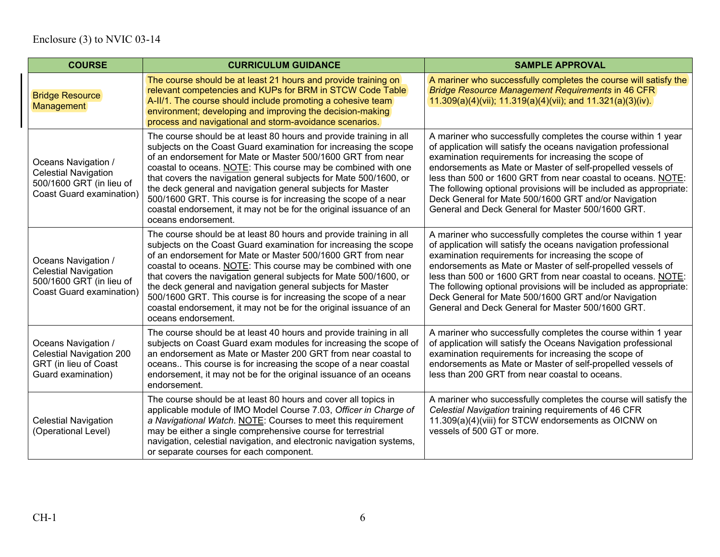| <b>COURSE</b>                                                                                                     | <b>CURRICULUM GUIDANCE</b>                                                                                                                                                                                                                                                                                                                                                                                                                                                                                                                                                 | <b>SAMPLE APPROVAL</b>                                                                                                                                                                                                                                                                                                                                                                                                                                                                                    |
|-------------------------------------------------------------------------------------------------------------------|----------------------------------------------------------------------------------------------------------------------------------------------------------------------------------------------------------------------------------------------------------------------------------------------------------------------------------------------------------------------------------------------------------------------------------------------------------------------------------------------------------------------------------------------------------------------------|-----------------------------------------------------------------------------------------------------------------------------------------------------------------------------------------------------------------------------------------------------------------------------------------------------------------------------------------------------------------------------------------------------------------------------------------------------------------------------------------------------------|
| <b>Bridge Resource</b><br>Management                                                                              | The course should be at least 21 hours and provide training on<br>relevant competencies and KUPs for BRM in STCW Code Table<br>A-II/1. The course should include promoting a cohesive team<br>environment; developing and improving the decision-making<br>process and navigational and storm-avoidance scenarios.                                                                                                                                                                                                                                                         | A mariner who successfully completes the course will satisfy the<br><b>Bridge Resource Management Requirements in 46 CFR</b><br>$11.309(a)(4)(vii); 11.319(a)(4)(vii);$ and $11.321(a)(3)(iv).$                                                                                                                                                                                                                                                                                                           |
| Oceans Navigation /<br><b>Celestial Navigation</b><br>500/1600 GRT (in lieu of<br><b>Coast Guard examination)</b> | The course should be at least 80 hours and provide training in all<br>subjects on the Coast Guard examination for increasing the scope<br>of an endorsement for Mate or Master 500/1600 GRT from near<br>coastal to oceans. NOTE: This course may be combined with one<br>that covers the navigation general subjects for Mate 500/1600, or<br>the deck general and navigation general subjects for Master<br>500/1600 GRT. This course is for increasing the scope of a near<br>coastal endorsement, it may not be for the original issuance of an<br>oceans endorsement. | A mariner who successfully completes the course within 1 year<br>of application will satisfy the oceans navigation professional<br>examination requirements for increasing the scope of<br>endorsements as Mate or Master of self-propelled vessels of<br>less than 500 or 1600 GRT from near coastal to oceans. NOTE:<br>The following optional provisions will be included as appropriate:<br>Deck General for Mate 500/1600 GRT and/or Navigation<br>General and Deck General for Master 500/1600 GRT. |
| Oceans Navigation /<br><b>Celestial Navigation</b><br>500/1600 GRT (in lieu of<br><b>Coast Guard examination)</b> | The course should be at least 80 hours and provide training in all<br>subjects on the Coast Guard examination for increasing the scope<br>of an endorsement for Mate or Master 500/1600 GRT from near<br>coastal to oceans. NOTE: This course may be combined with one<br>that covers the navigation general subjects for Mate 500/1600, or<br>the deck general and navigation general subjects for Master<br>500/1600 GRT. This course is for increasing the scope of a near<br>coastal endorsement, it may not be for the original issuance of an<br>oceans endorsement. | A mariner who successfully completes the course within 1 year<br>of application will satisfy the oceans navigation professional<br>examination requirements for increasing the scope of<br>endorsements as Mate or Master of self-propelled vessels of<br>less than 500 or 1600 GRT from near coastal to oceans. NOTE:<br>The following optional provisions will be included as appropriate:<br>Deck General for Mate 500/1600 GRT and/or Navigation<br>General and Deck General for Master 500/1600 GRT. |
| Oceans Navigation /<br><b>Celestial Navigation 200</b><br>GRT (in lieu of Coast<br>Guard examination)             | The course should be at least 40 hours and provide training in all<br>subjects on Coast Guard exam modules for increasing the scope of<br>an endorsement as Mate or Master 200 GRT from near coastal to<br>oceans This course is for increasing the scope of a near coastal<br>endorsement, it may not be for the original issuance of an oceans<br>endorsement.                                                                                                                                                                                                           | A mariner who successfully completes the course within 1 year<br>of application will satisfy the Oceans Navigation professional<br>examination requirements for increasing the scope of<br>endorsements as Mate or Master of self-propelled vessels of<br>less than 200 GRT from near coastal to oceans.                                                                                                                                                                                                  |
| <b>Celestial Navigation</b><br>(Operational Level)                                                                | The course should be at least 80 hours and cover all topics in<br>applicable module of IMO Model Course 7.03, Officer in Charge of<br>a Navigational Watch. NOTE: Courses to meet this requirement<br>may be either a single comprehensive course for terrestrial<br>navigation, celestial navigation, and electronic navigation systems,<br>or separate courses for each component.                                                                                                                                                                                       | A mariner who successfully completes the course will satisfy the<br>Celestial Navigation training requirements of 46 CFR<br>11.309(a)(4)(viii) for STCW endorsements as OICNW on<br>vessels of 500 GT or more.                                                                                                                                                                                                                                                                                            |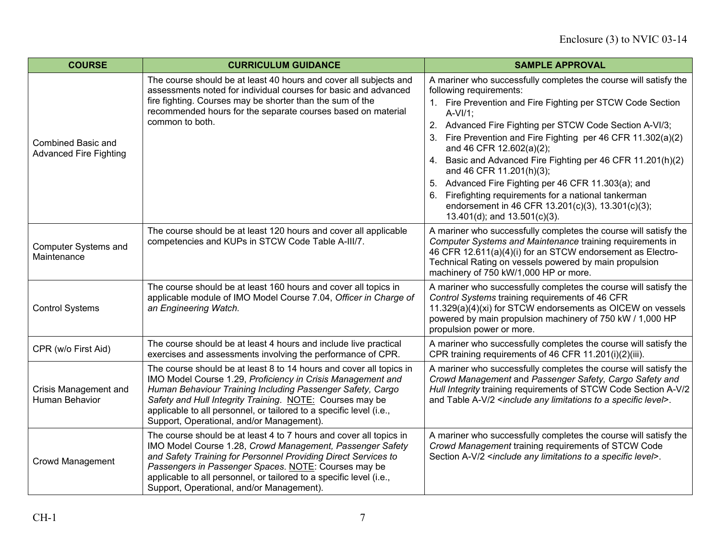| <b>COURSE</b>                                              | <b>CURRICULUM GUIDANCE</b>                                                                                                                                                                                                                                                                                                                                                       | <b>SAMPLE APPROVAL</b>                                                                                                                                                                                                                                                                                                                                                                                                                                                                                                                                                                                                               |
|------------------------------------------------------------|----------------------------------------------------------------------------------------------------------------------------------------------------------------------------------------------------------------------------------------------------------------------------------------------------------------------------------------------------------------------------------|--------------------------------------------------------------------------------------------------------------------------------------------------------------------------------------------------------------------------------------------------------------------------------------------------------------------------------------------------------------------------------------------------------------------------------------------------------------------------------------------------------------------------------------------------------------------------------------------------------------------------------------|
| <b>Combined Basic and</b><br><b>Advanced Fire Fighting</b> | The course should be at least 40 hours and cover all subjects and<br>assessments noted for individual courses for basic and advanced<br>fire fighting. Courses may be shorter than the sum of the<br>recommended hours for the separate courses based on material<br>common to both.                                                                                             | A mariner who successfully completes the course will satisfy the<br>following requirements:<br>1. Fire Prevention and Fire Fighting per STCW Code Section<br>$A-VI/1$ :<br>2. Advanced Fire Fighting per STCW Code Section A-VI/3;<br>Fire Prevention and Fire Fighting per 46 CFR 11.302(a)(2)<br>and 46 CFR 12.602(a)(2);<br>4. Basic and Advanced Fire Fighting per 46 CFR 11.201(h)(2)<br>and 46 CFR 11.201(h)(3);<br>Advanced Fire Fighting per 46 CFR 11.303(a); and<br>5.<br>Firefighting requirements for a national tankerman<br>6.<br>endorsement in 46 CFR 13.201(c)(3), 13.301(c)(3);<br>13.401(d); and $13.501(c)(3)$ . |
| <b>Computer Systems and</b><br>Maintenance                 | The course should be at least 120 hours and cover all applicable<br>competencies and KUPs in STCW Code Table A-III/7.                                                                                                                                                                                                                                                            | A mariner who successfully completes the course will satisfy the<br>Computer Systems and Maintenance training requirements in<br>46 CFR 12.611(a)(4)(i) for an STCW endorsement as Electro-<br>Technical Rating on vessels powered by main propulsion<br>machinery of 750 kW/1,000 HP or more.                                                                                                                                                                                                                                                                                                                                       |
| <b>Control Systems</b>                                     | The course should be at least 160 hours and cover all topics in<br>applicable module of IMO Model Course 7.04, Officer in Charge of<br>an Engineering Watch.                                                                                                                                                                                                                     | A mariner who successfully completes the course will satisfy the<br>Control Systems training requirements of 46 CFR<br>11.329(a)(4)(xi) for STCW endorsements as OICEW on vessels<br>powered by main propulsion machinery of 750 kW / 1,000 HP<br>propulsion power or more.                                                                                                                                                                                                                                                                                                                                                          |
| CPR (w/o First Aid)                                        | The course should be at least 4 hours and include live practical<br>exercises and assessments involving the performance of CPR.                                                                                                                                                                                                                                                  | A mariner who successfully completes the course will satisfy the<br>CPR training requirements of 46 CFR 11.201(i)(2)(iii).                                                                                                                                                                                                                                                                                                                                                                                                                                                                                                           |
| Crisis Management and<br>Human Behavior                    | The course should be at least 8 to 14 hours and cover all topics in<br>IMO Model Course 1.29, Proficiency in Crisis Management and<br>Human Behaviour Training Including Passenger Safety, Cargo<br>Safety and Hull Integrity Training. NOTE: Courses may be<br>applicable to all personnel, or tailored to a specific level (i.e.,<br>Support, Operational, and/or Management). | A mariner who successfully completes the course will satisfy the<br>Crowd Management and Passenger Safety, Cargo Safety and<br>Hull Integrity training requirements of STCW Code Section A-V/2<br>and Table A-V/2 <include a="" any="" level="" limitations="" specific="" to="">.</include>                                                                                                                                                                                                                                                                                                                                         |
| <b>Crowd Management</b>                                    | The course should be at least 4 to 7 hours and cover all topics in<br>IMO Model Course 1.28, Crowd Management, Passenger Safety<br>and Safety Training for Personnel Providing Direct Services to<br>Passengers in Passenger Spaces. NOTE: Courses may be<br>applicable to all personnel, or tailored to a specific level (i.e.,<br>Support, Operational, and/or Management).    | A mariner who successfully completes the course will satisfy the<br>Crowd Management training requirements of STCW Code<br>Section A-V/2 <include a="" any="" level="" limitations="" specific="" to="">.</include>                                                                                                                                                                                                                                                                                                                                                                                                                  |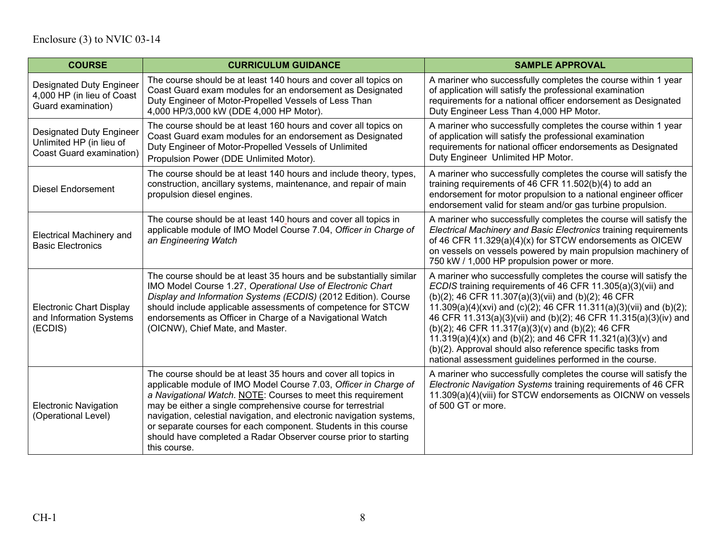| <b>COURSE</b>                                                                           | <b>CURRICULUM GUIDANCE</b>                                                                                                                                                                                                                                                                                                                                                                                                                                                                      | <b>SAMPLE APPROVAL</b>                                                                                                                                                                                                                                                                                                                                                                                                                                                                                                                                                       |
|-----------------------------------------------------------------------------------------|-------------------------------------------------------------------------------------------------------------------------------------------------------------------------------------------------------------------------------------------------------------------------------------------------------------------------------------------------------------------------------------------------------------------------------------------------------------------------------------------------|------------------------------------------------------------------------------------------------------------------------------------------------------------------------------------------------------------------------------------------------------------------------------------------------------------------------------------------------------------------------------------------------------------------------------------------------------------------------------------------------------------------------------------------------------------------------------|
| <b>Designated Duty Engineer</b><br>4,000 HP (in lieu of Coast<br>Guard examination)     | The course should be at least 140 hours and cover all topics on<br>Coast Guard exam modules for an endorsement as Designated<br>Duty Engineer of Motor-Propelled Vessels of Less Than<br>4,000 HP/3,000 kW (DDE 4,000 HP Motor).                                                                                                                                                                                                                                                                | A mariner who successfully completes the course within 1 year<br>of application will satisfy the professional examination<br>requirements for a national officer endorsement as Designated<br>Duty Engineer Less Than 4,000 HP Motor.                                                                                                                                                                                                                                                                                                                                        |
| <b>Designated Duty Engineer</b><br>Unlimited HP (in lieu of<br>Coast Guard examination) | The course should be at least 160 hours and cover all topics on<br>Coast Guard exam modules for an endorsement as Designated<br>Duty Engineer of Motor-Propelled Vessels of Unlimited<br>Propulsion Power (DDE Unlimited Motor).                                                                                                                                                                                                                                                                | A mariner who successfully completes the course within 1 year<br>of application will satisfy the professional examination<br>requirements for national officer endorsements as Designated<br>Duty Engineer Unlimited HP Motor.                                                                                                                                                                                                                                                                                                                                               |
| <b>Diesel Endorsement</b>                                                               | The course should be at least 140 hours and include theory, types,<br>construction, ancillary systems, maintenance, and repair of main<br>propulsion diesel engines.                                                                                                                                                                                                                                                                                                                            | A mariner who successfully completes the course will satisfy the<br>training requirements of 46 CFR 11.502(b)(4) to add an<br>endorsement for motor propulsion to a national engineer officer<br>endorsement valid for steam and/or gas turbine propulsion.                                                                                                                                                                                                                                                                                                                  |
| <b>Electrical Machinery and</b><br><b>Basic Electronics</b>                             | The course should be at least 140 hours and cover all topics in<br>applicable module of IMO Model Course 7.04, Officer in Charge of<br>an Engineering Watch                                                                                                                                                                                                                                                                                                                                     | A mariner who successfully completes the course will satisfy the<br>Electrical Machinery and Basic Electronics training requirements<br>of 46 CFR 11.329(a)(4)(x) for STCW endorsements as OICEW<br>on vessels on vessels powered by main propulsion machinery of<br>750 kW / 1,000 HP propulsion power or more.                                                                                                                                                                                                                                                             |
| <b>Electronic Chart Display</b><br>and Information Systems<br>(ECDIS)                   | The course should be at least 35 hours and be substantially similar<br>IMO Model Course 1.27, Operational Use of Electronic Chart<br>Display and Information Systems (ECDIS) (2012 Edition). Course<br>should include applicable assessments of competence for STCW<br>endorsements as Officer in Charge of a Navigational Watch<br>(OICNW), Chief Mate, and Master.                                                                                                                            | A mariner who successfully completes the course will satisfy the<br>ECDIS training requirements of 46 CFR 11.305(a)(3)(vii) and<br>(b)(2); 46 CFR 11.307(a)(3)(vii) and (b)(2); 46 CFR<br>11.309(a)(4)(xvi) and (c)(2); 46 CFR 11.311(a)(3)(vii) and (b)(2);<br>46 CFR 11.313(a)(3)(vii) and (b)(2); 46 CFR 11.315(a)(3)(iv) and<br>(b)(2); 46 CFR 11.317(a)(3)(v) and (b)(2); 46 CFR<br>11.319(a)(4)(x) and (b)(2); and 46 CFR 11.321(a)(3)(v) and<br>(b)(2). Approval should also reference specific tasks from<br>national assessment guidelines performed in the course. |
| <b>Electronic Navigation</b><br>(Operational Level)                                     | The course should be at least 35 hours and cover all topics in<br>applicable module of IMO Model Course 7.03, Officer in Charge of<br>a Navigational Watch. NOTE: Courses to meet this requirement<br>may be either a single comprehensive course for terrestrial<br>navigation, celestial navigation, and electronic navigation systems,<br>or separate courses for each component. Students in this course<br>should have completed a Radar Observer course prior to starting<br>this course. | A mariner who successfully completes the course will satisfy the<br>Electronic Navigation Systems training requirements of 46 CFR<br>11.309(a)(4)(viii) for STCW endorsements as OICNW on vessels<br>of 500 GT or more.                                                                                                                                                                                                                                                                                                                                                      |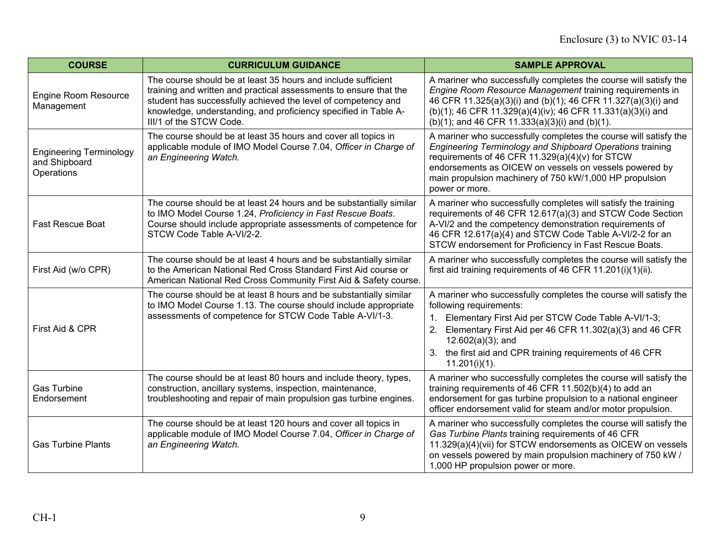| <b>COURSE</b>                                                 | <b>CURRICULUM GUIDANCE</b>                                                                                                                                                                                                                                                                        | <b>SAMPLE APPROVAL</b>                                                                                                                                                                                                                                                                                                       |
|---------------------------------------------------------------|---------------------------------------------------------------------------------------------------------------------------------------------------------------------------------------------------------------------------------------------------------------------------------------------------|------------------------------------------------------------------------------------------------------------------------------------------------------------------------------------------------------------------------------------------------------------------------------------------------------------------------------|
| <b>Engine Room Resource</b><br>Management                     | The course should be at least 35 hours and include sufficient<br>training and written and practical assessments to ensure that the<br>student has successfully achieved the level of competency and<br>knowledge, understanding, and proficiency specified in Table A-<br>III/1 of the STCW Code. | A mariner who successfully completes the course will satisfy the<br>Engine Room Resource Management training requirements in<br>46 CFR 11.325(a)(3)(i) and (b)(1); 46 CFR 11.327(a)(3)(i) and<br>(b)(1); 46 CFR 11.329(a)(4)(iv); 46 CFR 11.331(a)(3)(i) and<br>(b)(1); and 46 CFR 11.333(a)(3)(i) and (b)(1).               |
| <b>Engineering Terminology</b><br>and Shipboard<br>Operations | The course should be at least 35 hours and cover all topics in<br>applicable module of IMO Model Course 7.04, Officer in Charge of<br>an Engineering Watch.                                                                                                                                       | A mariner who successfully completes the course will satisfy the<br>Engineering Terminology and Shipboard Operations training<br>requirements of 46 CFR 11.329(a)(4)(v) for STCW<br>endorsements as OICEW on vessels on vessels powered by<br>main propulsion machinery of 750 kW/1,000 HP propulsion<br>power or more.      |
| <b>Fast Rescue Boat</b>                                       | The course should be at least 24 hours and be substantially similar<br>to IMO Model Course 1.24, Proficiency in Fast Rescue Boats.<br>Course should include appropriate assessments of competence for<br>STCW Code Table A-VI/2-2.                                                                | A mariner who successfully completes will satisfy the training<br>requirements of 46 CFR 12.617(a)(3) and STCW Code Section<br>A-VI/2 and the competency demonstration requirements of<br>46 CFR 12.617(a)(4) and STCW Code Table A-VI/2-2 for an<br>STCW endorsement for Proficiency in Fast Rescue Boats.                  |
| First Aid (w/o CPR)                                           | The course should be at least 4 hours and be substantially similar<br>to the American National Red Cross Standard First Aid course or<br>American National Red Cross Community First Aid & Safety course.                                                                                         | A mariner who successfully completes the course will satisfy the<br>first aid training requirements of 46 CFR 11.201(i)(1)(ii).                                                                                                                                                                                              |
| First Aid & CPR                                               | The course should be at least 8 hours and be substantially similar<br>to IMO Model Course 1.13. The course should include appropriate<br>assessments of competence for STCW Code Table A-VI/1-3.                                                                                                  | A mariner who successfully completes the course will satisfy the<br>following requirements:<br>Elementary First Aid per STCW Code Table A-VI/1-3;<br>$1_{-}$<br>Elementary First Aid per 46 CFR 11.302(a)(3) and 46 CFR<br>$12.602(a)(3)$ ; and<br>the first aid and CPR training requirements of 46 CFR<br>$11.201(i)(1)$ . |
| <b>Gas Turbine</b><br>Endorsement                             | The course should be at least 80 hours and include theory, types,<br>construction, ancillary systems, inspection, maintenance,<br>troubleshooting and repair of main propulsion gas turbine engines.                                                                                              | A mariner who successfully completes the course will satisfy the<br>training requirements of 46 CFR 11.502(b)(4) to add an<br>endorsement for gas turbine propulsion to a national engineer<br>officer endorsement valid for steam and/or motor propulsion.                                                                  |
| <b>Gas Turbine Plants</b>                                     | The course should be at least 120 hours and cover all topics in<br>applicable module of IMO Model Course 7.04, Officer in Charge of<br>an Engineering Watch.                                                                                                                                      | A mariner who successfully completes the course will satisfy the<br>Gas Turbine Plants training requirements of 46 CFR<br>11.329(a)(4)(vii) for STCW endorsements as OICEW on vessels<br>on vessels powered by main propulsion machinery of 750 kW /<br>1,000 HP propulsion power or more.                                   |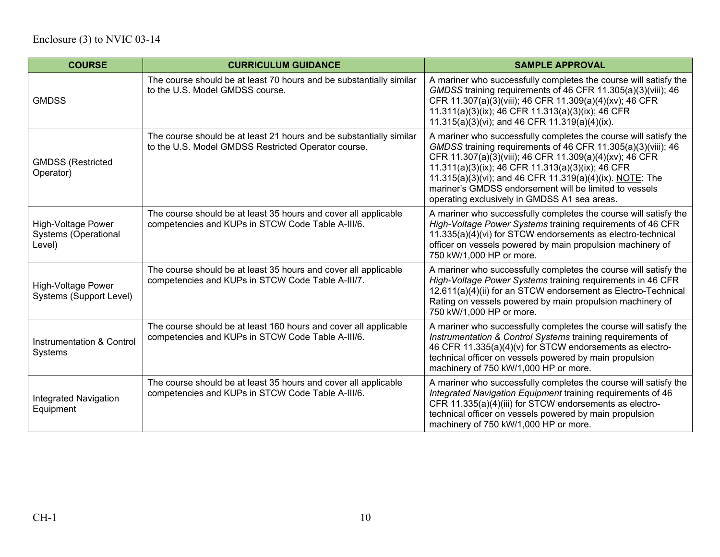| <b>COURSE</b>                                                      | <b>CURRICULUM GUIDANCE</b>                                                                                                 | <b>SAMPLE APPROVAL</b>                                                                                                                                                                                                                                                                                                                                                                                                 |
|--------------------------------------------------------------------|----------------------------------------------------------------------------------------------------------------------------|------------------------------------------------------------------------------------------------------------------------------------------------------------------------------------------------------------------------------------------------------------------------------------------------------------------------------------------------------------------------------------------------------------------------|
| <b>GMDSS</b>                                                       | The course should be at least 70 hours and be substantially similar<br>to the U.S. Model GMDSS course.                     | A mariner who successfully completes the course will satisfy the<br>GMDSS training requirements of 46 CFR 11.305(a)(3)(viii); 46<br>CFR 11.307(a)(3)(viii); 46 CFR 11.309(a)(4)(xv); 46 CFR<br>11.311(a)(3)(ix); 46 CFR 11.313(a)(3)(ix); 46 CFR<br>11.315(a)(3)(vi); and 46 CFR 11.319(a)(4)(ix).                                                                                                                     |
| <b>GMDSS (Restricted</b><br>Operator)                              | The course should be at least 21 hours and be substantially similar<br>to the U.S. Model GMDSS Restricted Operator course. | A mariner who successfully completes the course will satisfy the<br>GMDSS training requirements of 46 CFR 11.305(a)(3)(viii); 46<br>CFR 11.307(a)(3)(viii); 46 CFR 11.309(a)(4)(xv); 46 CFR<br>11.311(a)(3)(ix); 46 CFR 11.313(a)(3)(ix); 46 CFR<br>11.315(a)(3)(vi); and 46 CFR 11.319(a)(4)(ix). NOTE: The<br>mariner's GMDSS endorsement will be limited to vessels<br>operating exclusively in GMDSS A1 sea areas. |
| <b>High-Voltage Power</b><br><b>Systems (Operational</b><br>Level) | The course should be at least 35 hours and cover all applicable<br>competencies and KUPs in STCW Code Table A-III/6.       | A mariner who successfully completes the course will satisfy the<br>High-Voltage Power Systems training requirements of 46 CFR<br>11.335(a)(4)(vi) for STCW endorsements as electro-technical<br>officer on vessels powered by main propulsion machinery of<br>750 kW/1,000 HP or more.                                                                                                                                |
| <b>High-Voltage Power</b><br>Systems (Support Level)               | The course should be at least 35 hours and cover all applicable<br>competencies and KUPs in STCW Code Table A-III/7.       | A mariner who successfully completes the course will satisfy the<br>High-Voltage Power Systems training requirements in 46 CFR<br>12.611(a)(4)(ii) for an STCW endorsement as Electro-Technical<br>Rating on vessels powered by main propulsion machinery of<br>750 kW/1,000 HP or more.                                                                                                                               |
| Instrumentation & Control<br>Systems                               | The course should be at least 160 hours and cover all applicable<br>competencies and KUPs in STCW Code Table A-III/6.      | A mariner who successfully completes the course will satisfy the<br>Instrumentation & Control Systems training requirements of<br>46 CFR 11.335(a)(4)(v) for STCW endorsements as electro-<br>technical officer on vessels powered by main propulsion<br>machinery of 750 kW/1,000 HP or more.                                                                                                                         |
| <b>Integrated Navigation</b><br>Equipment                          | The course should be at least 35 hours and cover all applicable<br>competencies and KUPs in STCW Code Table A-III/6.       | A mariner who successfully completes the course will satisfy the<br>Integrated Navigation Equipment training requirements of 46<br>CFR 11.335(a)(4)(iii) for STCW endorsements as electro-<br>technical officer on vessels powered by main propulsion<br>machinery of 750 kW/1,000 HP or more.                                                                                                                         |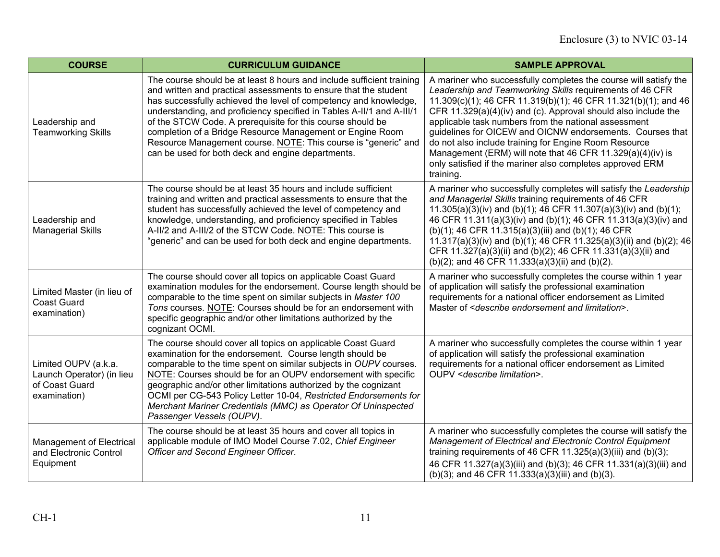| <b>COURSE</b>                                                                       | <b>CURRICULUM GUIDANCE</b>                                                                                                                                                                                                                                                                                                                                                                                                                                                                                                               | <b>SAMPLE APPROVAL</b>                                                                                                                                                                                                                                                                                                                                                                                                                                                                                                                                                                   |
|-------------------------------------------------------------------------------------|------------------------------------------------------------------------------------------------------------------------------------------------------------------------------------------------------------------------------------------------------------------------------------------------------------------------------------------------------------------------------------------------------------------------------------------------------------------------------------------------------------------------------------------|------------------------------------------------------------------------------------------------------------------------------------------------------------------------------------------------------------------------------------------------------------------------------------------------------------------------------------------------------------------------------------------------------------------------------------------------------------------------------------------------------------------------------------------------------------------------------------------|
| Leadership and<br><b>Teamworking Skills</b>                                         | The course should be at least 8 hours and include sufficient training<br>and written and practical assessments to ensure that the student<br>has successfully achieved the level of competency and knowledge,<br>understanding, and proficiency specified in Tables A-II/1 and A-III/1<br>of the STCW Code. A prerequisite for this course should be<br>completion of a Bridge Resource Management or Engine Room<br>Resource Management course. NOTE: This course is "generic" and<br>can be used for both deck and engine departments. | A mariner who successfully completes the course will satisfy the<br>Leadership and Teamworking Skills requirements of 46 CFR<br>11.309(c)(1); 46 CFR 11.319(b)(1); 46 CFR 11.321(b)(1); and 46<br>CFR $11.329(a)(4)(iv)$ and (c). Approval should also include the<br>applicable task numbers from the national assessment<br>guidelines for OICEW and OICNW endorsements. Courses that<br>do not also include training for Engine Room Resource<br>Management (ERM) will note that 46 CFR 11.329(a)(4)(iv) is<br>only satisfied if the mariner also completes approved ERM<br>training. |
| Leadership and<br><b>Managerial Skills</b>                                          | The course should be at least 35 hours and include sufficient<br>training and written and practical assessments to ensure that the<br>student has successfully achieved the level of competency and<br>knowledge, understanding, and proficiency specified in Tables<br>A-II/2 and A-III/2 of the STCW Code. NOTE: This course is<br>"generic" and can be used for both deck and engine departments.                                                                                                                                     | A mariner who successfully completes will satisfy the Leadership<br>and Managerial Skills training requirements of 46 CFR<br>11.305(a)(3)(iv) and (b)(1); 46 CFR 11.307(a)(3)(iv) and (b)(1);<br>46 CFR 11.311(a)(3)(iv) and (b)(1); 46 CFR 11.313(a)(3)(iv) and<br>(b)(1); 46 CFR 11.315(a)(3)(iii) and (b)(1); 46 CFR<br>11.317(a)(3)(iv) and (b)(1); 46 CFR 11.325(a)(3)(ii) and (b)(2); 46<br>CFR 11.327(a)(3)(ii) and (b)(2); 46 CFR 11.331(a)(3)(ii) and<br>(b)(2); and 46 CFR 11.333(a)(3)(ii) and (b)(2).                                                                        |
| Limited Master (in lieu of<br><b>Coast Guard</b><br>examination)                    | The course should cover all topics on applicable Coast Guard<br>examination modules for the endorsement. Course length should be<br>comparable to the time spent on similar subjects in Master 100<br>Tons courses. NOTE: Courses should be for an endorsement with<br>specific geographic and/or other limitations authorized by the<br>cognizant OCMI.                                                                                                                                                                                 | A mariner who successfully completes the course within 1 year<br>of application will satisfy the professional examination<br>requirements for a national officer endorsement as Limited<br>Master of <describe and="" endorsement="" limitation="">.</describe>                                                                                                                                                                                                                                                                                                                          |
| Limited OUPV (a.k.a.<br>Launch Operator) (in lieu<br>of Coast Guard<br>examination) | The course should cover all topics on applicable Coast Guard<br>examination for the endorsement. Course length should be<br>comparable to the time spent on similar subjects in OUPV courses.<br>NOTE: Courses should be for an OUPV endorsement with specific<br>geographic and/or other limitations authorized by the cognizant<br>OCMI per CG-543 Policy Letter 10-04, Restricted Endorsements for<br>Merchant Mariner Credentials (MMC) as Operator Of Uninspected<br>Passenger Vessels (OUPV).                                      | A mariner who successfully completes the course within 1 year<br>of application will satisfy the professional examination<br>requirements for a national officer endorsement as Limited<br>OUPV <describe limitation="">.</describe>                                                                                                                                                                                                                                                                                                                                                     |
| Management of Electrical<br>and Electronic Control<br>Equipment                     | The course should be at least 35 hours and cover all topics in<br>applicable module of IMO Model Course 7.02, Chief Engineer<br>Officer and Second Engineer Officer.                                                                                                                                                                                                                                                                                                                                                                     | A mariner who successfully completes the course will satisfy the<br>Management of Electrical and Electronic Control Equipment<br>training requirements of 46 CFR $11.325(a)(3)(iii)$ and $(b)(3);$<br>46 CFR 11.327(a)(3)(iii) and (b)(3); 46 CFR 11.331(a)(3)(iii) and<br>(b)(3); and 46 CFR 11.333(a)(3)(iii) and (b)(3).                                                                                                                                                                                                                                                              |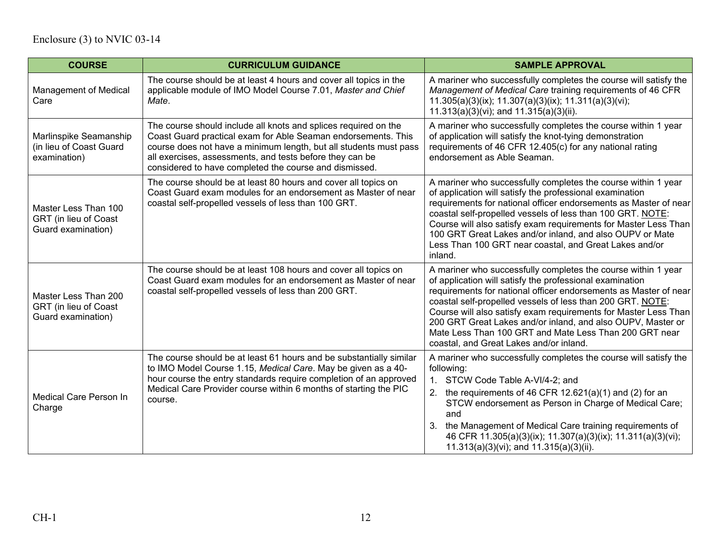| <b>COURSE</b>                                                       | <b>CURRICULUM GUIDANCE</b>                                                                                                                                                                                                                                                                                                  | <b>SAMPLE APPROVAL</b>                                                                                                                                                                                                                                                                                                                                                                                                                                                                             |
|---------------------------------------------------------------------|-----------------------------------------------------------------------------------------------------------------------------------------------------------------------------------------------------------------------------------------------------------------------------------------------------------------------------|----------------------------------------------------------------------------------------------------------------------------------------------------------------------------------------------------------------------------------------------------------------------------------------------------------------------------------------------------------------------------------------------------------------------------------------------------------------------------------------------------|
| <b>Management of Medical</b><br>Care                                | The course should be at least 4 hours and cover all topics in the<br>applicable module of IMO Model Course 7.01, Master and Chief<br>Mate.                                                                                                                                                                                  | A mariner who successfully completes the course will satisfy the<br>Management of Medical Care training requirements of 46 CFR<br>$11.305(a)(3)(ix); 11.307(a)(3)(ix); 11.311(a)(3)(vi);$<br>$11.313(a)(3)(vi)$ ; and $11.315(a)(3)(ii)$ .                                                                                                                                                                                                                                                         |
| Marlinspike Seamanship<br>(in lieu of Coast Guard<br>examination)   | The course should include all knots and splices required on the<br>Coast Guard practical exam for Able Seaman endorsements. This<br>course does not have a minimum length, but all students must pass<br>all exercises, assessments, and tests before they can be<br>considered to have completed the course and dismissed. | A mariner who successfully completes the course within 1 year<br>of application will satisfy the knot-tying demonstration<br>requirements of 46 CFR 12.405(c) for any national rating<br>endorsement as Able Seaman.                                                                                                                                                                                                                                                                               |
| Master Less Than 100<br>GRT (in lieu of Coast<br>Guard examination) | The course should be at least 80 hours and cover all topics on<br>Coast Guard exam modules for an endorsement as Master of near<br>coastal self-propelled vessels of less than 100 GRT.                                                                                                                                     | A mariner who successfully completes the course within 1 year<br>of application will satisfy the professional examination<br>requirements for national officer endorsements as Master of near<br>coastal self-propelled vessels of less than 100 GRT. NOTE:<br>Course will also satisfy exam requirements for Master Less Than<br>100 GRT Great Lakes and/or inland, and also OUPV or Mate<br>Less Than 100 GRT near coastal, and Great Lakes and/or<br>inland.                                    |
| Master Less Than 200<br>GRT (in lieu of Coast<br>Guard examination) | The course should be at least 108 hours and cover all topics on<br>Coast Guard exam modules for an endorsement as Master of near<br>coastal self-propelled vessels of less than 200 GRT.                                                                                                                                    | A mariner who successfully completes the course within 1 year<br>of application will satisfy the professional examination<br>requirements for national officer endorsements as Master of near<br>coastal self-propelled vessels of less than 200 GRT. NOTE:<br>Course will also satisfy exam requirements for Master Less Than<br>200 GRT Great Lakes and/or inland, and also OUPV, Master or<br>Mate Less Than 100 GRT and Mate Less Than 200 GRT near<br>coastal, and Great Lakes and/or inland. |
| Medical Care Person In<br>Charge                                    | The course should be at least 61 hours and be substantially similar<br>to IMO Model Course 1.15, Medical Care. May be given as a 40-<br>hour course the entry standards require completion of an approved<br>Medical Care Provider course within 6 months of starting the PIC<br>course.                                    | A mariner who successfully completes the course will satisfy the<br>following:<br>1. STCW Code Table A-VI/4-2; and<br>the requirements of 46 CFR 12.621(a)(1) and (2) for an<br>STCW endorsement as Person in Charge of Medical Care;<br>and<br>the Management of Medical Care training requirements of<br>46 CFR 11.305(a)(3)(ix); 11.307(a)(3)(ix); 11.311(a)(3)(vi);<br>$11.313(a)(3)(vi)$ ; and $11.315(a)(3)(ii)$ .                                                                           |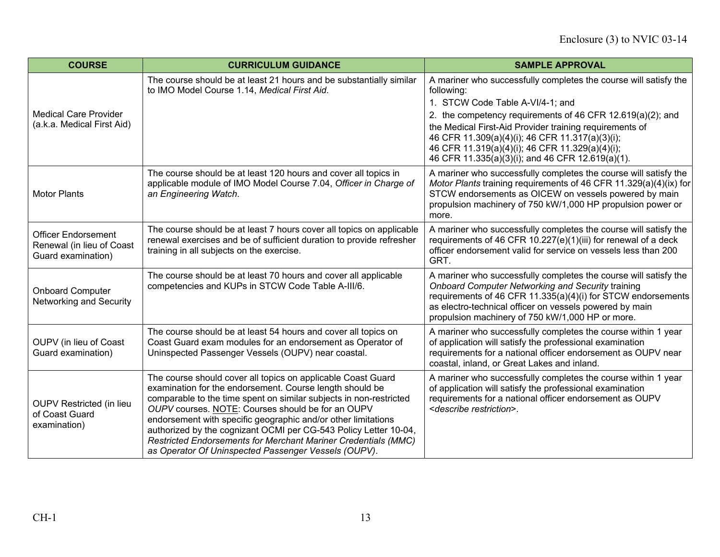| <b>COURSE</b>                                                                 | <b>CURRICULUM GUIDANCE</b>                                                                                                                                                                                                                                                                                                                                                                                                                                                                                                | <b>SAMPLE APPROVAL</b>                                                                                                                                                                                                                                                                                                                                                                                |
|-------------------------------------------------------------------------------|---------------------------------------------------------------------------------------------------------------------------------------------------------------------------------------------------------------------------------------------------------------------------------------------------------------------------------------------------------------------------------------------------------------------------------------------------------------------------------------------------------------------------|-------------------------------------------------------------------------------------------------------------------------------------------------------------------------------------------------------------------------------------------------------------------------------------------------------------------------------------------------------------------------------------------------------|
| <b>Medical Care Provider</b><br>(a.k.a. Medical First Aid)                    | The course should be at least 21 hours and be substantially similar<br>to IMO Model Course 1.14, Medical First Aid.                                                                                                                                                                                                                                                                                                                                                                                                       | A mariner who successfully completes the course will satisfy the<br>following:<br>1. STCW Code Table A-VI/4-1; and<br>2. the competency requirements of 46 CFR 12.619(a)(2); and<br>the Medical First-Aid Provider training requirements of<br>46 CFR 11.309(a)(4)(i); 46 CFR 11.317(a)(3)(i);<br>46 CFR 11.319(a)(4)(i); 46 CFR 11.329(a)(4)(i);<br>46 CFR 11.335(a)(3)(i); and 46 CFR 12.619(a)(1). |
| <b>Motor Plants</b>                                                           | The course should be at least 120 hours and cover all topics in<br>applicable module of IMO Model Course 7.04, Officer in Charge of<br>an Engineering Watch.                                                                                                                                                                                                                                                                                                                                                              | A mariner who successfully completes the course will satisfy the<br>Motor Plants training requirements of 46 CFR 11.329(a)(4)(ix) for<br>STCW endorsements as OICEW on vessels powered by main<br>propulsion machinery of 750 kW/1,000 HP propulsion power or<br>more.                                                                                                                                |
| <b>Officer Endorsement</b><br>Renewal (in lieu of Coast<br>Guard examination) | The course should be at least 7 hours cover all topics on applicable<br>renewal exercises and be of sufficient duration to provide refresher<br>training in all subjects on the exercise.                                                                                                                                                                                                                                                                                                                                 | A mariner who successfully completes the course will satisfy the<br>requirements of 46 CFR 10.227(e)(1)(iii) for renewal of a deck<br>officer endorsement valid for service on vessels less than 200<br>GRT.                                                                                                                                                                                          |
| <b>Onboard Computer</b><br>Networking and Security                            | The course should be at least 70 hours and cover all applicable<br>competencies and KUPs in STCW Code Table A-III/6.                                                                                                                                                                                                                                                                                                                                                                                                      | A mariner who successfully completes the course will satisfy the<br>Onboard Computer Networking and Security training<br>requirements of 46 CFR 11.335(a)(4)(i) for STCW endorsements<br>as electro-technical officer on vessels powered by main<br>propulsion machinery of 750 kW/1,000 HP or more.                                                                                                  |
| OUPV (in lieu of Coast<br>Guard examination)                                  | The course should be at least 54 hours and cover all topics on<br>Coast Guard exam modules for an endorsement as Operator of<br>Uninspected Passenger Vessels (OUPV) near coastal.                                                                                                                                                                                                                                                                                                                                        | A mariner who successfully completes the course within 1 year<br>of application will satisfy the professional examination<br>requirements for a national officer endorsement as OUPV near<br>coastal, inland, or Great Lakes and inland.                                                                                                                                                              |
| <b>OUPV Restricted (in lieu</b><br>of Coast Guard<br>examination)             | The course should cover all topics on applicable Coast Guard<br>examination for the endorsement. Course length should be<br>comparable to the time spent on similar subjects in non-restricted<br>OUPV courses. NOTE: Courses should be for an OUPV<br>endorsement with specific geographic and/or other limitations<br>authorized by the cognizant OCMI per CG-543 Policy Letter 10-04,<br><b>Restricted Endorsements for Merchant Mariner Credentials (MMC)</b><br>as Operator Of Uninspected Passenger Vessels (OUPV). | A mariner who successfully completes the course within 1 year<br>of application will satisfy the professional examination<br>requirements for a national officer endorsement as OUPV<br><describe restriction="">.</describe>                                                                                                                                                                         |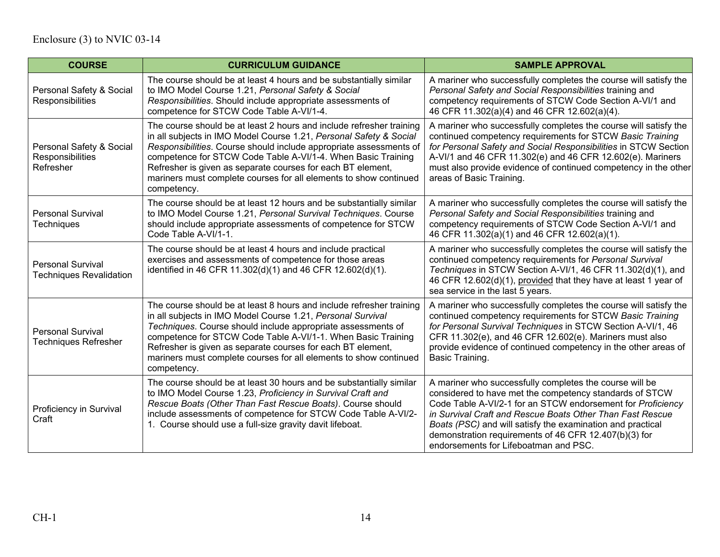| <b>COURSE</b>                                              | <b>CURRICULUM GUIDANCE</b>                                                                                                                                                                                                                                                                                                                                                                                                          | <b>SAMPLE APPROVAL</b>                                                                                                                                                                                                                                                                                                                                                                                         |
|------------------------------------------------------------|-------------------------------------------------------------------------------------------------------------------------------------------------------------------------------------------------------------------------------------------------------------------------------------------------------------------------------------------------------------------------------------------------------------------------------------|----------------------------------------------------------------------------------------------------------------------------------------------------------------------------------------------------------------------------------------------------------------------------------------------------------------------------------------------------------------------------------------------------------------|
| Personal Safety & Social<br>Responsibilities               | The course should be at least 4 hours and be substantially similar<br>to IMO Model Course 1.21, Personal Safety & Social<br>Responsibilities. Should include appropriate assessments of<br>competence for STCW Code Table A-VI/1-4.                                                                                                                                                                                                 | A mariner who successfully completes the course will satisfy the<br>Personal Safety and Social Responsibilities training and<br>competency requirements of STCW Code Section A-VI/1 and<br>46 CFR 11.302(a)(4) and 46 CFR 12.602(a)(4).                                                                                                                                                                        |
| Personal Safety & Social<br>Responsibilities<br>Refresher  | The course should be at least 2 hours and include refresher training<br>in all subjects in IMO Model Course 1.21, Personal Safety & Social<br>Responsibilities. Course should include appropriate assessments of<br>competence for STCW Code Table A-VI/1-4. When Basic Training<br>Refresher is given as separate courses for each BT element,<br>mariners must complete courses for all elements to show continued<br>competency. | A mariner who successfully completes the course will satisfy the<br>continued competency requirements for STCW Basic Training<br>for Personal Safety and Social Responsibilities in STCW Section<br>A-VI/1 and 46 CFR 11.302(e) and 46 CFR 12.602(e). Mariners<br>must also provide evidence of continued competency in the other<br>areas of Basic Training.                                                  |
| <b>Personal Survival</b><br>Techniques                     | The course should be at least 12 hours and be substantially similar<br>to IMO Model Course 1.21, Personal Survival Techniques. Course<br>should include appropriate assessments of competence for STCW<br>Code Table A-VI/1-1.                                                                                                                                                                                                      | A mariner who successfully completes the course will satisfy the<br>Personal Safety and Social Responsibilities training and<br>competency requirements of STCW Code Section A-VI/1 and<br>46 CFR 11.302(a)(1) and 46 CFR 12.602(a)(1).                                                                                                                                                                        |
| <b>Personal Survival</b><br><b>Techniques Revalidation</b> | The course should be at least 4 hours and include practical<br>exercises and assessments of competence for those areas<br>identified in 46 CFR 11.302(d)(1) and 46 CFR 12.602(d)(1).                                                                                                                                                                                                                                                | A mariner who successfully completes the course will satisfy the<br>continued competency requirements for Personal Survival<br>Techniques in STCW Section A-VI/1, 46 CFR 11.302(d)(1), and<br>46 CFR 12.602(d)(1), provided that they have at least 1 year of<br>sea service in the last 5 years.                                                                                                              |
| <b>Personal Survival</b><br><b>Techniques Refresher</b>    | The course should be at least 8 hours and include refresher training<br>in all subjects in IMO Model Course 1.21, Personal Survival<br>Techniques. Course should include appropriate assessments of<br>competence for STCW Code Table A-VI/1-1. When Basic Training<br>Refresher is given as separate courses for each BT element,<br>mariners must complete courses for all elements to show continued<br>competency.              | A mariner who successfully completes the course will satisfy the<br>continued competency requirements for STCW Basic Training<br>for Personal Survival Techniques in STCW Section A-VI/1, 46<br>CFR 11.302(e), and 46 CFR 12.602(e). Mariners must also<br>provide evidence of continued competency in the other areas of<br>Basic Training.                                                                   |
| Proficiency in Survival<br>Craft                           | The course should be at least 30 hours and be substantially similar<br>to IMO Model Course 1.23, Proficiency in Survival Craft and<br>Rescue Boats (Other Than Fast Rescue Boats). Course should<br>include assessments of competence for STCW Code Table A-VI/2-<br>1. Course should use a full-size gravity davit lifeboat.                                                                                                       | A mariner who successfully completes the course will be<br>considered to have met the competency standards of STCW<br>Code Table A-VI/2-1 for an STCW endorsement for Proficiency<br>in Survival Craft and Rescue Boats Other Than Fast Rescue<br>Boats (PSC) and will satisfy the examination and practical<br>demonstration requirements of 46 CFR 12.407(b)(3) for<br>endorsements for Lifeboatman and PSC. |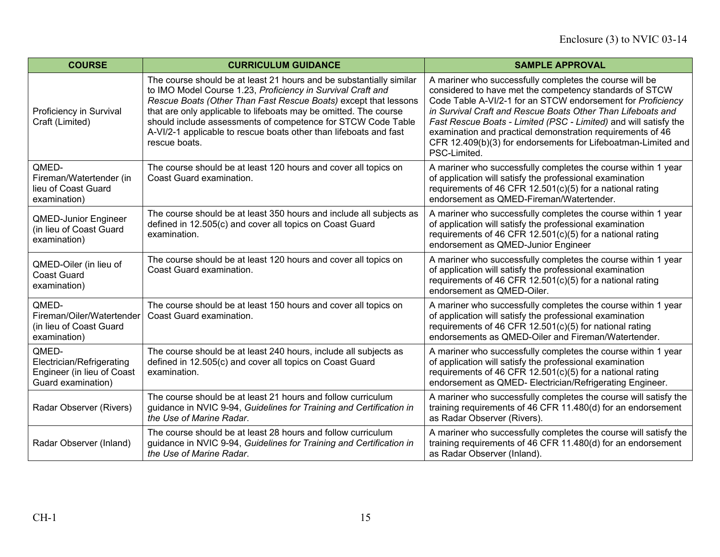| <b>COURSE</b>                                                                          | <b>CURRICULUM GUIDANCE</b>                                                                                                                                                                                                                                                                                                                                                                                                      | <b>SAMPLE APPROVAL</b>                                                                                                                                                                                                                                                                                                                                                                                                                                              |
|----------------------------------------------------------------------------------------|---------------------------------------------------------------------------------------------------------------------------------------------------------------------------------------------------------------------------------------------------------------------------------------------------------------------------------------------------------------------------------------------------------------------------------|---------------------------------------------------------------------------------------------------------------------------------------------------------------------------------------------------------------------------------------------------------------------------------------------------------------------------------------------------------------------------------------------------------------------------------------------------------------------|
| Proficiency in Survival<br>Craft (Limited)                                             | The course should be at least 21 hours and be substantially similar<br>to IMO Model Course 1.23, Proficiency in Survival Craft and<br>Rescue Boats (Other Than Fast Rescue Boats) except that lessons<br>that are only applicable to lifeboats may be omitted. The course<br>should include assessments of competence for STCW Code Table<br>A-VI/2-1 applicable to rescue boats other than lifeboats and fast<br>rescue boats. | A mariner who successfully completes the course will be<br>considered to have met the competency standards of STCW<br>Code Table A-VI/2-1 for an STCW endorsement for Proficiency<br>in Survival Craft and Rescue Boats Other Than Lifeboats and<br>Fast Rescue Boats - Limited (PSC - Limited) and will satisfy the<br>examination and practical demonstration requirements of 46<br>CFR 12.409(b)(3) for endorsements for Lifeboatman-Limited and<br>PSC-Limited. |
| QMED-<br>Fireman/Watertender (in<br>lieu of Coast Guard<br>examination)                | The course should be at least 120 hours and cover all topics on<br>Coast Guard examination.                                                                                                                                                                                                                                                                                                                                     | A mariner who successfully completes the course within 1 year<br>of application will satisfy the professional examination<br>requirements of 46 CFR 12.501(c)(5) for a national rating<br>endorsement as QMED-Fireman/Watertender.                                                                                                                                                                                                                                  |
| <b>QMED-Junior Engineer</b><br>(in lieu of Coast Guard<br>examination)                 | The course should be at least 350 hours and include all subjects as<br>defined in 12.505(c) and cover all topics on Coast Guard<br>examination.                                                                                                                                                                                                                                                                                 | A mariner who successfully completes the course within 1 year<br>of application will satisfy the professional examination<br>requirements of 46 CFR 12.501(c)(5) for a national rating<br>endorsement as QMED-Junior Engineer                                                                                                                                                                                                                                       |
| QMED-Oiler (in lieu of<br><b>Coast Guard</b><br>examination)                           | The course should be at least 120 hours and cover all topics on<br>Coast Guard examination.                                                                                                                                                                                                                                                                                                                                     | A mariner who successfully completes the course within 1 year<br>of application will satisfy the professional examination<br>requirements of 46 CFR 12.501(c)(5) for a national rating<br>endorsement as QMED-Oiler.                                                                                                                                                                                                                                                |
| QMED-<br>Fireman/Oiler/Watertender<br>(in lieu of Coast Guard<br>examination)          | The course should be at least 150 hours and cover all topics on<br>Coast Guard examination.                                                                                                                                                                                                                                                                                                                                     | A mariner who successfully completes the course within 1 year<br>of application will satisfy the professional examination<br>requirements of 46 CFR 12.501(c)(5) for national rating<br>endorsements as QMED-Oiler and Fireman/Watertender.                                                                                                                                                                                                                         |
| QMED-<br>Electrician/Refrigerating<br>Engineer (in lieu of Coast<br>Guard examination) | The course should be at least 240 hours, include all subjects as<br>defined in 12.505(c) and cover all topics on Coast Guard<br>examination.                                                                                                                                                                                                                                                                                    | A mariner who successfully completes the course within 1 year<br>of application will satisfy the professional examination<br>requirements of 46 CFR 12.501(c)(5) for a national rating<br>endorsement as QMED- Electrician/Refrigerating Engineer.                                                                                                                                                                                                                  |
| Radar Observer (Rivers)                                                                | The course should be at least 21 hours and follow curriculum<br>guidance in NVIC 9-94, Guidelines for Training and Certification in<br>the Use of Marine Radar.                                                                                                                                                                                                                                                                 | A mariner who successfully completes the course will satisfy the<br>training requirements of 46 CFR 11.480(d) for an endorsement<br>as Radar Observer (Rivers).                                                                                                                                                                                                                                                                                                     |
| Radar Observer (Inland)                                                                | The course should be at least 28 hours and follow curriculum<br>guidance in NVIC 9-94, Guidelines for Training and Certification in<br>the Use of Marine Radar.                                                                                                                                                                                                                                                                 | A mariner who successfully completes the course will satisfy the<br>training requirements of 46 CFR 11.480(d) for an endorsement<br>as Radar Observer (Inland).                                                                                                                                                                                                                                                                                                     |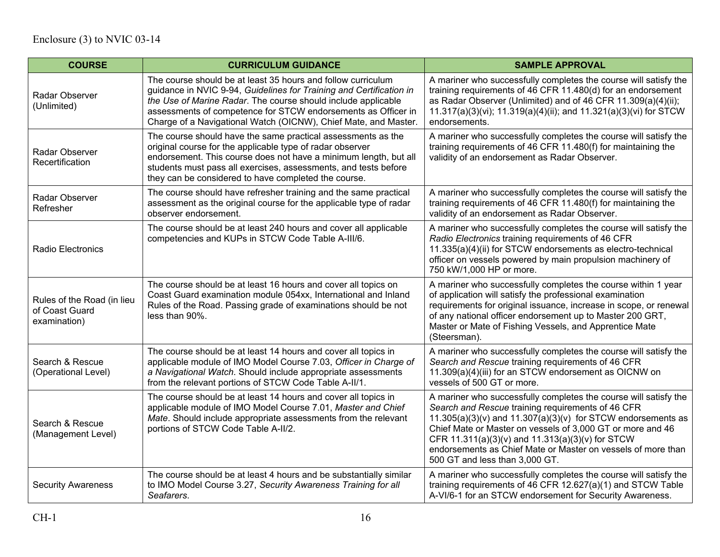| <b>COURSE</b>                                                | <b>CURRICULUM GUIDANCE</b>                                                                                                                                                                                                                                                                                                               | <b>SAMPLE APPROVAL</b>                                                                                                                                                                                                                                                                                                                                                                                        |
|--------------------------------------------------------------|------------------------------------------------------------------------------------------------------------------------------------------------------------------------------------------------------------------------------------------------------------------------------------------------------------------------------------------|---------------------------------------------------------------------------------------------------------------------------------------------------------------------------------------------------------------------------------------------------------------------------------------------------------------------------------------------------------------------------------------------------------------|
| Radar Observer<br>(Unlimited)                                | The course should be at least 35 hours and follow curriculum<br>guidance in NVIC 9-94, Guidelines for Training and Certification in<br>the Use of Marine Radar. The course should include applicable<br>assessments of competence for STCW endorsements as Officer in<br>Charge of a Navigational Watch (OICNW), Chief Mate, and Master. | A mariner who successfully completes the course will satisfy the<br>training requirements of 46 CFR 11.480(d) for an endorsement<br>as Radar Observer (Unlimited) and of 46 CFR 11.309(a)(4)(ii);<br>11.317(a)(3)(vi); 11.319(a)(4)(ii); and 11.321(a)(3)(vi) for STCW<br>endorsements.                                                                                                                       |
| Radar Observer<br>Recertification                            | The course should have the same practical assessments as the<br>original course for the applicable type of radar observer<br>endorsement. This course does not have a minimum length, but all<br>students must pass all exercises, assessments, and tests before<br>they can be considered to have completed the course.                 | A mariner who successfully completes the course will satisfy the<br>training requirements of 46 CFR 11.480(f) for maintaining the<br>validity of an endorsement as Radar Observer.                                                                                                                                                                                                                            |
| Radar Observer<br>Refresher                                  | The course should have refresher training and the same practical<br>assessment as the original course for the applicable type of radar<br>observer endorsement.                                                                                                                                                                          | A mariner who successfully completes the course will satisfy the<br>training requirements of 46 CFR 11.480(f) for maintaining the<br>validity of an endorsement as Radar Observer.                                                                                                                                                                                                                            |
| Radio Electronics                                            | The course should be at least 240 hours and cover all applicable<br>competencies and KUPs in STCW Code Table A-III/6.                                                                                                                                                                                                                    | A mariner who successfully completes the course will satisfy the<br>Radio Electronics training requirements of 46 CFR<br>11.335(a)(4)(ii) for STCW endorsements as electro-technical<br>officer on vessels powered by main propulsion machinery of<br>750 kW/1,000 HP or more.                                                                                                                                |
| Rules of the Road (in lieu<br>of Coast Guard<br>examination) | The course should be at least 16 hours and cover all topics on<br>Coast Guard examination module 054xx, International and Inland<br>Rules of the Road. Passing grade of examinations should be not<br>less than 90%.                                                                                                                     | A mariner who successfully completes the course within 1 year<br>of application will satisfy the professional examination<br>requirements for original issuance, increase in scope, or renewal<br>of any national officer endorsement up to Master 200 GRT,<br>Master or Mate of Fishing Vessels, and Apprentice Mate<br>(Steersman).                                                                         |
| Search & Rescue<br>(Operational Level)                       | The course should be at least 14 hours and cover all topics in<br>applicable module of IMO Model Course 7.03, Officer in Charge of<br>a Navigational Watch. Should include appropriate assessments<br>from the relevant portions of STCW Code Table A-II/1.                                                                              | A mariner who successfully completes the course will satisfy the<br>Search and Rescue training requirements of 46 CFR<br>11.309(a)(4)(iii) for an STCW endorsement as OICNW on<br>vessels of 500 GT or more.                                                                                                                                                                                                  |
| Search & Rescue<br>(Management Level)                        | The course should be at least 14 hours and cover all topics in<br>applicable module of IMO Model Course 7.01, Master and Chief<br>Mate. Should include appropriate assessments from the relevant<br>portions of STCW Code Table A-II/2.                                                                                                  | A mariner who successfully completes the course will satisfy the<br>Search and Rescue training requirements of 46 CFR<br>$11.305(a)(3)(v)$ and $11.307(a)(3)(v)$ for STCW endorsements as<br>Chief Mate or Master on vessels of 3,000 GT or more and 46<br>CFR 11.311(a)(3)(v) and 11.313(a)(3)(v) for STCW<br>endorsements as Chief Mate or Master on vessels of more than<br>500 GT and less than 3,000 GT. |
| <b>Security Awareness</b>                                    | The course should be at least 4 hours and be substantially similar<br>to IMO Model Course 3.27, Security Awareness Training for all<br>Seafarers.                                                                                                                                                                                        | A mariner who successfully completes the course will satisfy the<br>training requirements of 46 CFR 12.627(a)(1) and STCW Table<br>A-VI/6-1 for an STCW endorsement for Security Awareness.                                                                                                                                                                                                                   |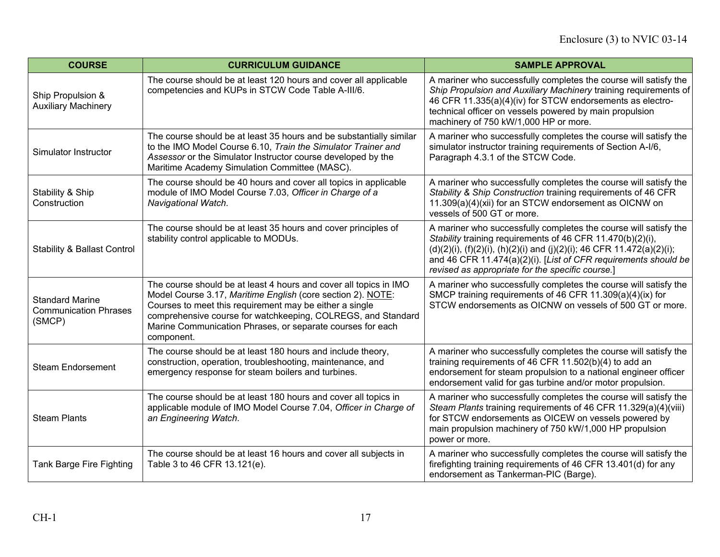| <b>COURSE</b>                                                    | <b>CURRICULUM GUIDANCE</b>                                                                                                                                                                                                                                                                                                              | <b>SAMPLE APPROVAL</b>                                                                                                                                                                                                                                                                                                                     |
|------------------------------------------------------------------|-----------------------------------------------------------------------------------------------------------------------------------------------------------------------------------------------------------------------------------------------------------------------------------------------------------------------------------------|--------------------------------------------------------------------------------------------------------------------------------------------------------------------------------------------------------------------------------------------------------------------------------------------------------------------------------------------|
| Ship Propulsion &<br><b>Auxiliary Machinery</b>                  | The course should be at least 120 hours and cover all applicable<br>competencies and KUPs in STCW Code Table A-III/6.                                                                                                                                                                                                                   | A mariner who successfully completes the course will satisfy the<br>Ship Propulsion and Auxiliary Machinery training requirements of<br>46 CFR 11.335(a)(4)(iv) for STCW endorsements as electro-<br>technical officer on vessels powered by main propulsion<br>machinery of 750 kW/1,000 HP or more.                                      |
| Simulator Instructor                                             | The course should be at least 35 hours and be substantially similar<br>to the IMO Model Course 6.10, Train the Simulator Trainer and<br>Assessor or the Simulator Instructor course developed by the<br>Maritime Academy Simulation Committee (MASC).                                                                                   | A mariner who successfully completes the course will satisfy the<br>simulator instructor training requirements of Section A-I/6,<br>Paragraph 4.3.1 of the STCW Code.                                                                                                                                                                      |
| Stability & Ship<br>Construction                                 | The course should be 40 hours and cover all topics in applicable<br>module of IMO Model Course 7.03, Officer in Charge of a<br>Navigational Watch.                                                                                                                                                                                      | A mariner who successfully completes the course will satisfy the<br>Stability & Ship Construction training requirements of 46 CFR<br>11.309(a)(4)(xii) for an STCW endorsement as OICNW on<br>vessels of 500 GT or more.                                                                                                                   |
| <b>Stability &amp; Ballast Control</b>                           | The course should be at least 35 hours and cover principles of<br>stability control applicable to MODUs.                                                                                                                                                                                                                                | A mariner who successfully completes the course will satisfy the<br>Stability training requirements of 46 CFR 11.470(b)(2)(i),<br>$(d)(2)(i)$ , $(f)(2)(i)$ , $(h)(2)(i)$ and $(j)(2)(i)$ ; 46 CFR 11.472(a)(2)(i);<br>and 46 CFR 11.474(a)(2)(i). [List of CFR requirements should be<br>revised as appropriate for the specific course.] |
| <b>Standard Marine</b><br><b>Communication Phrases</b><br>(SMCP) | The course should be at least 4 hours and cover all topics in IMO<br>Model Course 3.17, Maritime English (core section 2). NOTE:<br>Courses to meet this requirement may be either a single<br>comprehensive course for watchkeeping, COLREGS, and Standard<br>Marine Communication Phrases, or separate courses for each<br>component. | A mariner who successfully completes the course will satisfy the<br>SMCP training requirements of 46 CFR 11.309(a)(4)(ix) for<br>STCW endorsements as OICNW on vessels of 500 GT or more.                                                                                                                                                  |
| <b>Steam Endorsement</b>                                         | The course should be at least 180 hours and include theory,<br>construction, operation, troubleshooting, maintenance, and<br>emergency response for steam boilers and turbines.                                                                                                                                                         | A mariner who successfully completes the course will satisfy the<br>training requirements of 46 CFR 11.502(b)(4) to add an<br>endorsement for steam propulsion to a national engineer officer<br>endorsement valid for gas turbine and/or motor propulsion.                                                                                |
| <b>Steam Plants</b>                                              | The course should be at least 180 hours and cover all topics in<br>applicable module of IMO Model Course 7.04, Officer in Charge of<br>an Engineering Watch.                                                                                                                                                                            | A mariner who successfully completes the course will satisfy the<br>Steam Plants training requirements of 46 CFR 11.329(a)(4)(viii)<br>for STCW endorsements as OICEW on vessels powered by<br>main propulsion machinery of 750 kW/1,000 HP propulsion<br>power or more.                                                                   |
| <b>Tank Barge Fire Fighting</b>                                  | The course should be at least 16 hours and cover all subjects in<br>Table 3 to 46 CFR 13.121(e).                                                                                                                                                                                                                                        | A mariner who successfully completes the course will satisfy the<br>firefighting training requirements of 46 CFR 13.401(d) for any<br>endorsement as Tankerman-PIC (Barge).                                                                                                                                                                |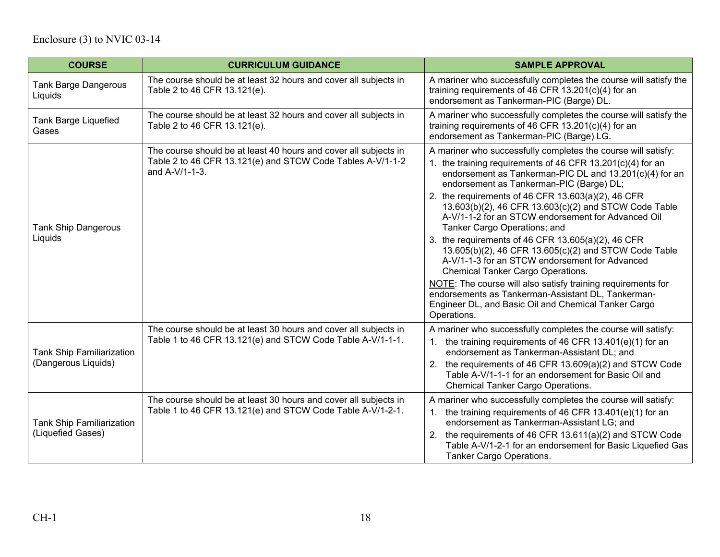| <b>COURSE</b>                                           | <b>CURRICULUM GUIDANCE</b>                                                                                                                       | <b>SAMPLE APPROVAL</b>                                                                                                                                                                                                                                                                                                                                                                                                                                                                                                                                                                                                                                                                                                                                                                                                                               |
|---------------------------------------------------------|--------------------------------------------------------------------------------------------------------------------------------------------------|------------------------------------------------------------------------------------------------------------------------------------------------------------------------------------------------------------------------------------------------------------------------------------------------------------------------------------------------------------------------------------------------------------------------------------------------------------------------------------------------------------------------------------------------------------------------------------------------------------------------------------------------------------------------------------------------------------------------------------------------------------------------------------------------------------------------------------------------------|
| <b>Tank Barge Dangerous</b><br>Liquids                  | The course should be at least 32 hours and cover all subjects in<br>Table 2 to 46 CFR 13.121(e).                                                 | A mariner who successfully completes the course will satisfy the<br>training requirements of 46 CFR $13.201(c)(4)$ for an<br>endorsement as Tankerman-PIC (Barge) DL.                                                                                                                                                                                                                                                                                                                                                                                                                                                                                                                                                                                                                                                                                |
| <b>Tank Barge Liquefied</b><br>Gases                    | The course should be at least 32 hours and cover all subjects in<br>Table 2 to 46 CFR 13.121(e).                                                 | A mariner who successfully completes the course will satisfy the<br>training requirements of 46 CFR 13.201(c)(4) for an<br>endorsement as Tankerman-PIC (Barge) LG.                                                                                                                                                                                                                                                                                                                                                                                                                                                                                                                                                                                                                                                                                  |
| <b>Tank Ship Dangerous</b><br>Liquids                   | The course should be at least 40 hours and cover all subjects in<br>Table 2 to 46 CFR 13.121(e) and STCW Code Tables A-V/1-1-2<br>and A-V/1-1-3. | A mariner who successfully completes the course will satisfy:<br>1. the training requirements of 46 CFR 13.201(c)(4) for an<br>endorsement as Tankerman-PIC DL and 13.201(c)(4) for an<br>endorsement as Tankerman-PIC (Barge) DL;<br>2. the requirements of 46 CFR $13.603(a)(2)$ , 46 CFR<br>13.603(b)(2), 46 CFR 13.603(c)(2) and STCW Code Table<br>A-V/1-1-2 for an STCW endorsement for Advanced Oil<br>Tanker Cargo Operations; and<br>3. the requirements of 46 CFR 13.605(a)(2), 46 CFR<br>13.605(b)(2), 46 CFR 13.605(c)(2) and STCW Code Table<br>A-V/1-1-3 for an STCW endorsement for Advanced<br><b>Chemical Tanker Cargo Operations.</b><br>NOTE: The course will also satisfy training requirements for<br>endorsements as Tankerman-Assistant DL, Tankerman-<br>Engineer DL, and Basic Oil and Chemical Tanker Cargo<br>Operations. |
| <b>Tank Ship Familiarization</b><br>(Dangerous Liquids) | The course should be at least 30 hours and cover all subjects in<br>Table 1 to 46 CFR 13.121(e) and STCW Code Table A-V/1-1-1.                   | A mariner who successfully completes the course will satisfy:<br>1. the training requirements of 46 CFR 13.401(e)(1) for an<br>endorsement as Tankerman-Assistant DL; and<br>2. the requirements of 46 CFR 13.609(a)(2) and STCW Code<br>Table A-V/1-1-1 for an endorsement for Basic Oil and<br><b>Chemical Tanker Cargo Operations.</b>                                                                                                                                                                                                                                                                                                                                                                                                                                                                                                            |
| <b>Tank Ship Familiarization</b><br>(Liquefied Gases)   | The course should be at least 30 hours and cover all subjects in<br>Table 1 to 46 CFR 13.121(e) and STCW Code Table A-V/1-2-1.                   | A mariner who successfully completes the course will satisfy:<br>1. the training requirements of 46 CFR 13.401(e)(1) for an<br>endorsement as Tankerman-Assistant LG; and<br>2. the requirements of 46 CFR 13.611(a)(2) and STCW Code<br>Table A-V/1-2-1 for an endorsement for Basic Liquefied Gas<br>Tanker Cargo Operations.                                                                                                                                                                                                                                                                                                                                                                                                                                                                                                                      |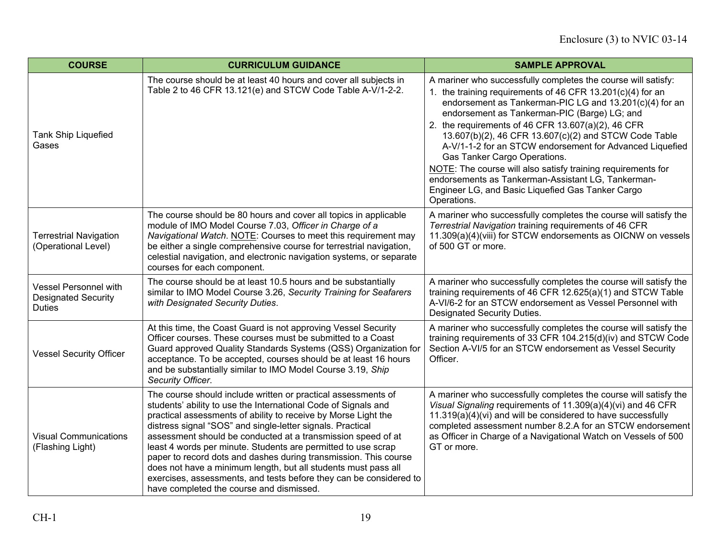| <b>COURSE</b>                                                               | <b>CURRICULUM GUIDANCE</b>                                                                                                                                                                                                                                                                                                                                                                                                                                                                                                                                                                                                                               | <b>SAMPLE APPROVAL</b>                                                                                                                                                                                                                                                                                                                                                                                                                         |
|-----------------------------------------------------------------------------|----------------------------------------------------------------------------------------------------------------------------------------------------------------------------------------------------------------------------------------------------------------------------------------------------------------------------------------------------------------------------------------------------------------------------------------------------------------------------------------------------------------------------------------------------------------------------------------------------------------------------------------------------------|------------------------------------------------------------------------------------------------------------------------------------------------------------------------------------------------------------------------------------------------------------------------------------------------------------------------------------------------------------------------------------------------------------------------------------------------|
| <b>Tank Ship Liquefied</b><br>Gases                                         | The course should be at least 40 hours and cover all subjects in<br>Table 2 to 46 CFR 13.121(e) and STCW Code Table A-V/1-2-2.                                                                                                                                                                                                                                                                                                                                                                                                                                                                                                                           | A mariner who successfully completes the course will satisfy:<br>the training requirements of 46 CFR 13.201(c)(4) for an<br>endorsement as Tankerman-PIC LG and 13.201(c)(4) for an<br>endorsement as Tankerman-PIC (Barge) LG; and<br>2. the requirements of 46 CFR 13.607(a)(2), 46 CFR<br>13.607(b)(2), 46 CFR 13.607(c)(2) and STCW Code Table<br>A-V/1-1-2 for an STCW endorsement for Advanced Liquefied<br>Gas Tanker Cargo Operations. |
|                                                                             |                                                                                                                                                                                                                                                                                                                                                                                                                                                                                                                                                                                                                                                          | NOTE: The course will also satisfy training requirements for<br>endorsements as Tankerman-Assistant LG, Tankerman-<br>Engineer LG, and Basic Liquefied Gas Tanker Cargo<br>Operations.                                                                                                                                                                                                                                                         |
| <b>Terrestrial Navigation</b><br>(Operational Level)                        | The course should be 80 hours and cover all topics in applicable<br>module of IMO Model Course 7.03, Officer in Charge of a<br>Navigational Watch. NOTE: Courses to meet this requirement may<br>be either a single comprehensive course for terrestrial navigation,<br>celestial navigation, and electronic navigation systems, or separate<br>courses for each component.                                                                                                                                                                                                                                                                              | A mariner who successfully completes the course will satisfy the<br>Terrestrial Navigation training requirements of 46 CFR<br>11.309(a)(4)(viii) for STCW endorsements as OICNW on vessels<br>of 500 GT or more.                                                                                                                                                                                                                               |
| <b>Vessel Personnel with</b><br><b>Designated Security</b><br><b>Duties</b> | The course should be at least 10.5 hours and be substantially<br>similar to IMO Model Course 3.26, Security Training for Seafarers<br>with Designated Security Duties.                                                                                                                                                                                                                                                                                                                                                                                                                                                                                   | A mariner who successfully completes the course will satisfy the<br>training requirements of 46 CFR 12.625(a)(1) and STCW Table<br>A-VI/6-2 for an STCW endorsement as Vessel Personnel with<br>Designated Security Duties.                                                                                                                                                                                                                    |
| <b>Vessel Security Officer</b>                                              | At this time, the Coast Guard is not approving Vessel Security<br>Officer courses. These courses must be submitted to a Coast<br>Guard approved Quality Standards Systems (QSS) Organization for<br>acceptance. To be accepted, courses should be at least 16 hours<br>and be substantially similar to IMO Model Course 3.19, Ship<br>Security Officer.                                                                                                                                                                                                                                                                                                  | A mariner who successfully completes the course will satisfy the<br>training requirements of 33 CFR 104.215(d)(iv) and STCW Code<br>Section A-VI/5 for an STCW endorsement as Vessel Security<br>Officer.                                                                                                                                                                                                                                      |
| <b>Visual Communications</b><br>(Flashing Light)                            | The course should include written or practical assessments of<br>students' ability to use the International Code of Signals and<br>practical assessments of ability to receive by Morse Light the<br>distress signal "SOS" and single-letter signals. Practical<br>assessment should be conducted at a transmission speed of at<br>least 4 words per minute. Students are permitted to use scrap<br>paper to record dots and dashes during transmission. This course<br>does not have a minimum length, but all students must pass all<br>exercises, assessments, and tests before they can be considered to<br>have completed the course and dismissed. | A mariner who successfully completes the course will satisfy the<br>Visual Signaling requirements of 11.309(a)(4)(vi) and 46 CFR<br>11.319(a)(4)(vi) and will be considered to have successfully<br>completed assessment number 8.2.A for an STCW endorsement<br>as Officer in Charge of a Navigational Watch on Vessels of 500<br>GT or more.                                                                                                 |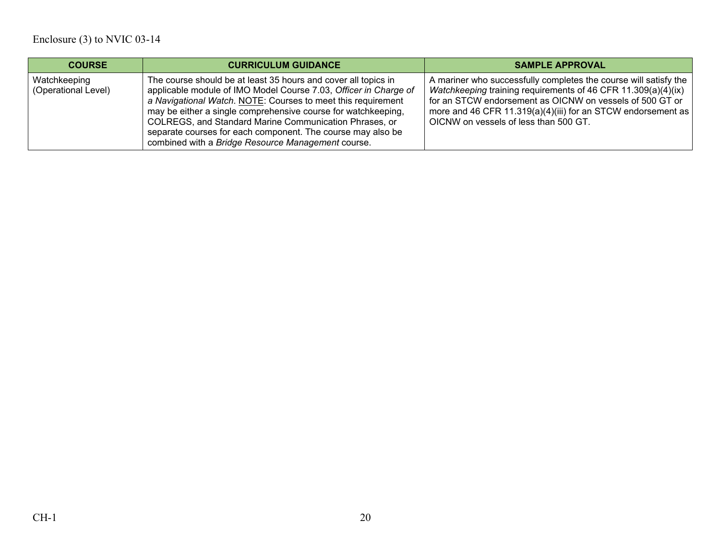| <b>COURSE</b>                       | <b>CURRICULUM GUIDANCE</b>                                                                                                                                                                                                                                                                                                                                                                                                                         | <b>SAMPLE APPROVAL</b>                                                                                                                                                                                                                                                                                 |
|-------------------------------------|----------------------------------------------------------------------------------------------------------------------------------------------------------------------------------------------------------------------------------------------------------------------------------------------------------------------------------------------------------------------------------------------------------------------------------------------------|--------------------------------------------------------------------------------------------------------------------------------------------------------------------------------------------------------------------------------------------------------------------------------------------------------|
| Watchkeeping<br>(Operational Level) | The course should be at least 35 hours and cover all topics in<br>applicable module of IMO Model Course 7.03, Officer in Charge of<br>a Navigational Watch. NOTE: Courses to meet this requirement<br>may be either a single comprehensive course for watchkeeping,<br>COLREGS, and Standard Marine Communication Phrases, or<br>separate courses for each component. The course may also be<br>combined with a Bridge Resource Management course. | A mariner who successfully completes the course will satisfy the<br>Watchkeeping training requirements of 46 CFR 11.309(a)(4)(ix)<br>for an STCW endorsement as OICNW on vessels of 500 GT or<br>more and 46 CFR 11.319(a)(4)(iii) for an STCW endorsement as<br>OICNW on vessels of less than 500 GT. |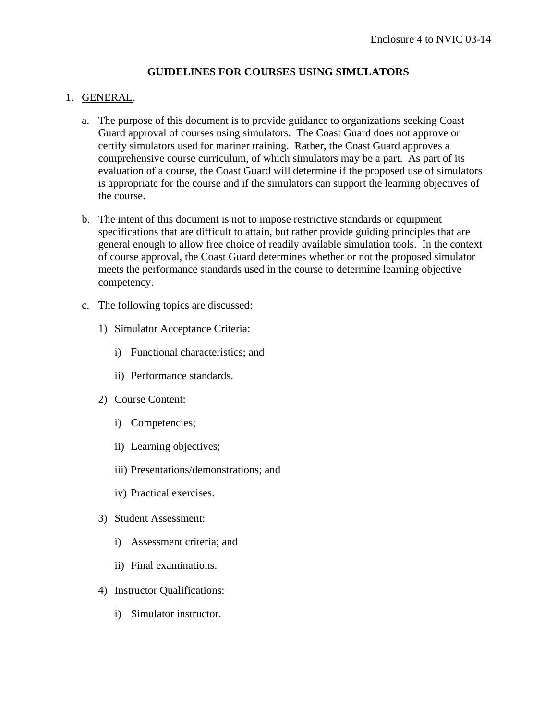# **GUIDELINES FOR COURSES USING SIMULATORS**

# 1. GENERAL.

- a. The purpose of this document is to provide guidance to organizations seeking Coast Guard approval of courses using simulators. The Coast Guard does not approve or certify simulators used for mariner training. Rather, the Coast Guard approves a comprehensive course curriculum, of which simulators may be a part. As part of its evaluation of a course, the Coast Guard will determine if the proposed use of simulators is appropriate for the course and if the simulators can support the learning objectives of the course.
- b. The intent of this document is not to impose restrictive standards or equipment specifications that are difficult to attain, but rather provide guiding principles that are general enough to allow free choice of readily available simulation tools. In the context of course approval, the Coast Guard determines whether or not the proposed simulator meets the performance standards used in the course to determine learning objective competency.
- c. The following topics are discussed:
	- 1) Simulator Acceptance Criteria:
		- i) Functional characteristics; and
		- ii) Performance standards.
	- 2) Course Content:
		- i) Competencies;
		- ii) Learning objectives;
		- iii) Presentations/demonstrations; and
		- iv) Practical exercises.
	- 3) Student Assessment:
		- i) Assessment criteria; and
		- ii) Final examinations.
	- 4) Instructor Qualifications:
		- i) Simulator instructor.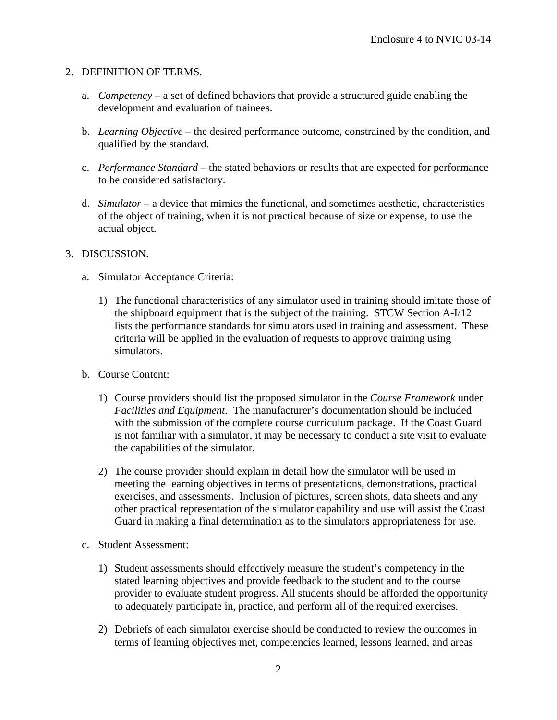# 2. DEFINITION OF TERMS.

- a. *Competency* a set of defined behaviors that provide a structured guide enabling the development and evaluation of trainees.
- b. *Learning Objective* the desired performance outcome, constrained by the condition, and qualified by the standard.
- c. *Performance Standard* the stated behaviors or results that are expected for performance to be considered satisfactory.
- d. *Simulator* a device that mimics the functional, and sometimes aesthetic, characteristics of the object of training, when it is not practical because of size or expense, to use the actual object.

# 3. DISCUSSION.

- a. Simulator Acceptance Criteria:
	- 1) The functional characteristics of any simulator used in training should imitate those of the shipboard equipment that is the subject of the training. STCW Section A-I/12 lists the performance standards for simulators used in training and assessment. These criteria will be applied in the evaluation of requests to approve training using simulators.
- b. Course Content:
	- 1) Course providers should list the proposed simulator in the *Course Framework* under *Facilities and Equipment*. The manufacturer's documentation should be included with the submission of the complete course curriculum package. If the Coast Guard is not familiar with a simulator, it may be necessary to conduct a site visit to evaluate the capabilities of the simulator.
	- 2) The course provider should explain in detail how the simulator will be used in meeting the learning objectives in terms of presentations, demonstrations, practical exercises, and assessments. Inclusion of pictures, screen shots, data sheets and any other practical representation of the simulator capability and use will assist the Coast Guard in making a final determination as to the simulators appropriateness for use.
- c. Student Assessment:
	- 1) Student assessments should effectively measure the student's competency in the stated learning objectives and provide feedback to the student and to the course provider to evaluate student progress. All students should be afforded the opportunity to adequately participate in, practice, and perform all of the required exercises.
	- 2) Debriefs of each simulator exercise should be conducted to review the outcomes in terms of learning objectives met, competencies learned, lessons learned, and areas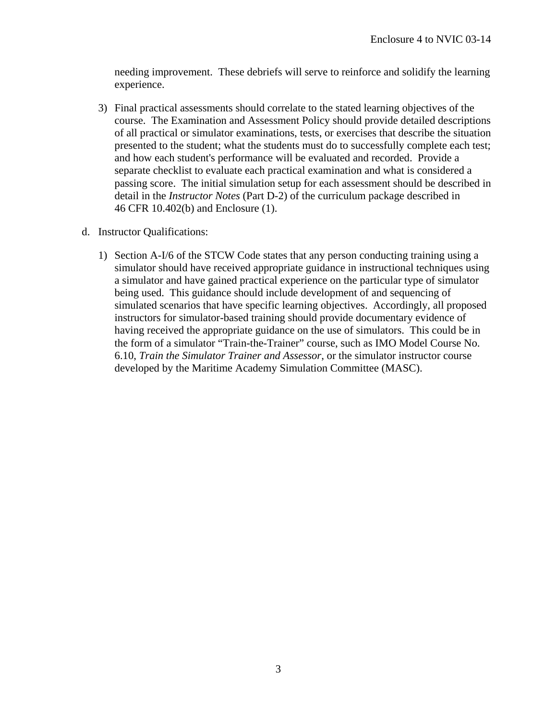needing improvement. These debriefs will serve to reinforce and solidify the learning experience.

- 3) Final practical assessments should correlate to the stated learning objectives of the course. The Examination and Assessment Policy should provide detailed descriptions of all practical or simulator examinations, tests, or exercises that describe the situation presented to the student; what the students must do to successfully complete each test; and how each student's performance will be evaluated and recorded. Provide a separate checklist to evaluate each practical examination and what is considered a passing score. The initial simulation setup for each assessment should be described in detail in the *Instructor Notes* (Part D-2) of the curriculum package described in 46 CFR 10.402(b) and Enclosure (1).
- d. Instructor Qualifications:
	- 1) Section A-I/6 of the STCW Code states that any person conducting training using a simulator should have received appropriate guidance in instructional techniques using a simulator and have gained practical experience on the particular type of simulator being used. This guidance should include development of and sequencing of simulated scenarios that have specific learning objectives. Accordingly, all proposed instructors for simulator-based training should provide documentary evidence of having received the appropriate guidance on the use of simulators. This could be in the form of a simulator "Train-the-Trainer" course, such as IMO Model Course No. 6.10, *Train the Simulator Trainer and Assessor*, or the simulator instructor course developed by the Maritime Academy Simulation Committee (MASC).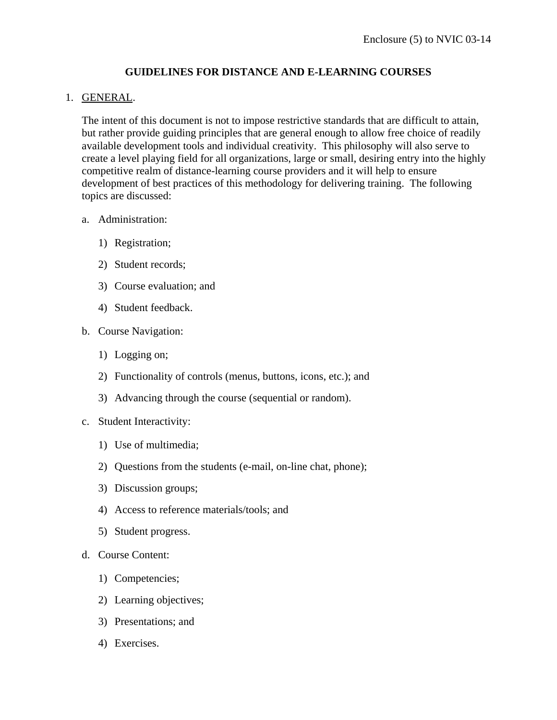# **GUIDELINES FOR DISTANCE AND E-LEARNING COURSES**

# 1. GENERAL.

The intent of this document is not to impose restrictive standards that are difficult to attain, but rather provide guiding principles that are general enough to allow free choice of readily available development tools and individual creativity. This philosophy will also serve to create a level playing field for all organizations, large or small, desiring entry into the highly competitive realm of distance-learning course providers and it will help to ensure development of best practices of this methodology for delivering training. The following topics are discussed:

# a. Administration:

- 1) Registration;
- 2) Student records;
- 3) Course evaluation; and
- 4) Student feedback.
- b. Course Navigation:
	- 1) Logging on;
	- 2) Functionality of controls (menus, buttons, icons, etc.); and
	- 3) Advancing through the course (sequential or random).
- c. Student Interactivity:
	- 1) Use of multimedia;
	- 2) Questions from the students (e-mail, on-line chat, phone);
	- 3) Discussion groups;
	- 4) Access to reference materials/tools; and
	- 5) Student progress.
- d. Course Content:
	- 1) Competencies;
	- 2) Learning objectives;
	- 3) Presentations; and
	- 4) Exercises.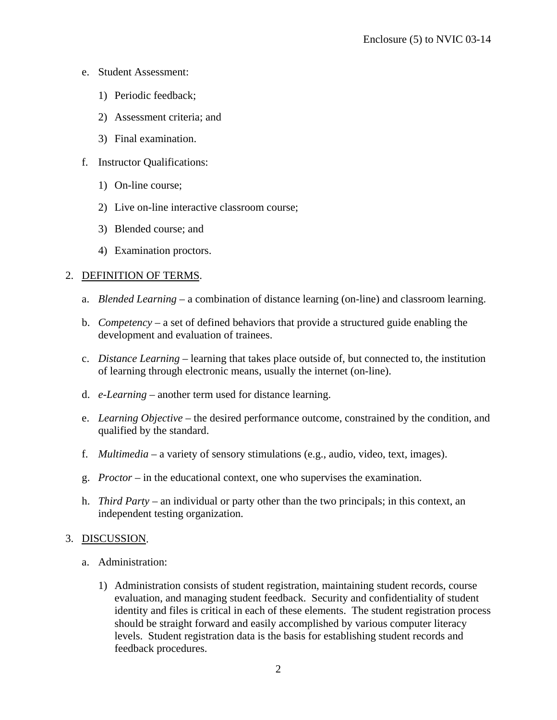- e. Student Assessment:
	- 1) Periodic feedback;
	- 2) Assessment criteria; and
	- 3) Final examination.
- f. Instructor Qualifications:
	- 1) On-line course;
	- 2) Live on-line interactive classroom course;
	- 3) Blended course; and
	- 4) Examination proctors.

### 2. DEFINITION OF TERMS.

- a. *Blended Learning* a combination of distance learning (on-line) and classroom learning.
- b. *Competency* a set of defined behaviors that provide a structured guide enabling the development and evaluation of trainees.
- c. *Distance Learning* learning that takes place outside of, but connected to, the institution of learning through electronic means, usually the internet (on-line).
- d. *e-Learning* another term used for distance learning.
- e. *Learning Objective* the desired performance outcome, constrained by the condition, and qualified by the standard.
- f. *Multimedia* a variety of sensory stimulations (e.g., audio, video, text, images).
- g. *Proctor* in the educational context, one who supervises the examination.
- h. *Third Party* an individual or party other than the two principals; in this context, an independent testing organization.

### 3. DISCUSSION.

- a. Administration:
	- 1) Administration consists of student registration, maintaining student records, course evaluation, and managing student feedback. Security and confidentiality of student identity and files is critical in each of these elements. The student registration process should be straight forward and easily accomplished by various computer literacy levels. Student registration data is the basis for establishing student records and feedback procedures.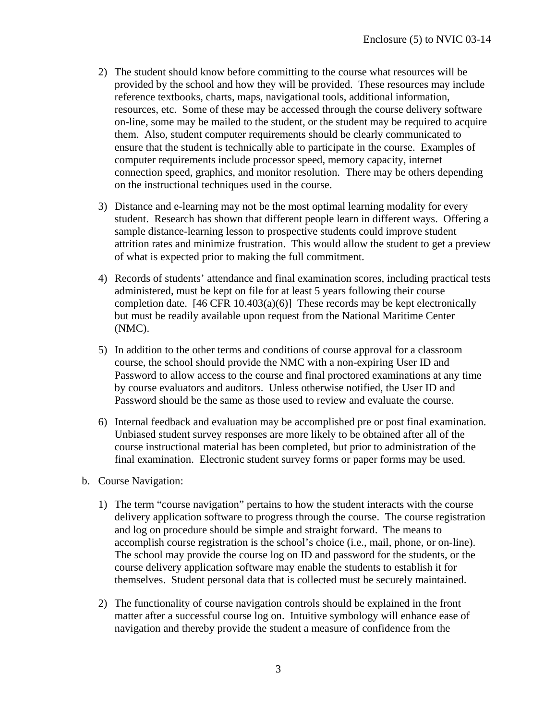- 2) The student should know before committing to the course what resources will be provided by the school and how they will be provided. These resources may include reference textbooks, charts, maps, navigational tools, additional information, resources, etc. Some of these may be accessed through the course delivery software on-line, some may be mailed to the student, or the student may be required to acquire them. Also, student computer requirements should be clearly communicated to ensure that the student is technically able to participate in the course. Examples of computer requirements include processor speed, memory capacity, internet connection speed, graphics, and monitor resolution. There may be others depending on the instructional techniques used in the course.
- 3) Distance and e-learning may not be the most optimal learning modality for every student. Research has shown that different people learn in different ways. Offering a sample distance-learning lesson to prospective students could improve student attrition rates and minimize frustration. This would allow the student to get a preview of what is expected prior to making the full commitment.
- 4) Records of students' attendance and final examination scores, including practical tests administered, must be kept on file for at least 5 years following their course completion date. [46 CFR 10.403(a)(6)] These records may be kept electronically but must be readily available upon request from the National Maritime Center (NMC).
- 5) In addition to the other terms and conditions of course approval for a classroom course, the school should provide the NMC with a non-expiring User ID and Password to allow access to the course and final proctored examinations at any time by course evaluators and auditors. Unless otherwise notified, the User ID and Password should be the same as those used to review and evaluate the course.
- 6) Internal feedback and evaluation may be accomplished pre or post final examination. Unbiased student survey responses are more likely to be obtained after all of the course instructional material has been completed, but prior to administration of the final examination. Electronic student survey forms or paper forms may be used.
- b. Course Navigation:
	- 1) The term "course navigation" pertains to how the student interacts with the course delivery application software to progress through the course. The course registration and log on procedure should be simple and straight forward. The means to accomplish course registration is the school's choice (i.e., mail, phone, or on-line). The school may provide the course log on ID and password for the students, or the course delivery application software may enable the students to establish it for themselves. Student personal data that is collected must be securely maintained.
	- 2) The functionality of course navigation controls should be explained in the front matter after a successful course log on. Intuitive symbology will enhance ease of navigation and thereby provide the student a measure of confidence from the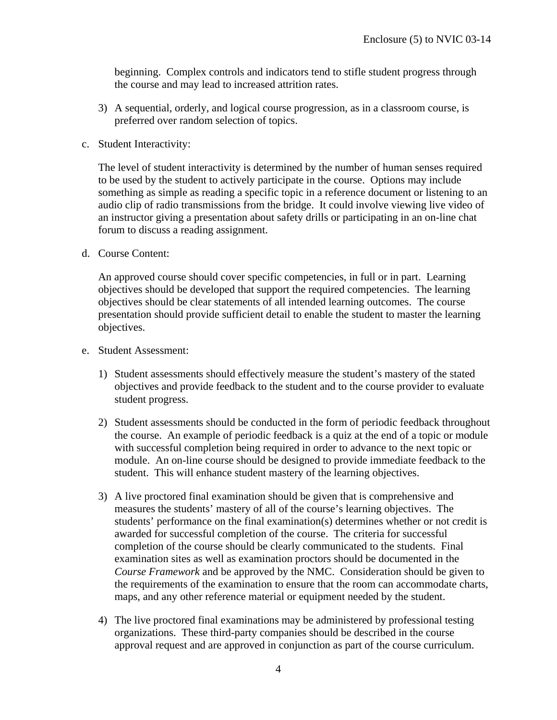beginning. Complex controls and indicators tend to stifle student progress through the course and may lead to increased attrition rates.

- 3) A sequential, orderly, and logical course progression, as in a classroom course, is preferred over random selection of topics.
- c. Student Interactivity:

The level of student interactivity is determined by the number of human senses required to be used by the student to actively participate in the course. Options may include something as simple as reading a specific topic in a reference document or listening to an audio clip of radio transmissions from the bridge. It could involve viewing live video of an instructor giving a presentation about safety drills or participating in an on-line chat forum to discuss a reading assignment.

d. Course Content:

An approved course should cover specific competencies, in full or in part. Learning objectives should be developed that support the required competencies. The learning objectives should be clear statements of all intended learning outcomes. The course presentation should provide sufficient detail to enable the student to master the learning objectives.

- e. Student Assessment:
	- 1) Student assessments should effectively measure the student's mastery of the stated objectives and provide feedback to the student and to the course provider to evaluate student progress.
	- 2) Student assessments should be conducted in the form of periodic feedback throughout the course. An example of periodic feedback is a quiz at the end of a topic or module with successful completion being required in order to advance to the next topic or module. An on-line course should be designed to provide immediate feedback to the student. This will enhance student mastery of the learning objectives.
	- 3) A live proctored final examination should be given that is comprehensive and measures the students' mastery of all of the course's learning objectives. The students' performance on the final examination(s) determines whether or not credit is awarded for successful completion of the course. The criteria for successful completion of the course should be clearly communicated to the students. Final examination sites as well as examination proctors should be documented in the *Course Framework* and be approved by the NMC. Consideration should be given to the requirements of the examination to ensure that the room can accommodate charts, maps, and any other reference material or equipment needed by the student.
	- 4) The live proctored final examinations may be administered by professional testing organizations. These third-party companies should be described in the course approval request and are approved in conjunction as part of the course curriculum.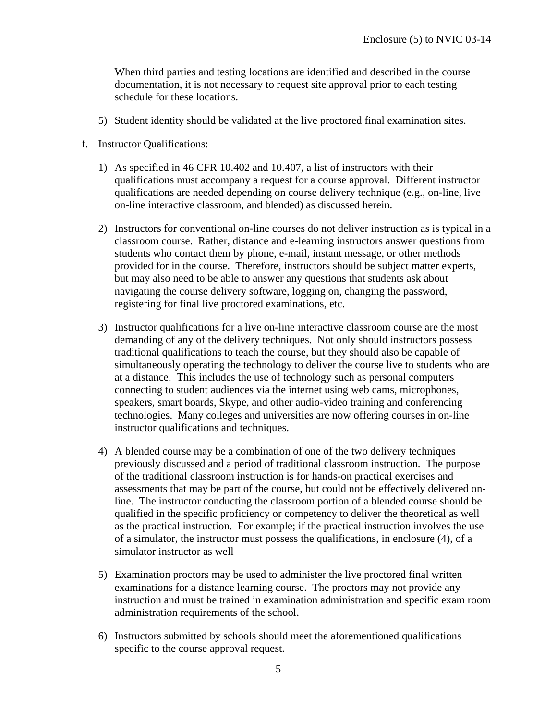When third parties and testing locations are identified and described in the course documentation, it is not necessary to request site approval prior to each testing schedule for these locations.

- 5) Student identity should be validated at the live proctored final examination sites.
- f. Instructor Qualifications:
	- 1) As specified in 46 CFR 10.402 and 10.407, a list of instructors with their qualifications must accompany a request for a course approval. Different instructor qualifications are needed depending on course delivery technique (e.g., on-line, live on-line interactive classroom, and blended) as discussed herein.
	- 2) Instructors for conventional on-line courses do not deliver instruction as is typical in a classroom course. Rather, distance and e-learning instructors answer questions from students who contact them by phone, e-mail, instant message, or other methods provided for in the course. Therefore, instructors should be subject matter experts, but may also need to be able to answer any questions that students ask about navigating the course delivery software, logging on, changing the password, registering for final live proctored examinations, etc.
	- 3) Instructor qualifications for a live on-line interactive classroom course are the most demanding of any of the delivery techniques. Not only should instructors possess traditional qualifications to teach the course, but they should also be capable of simultaneously operating the technology to deliver the course live to students who are at a distance. This includes the use of technology such as personal computers connecting to student audiences via the internet using web cams, microphones, speakers, smart boards, Skype, and other audio-video training and conferencing technologies. Many colleges and universities are now offering courses in on-line instructor qualifications and techniques.
	- 4) A blended course may be a combination of one of the two delivery techniques previously discussed and a period of traditional classroom instruction. The purpose of the traditional classroom instruction is for hands-on practical exercises and assessments that may be part of the course, but could not be effectively delivered online. The instructor conducting the classroom portion of a blended course should be qualified in the specific proficiency or competency to deliver the theoretical as well as the practical instruction. For example; if the practical instruction involves the use of a simulator, the instructor must possess the qualifications, in enclosure (4), of a simulator instructor as well
	- 5) Examination proctors may be used to administer the live proctored final written examinations for a distance learning course. The proctors may not provide any instruction and must be trained in examination administration and specific exam room administration requirements of the school.
	- 6) Instructors submitted by schools should meet the aforementioned qualifications specific to the course approval request.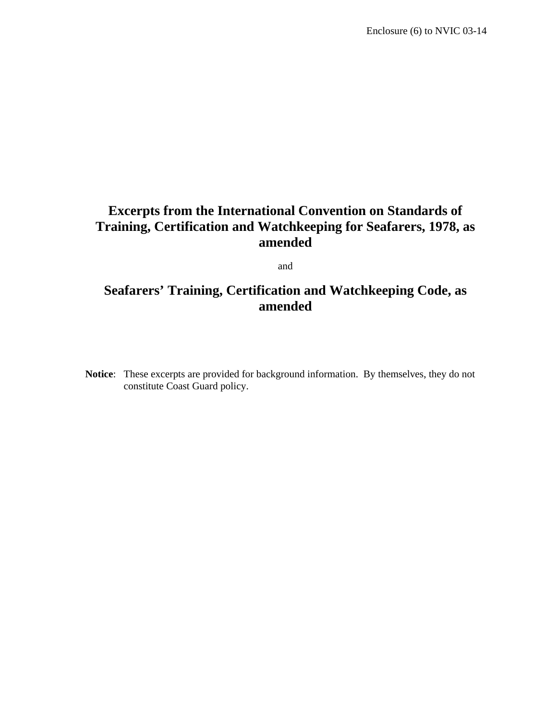# **Excerpts from the International Convention on Standards of Training, Certification and Watchkeeping for Seafarers, 1978, as amended**

and

# **Seafarers' Training, Certification and Watchkeeping Code, as amended**

**Notice**: These excerpts are provided for background information. By themselves, they do not constitute Coast Guard policy.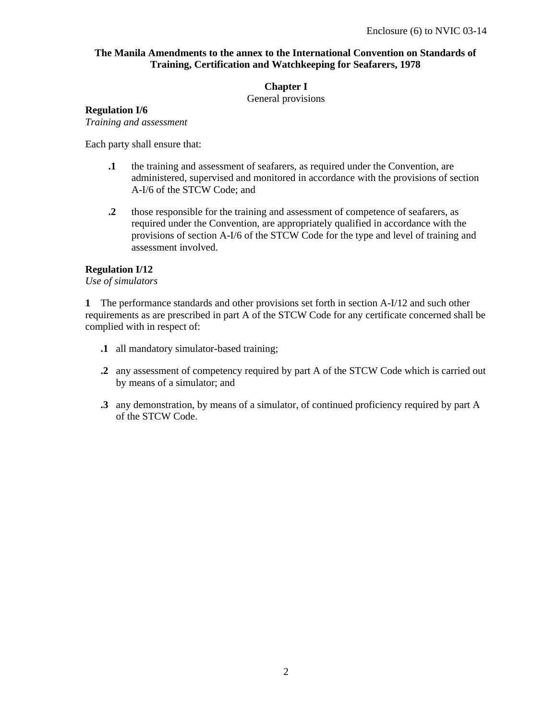# **The Manila Amendments to the annex to the International Convention on Standards of Training, Certification and Watchkeeping for Seafarers, 1978**

# **Chapter I**

General provisions

# **Regulation I/6**

*Training and assessment* 

Each party shall ensure that:

- **.1** the training and assessment of seafarers, as required under the Convention, are administered, supervised and monitored in accordance with the provisions of section A-I/6 of the STCW Code; and
- **.2** those responsible for the training and assessment of competence of seafarers, as required under the Convention, are appropriately qualified in accordance with the provisions of section A-I/6 of the STCW Code for the type and level of training and assessment involved.

### **Regulation I/12**

*Use of simulators* 

**1** The performance standards and other provisions set forth in section A-I/12 and such other requirements as are prescribed in part A of the STCW Code for any certificate concerned shall be complied with in respect of:

- **.1** all mandatory simulator-based training;
- **.2** any assessment of competency required by part A of the STCW Code which is carried out by means of a simulator; and
- **.3** any demonstration, by means of a simulator, of continued proficiency required by part A of the STCW Code.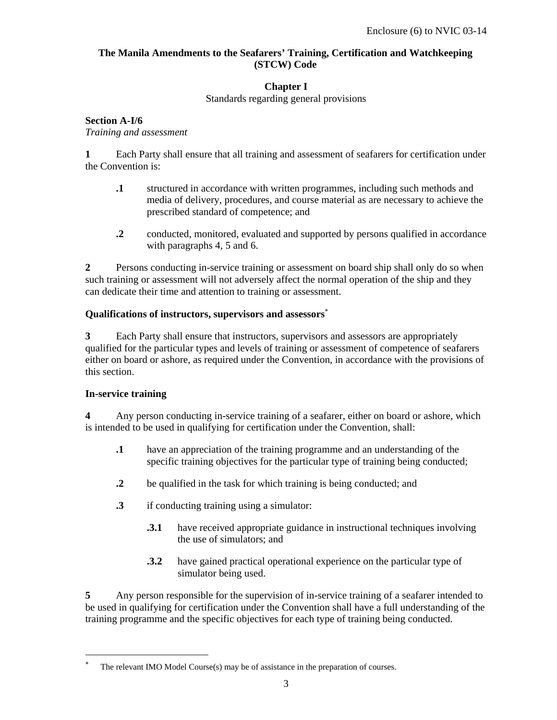# **The Manila Amendments to the Seafarers' Training, Certification and Watchkeeping (STCW) Code**

# **Chapter I**

Standards regarding general provisions

# **Section A-I/6**

*Training and assessment* 

**1** Each Party shall ensure that all training and assessment of seafarers for certification under the Convention is:

- **.1** structured in accordance with written programmes, including such methods and media of delivery, procedures, and course material as are necessary to achieve the prescribed standard of competence; and
- **.2** conducted, monitored, evaluated and supported by persons qualified in accordance with paragraphs 4, 5 and 6.

**2** Persons conducting in-service training or assessment on board ship shall only do so when such training or assessment will not adversely affect the normal operation of the ship and they can dedicate their time and attention to training or assessment.

# **Qualifications of instructors, supervisors and assessors**<sup>∗</sup>

**3** Each Party shall ensure that instructors, supervisors and assessors are appropriately qualified for the particular types and levels of training or assessment of competence of seafarers either on board or ashore, as required under the Convention, in accordance with the provisions of this section.

# **In-service training**

-

**4** Any person conducting in-service training of a seafarer, either on board or ashore, which is intended to be used in qualifying for certification under the Convention, shall:

- **.1** have an appreciation of the training programme and an understanding of the specific training objectives for the particular type of training being conducted;
- **.2** be qualified in the task for which training is being conducted; and
- **.3** if conducting training using a simulator:
	- **.3.1** have received appropriate guidance in instructional techniques involving the use of simulators; and
	- **.3.2** have gained practical operational experience on the particular type of simulator being used.

**5** Any person responsible for the supervision of in-service training of a seafarer intended to be used in qualifying for certification under the Convention shall have a full understanding of the training programme and the specific objectives for each type of training being conducted.

<sup>∗</sup> The relevant IMO Model Course(s) may be of assistance in the preparation of courses.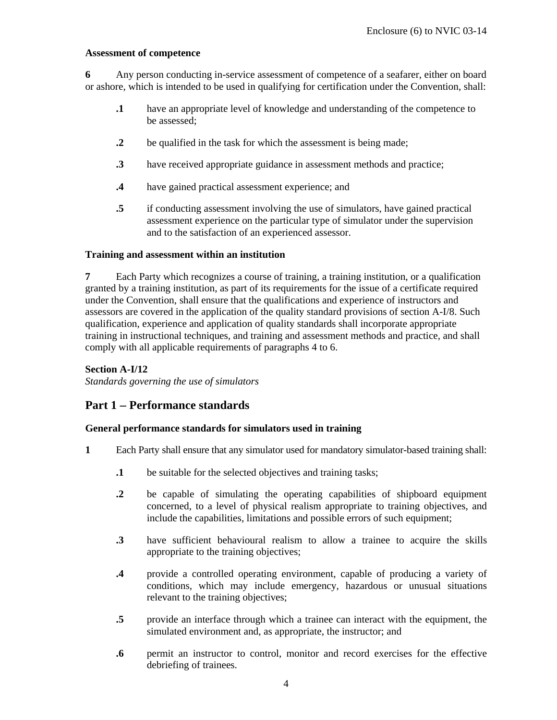#### **Assessment of competence**

**6** Any person conducting in-service assessment of competence of a seafarer, either on board or ashore, which is intended to be used in qualifying for certification under the Convention, shall:

- **.1** have an appropriate level of knowledge and understanding of the competence to be assessed;
- **.2** be qualified in the task for which the assessment is being made;
- **.3** have received appropriate guidance in assessment methods and practice;
- **.4** have gained practical assessment experience; and
- **.5** if conducting assessment involving the use of simulators, have gained practical assessment experience on the particular type of simulator under the supervision and to the satisfaction of an experienced assessor.

### **Training and assessment within an institution**

**7** Each Party which recognizes a course of training, a training institution, or a qualification granted by a training institution, as part of its requirements for the issue of a certificate required under the Convention, shall ensure that the qualifications and experience of instructors and assessors are covered in the application of the quality standard provisions of section A-I/8. Such qualification, experience and application of quality standards shall incorporate appropriate training in instructional techniques, and training and assessment methods and practice, and shall comply with all applicable requirements of paragraphs 4 to 6.

### **Section A-I/12**

*Standards governing the use of simulators* 

# **Part 1** − **Performance standards**

### **General performance standards for simulators used in training**

- **1** Each Party shall ensure that any simulator used for mandatory simulator-based training shall:
	- **.1** be suitable for the selected objectives and training tasks;
	- **.2** be capable of simulating the operating capabilities of shipboard equipment concerned, to a level of physical realism appropriate to training objectives, and include the capabilities, limitations and possible errors of such equipment;
	- **.3** have sufficient behavioural realism to allow a trainee to acquire the skills appropriate to the training objectives;
	- **.4** provide a controlled operating environment, capable of producing a variety of conditions, which may include emergency, hazardous or unusual situations relevant to the training objectives;
	- **.5** provide an interface through which a trainee can interact with the equipment, the simulated environment and, as appropriate, the instructor; and
	- **.6** permit an instructor to control, monitor and record exercises for the effective debriefing of trainees.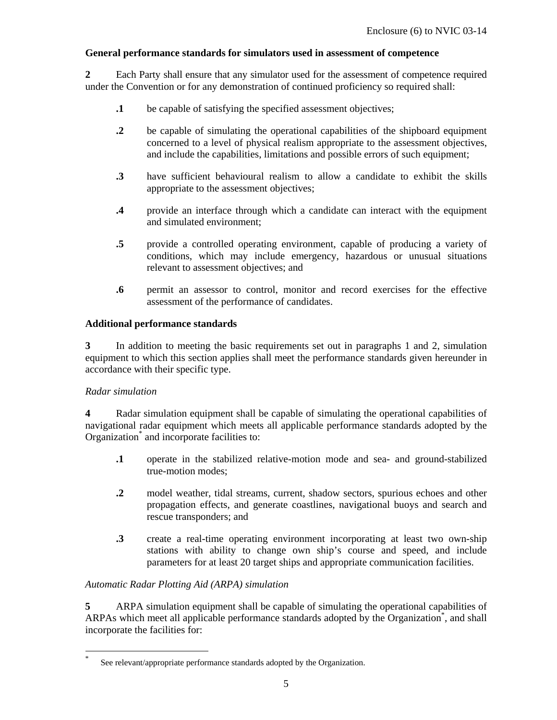# **General performance standards for simulators used in assessment of competence**

**2** Each Party shall ensure that any simulator used for the assessment of competence required under the Convention or for any demonstration of continued proficiency so required shall:

- **.1** be capable of satisfying the specified assessment objectives;
- **.2** be capable of simulating the operational capabilities of the shipboard equipment concerned to a level of physical realism appropriate to the assessment objectives, and include the capabilities, limitations and possible errors of such equipment;
- **.3** have sufficient behavioural realism to allow a candidate to exhibit the skills appropriate to the assessment objectives;
- **.4** provide an interface through which a candidate can interact with the equipment and simulated environment;
- **.5** provide a controlled operating environment, capable of producing a variety of conditions, which may include emergency, hazardous or unusual situations relevant to assessment objectives; and
- **.6** permit an assessor to control, monitor and record exercises for the effective assessment of the performance of candidates.

### **Additional performance standards**

**3** In addition to meeting the basic requirements set out in paragraphs 1 and 2, simulation equipment to which this section applies shall meet the performance standards given hereunder in accordance with their specific type.

### *Radar simulation*

-

**4** Radar simulation equipment shall be capable of simulating the operational capabilities of navigational radar equipment which meets all applicable performance standards adopted by the Organization<sup>\*</sup> and incorporate facilities to:

- **.1** operate in the stabilized relative-motion mode and sea- and ground-stabilized true-motion modes;
- **.2** model weather, tidal streams, current, shadow sectors, spurious echoes and other propagation effects, and generate coastlines, navigational buoys and search and rescue transponders; and
- **.3** create a real-time operating environment incorporating at least two own-ship stations with ability to change own ship's course and speed, and include parameters for at least 20 target ships and appropriate communication facilities.

### *Automatic Radar Plotting Aid (ARPA) simulation*

**5** ARPA simulation equipment shall be capable of simulating the operational capabilities of ARPAs which meet all applicable performance standards adopted by the Organization<sup>\*</sup>, and shall incorporate the facilities for:

<sup>\*</sup> See relevant/appropriate performance standards adopted by the Organization.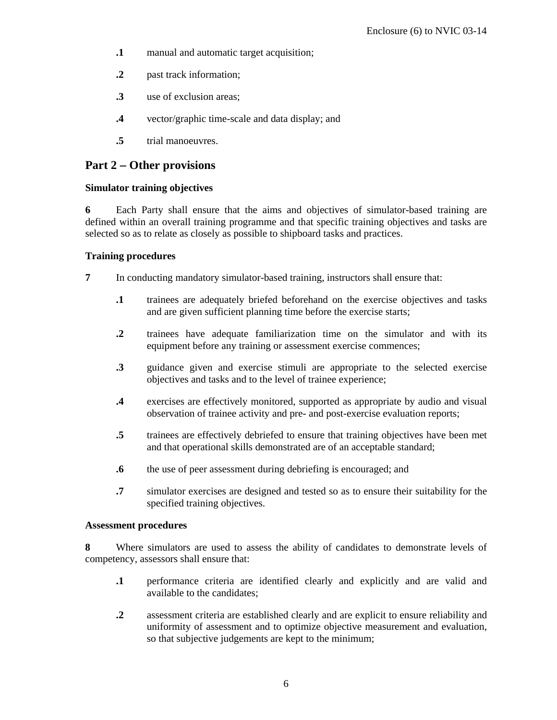- **.1** manual and automatic target acquisition;
- **.2** past track information;
- **.3** use of exclusion areas;
- **.4** vector/graphic time-scale and data display; and
- **.5** trial manoeuvres.

# **Part 2** − **Other provisions**

### **Simulator training objectives**

**6** Each Party shall ensure that the aims and objectives of simulator-based training are defined within an overall training programme and that specific training objectives and tasks are selected so as to relate as closely as possible to shipboard tasks and practices.

### **Training procedures**

**7** In conducting mandatory simulator-based training, instructors shall ensure that:

- **.1** trainees are adequately briefed beforehand on the exercise objectives and tasks and are given sufficient planning time before the exercise starts;
- **.2** trainees have adequate familiarization time on the simulator and with its equipment before any training or assessment exercise commences;
- **.3** guidance given and exercise stimuli are appropriate to the selected exercise objectives and tasks and to the level of trainee experience;
- **.4** exercises are effectively monitored, supported as appropriate by audio and visual observation of trainee activity and pre- and post-exercise evaluation reports;
- **.5** trainees are effectively debriefed to ensure that training objectives have been met and that operational skills demonstrated are of an acceptable standard;
- **.6** the use of peer assessment during debriefing is encouraged; and
- **.7** simulator exercises are designed and tested so as to ensure their suitability for the specified training objectives.

### **Assessment procedures**

**8** Where simulators are used to assess the ability of candidates to demonstrate levels of competency, assessors shall ensure that:

- **.1** performance criteria are identified clearly and explicitly and are valid and available to the candidates;
- **.2** assessment criteria are established clearly and are explicit to ensure reliability and uniformity of assessment and to optimize objective measurement and evaluation, so that subjective judgements are kept to the minimum;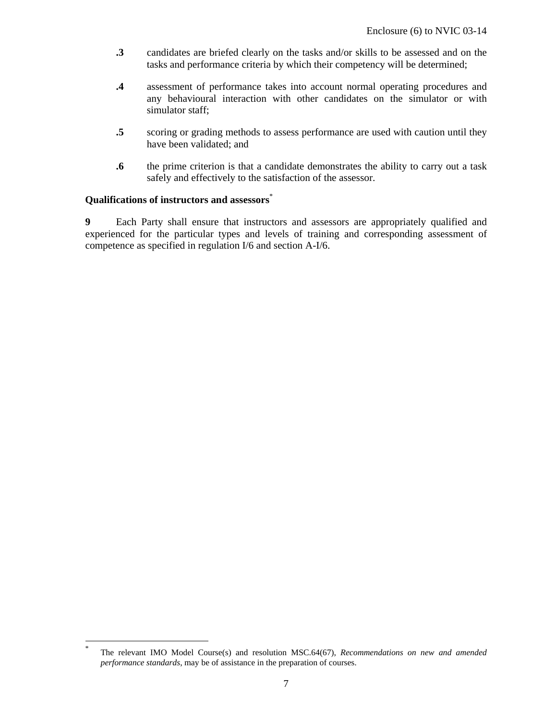- **.3** candidates are briefed clearly on the tasks and/or skills to be assessed and on the tasks and performance criteria by which their competency will be determined;
- **.4** assessment of performance takes into account normal operating procedures and any behavioural interaction with other candidates on the simulator or with simulator staff;
- **.5** scoring or grading methods to assess performance are used with caution until they have been validated; and
- **.6** the prime criterion is that a candidate demonstrates the ability to carry out a task safely and effectively to the satisfaction of the assessor.

### **Qualifications of instructors and assessors**\*

-

**9** Each Party shall ensure that instructors and assessors are appropriately qualified and experienced for the particular types and levels of training and corresponding assessment of competence as specified in regulation I/6 and section A-I/6.

<sup>\*</sup> The relevant IMO Model Course(s) and resolution MSC.64(67), *Recommendations on new and amended performance standards*, may be of assistance in the preparation of courses.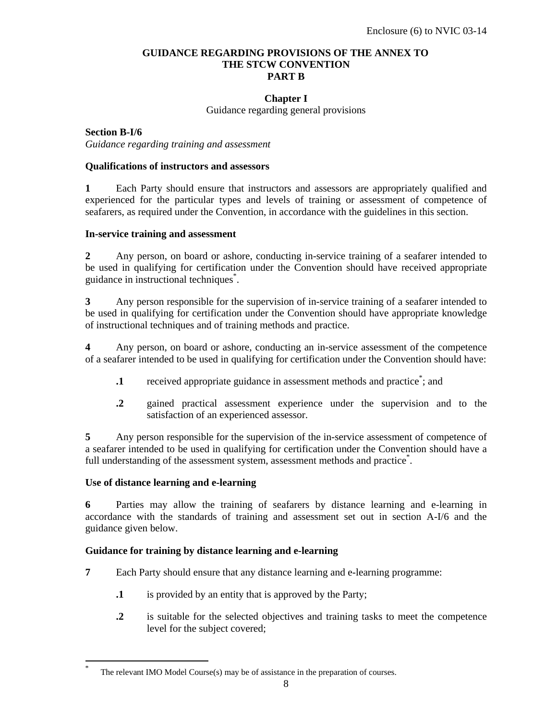### **GUIDANCE REGARDING PROVISIONS OF THE ANNEX TO THE STCW CONVENTION PART B**

# **Chapter I**

Guidance regarding general provisions

**Section B-I/6** *Guidance regarding training and assessment* 

#### **Qualifications of instructors and assessors**

**1** Each Party should ensure that instructors and assessors are appropriately qualified and experienced for the particular types and levels of training or assessment of competence of seafarers, as required under the Convention, in accordance with the guidelines in this section.

#### **In-service training and assessment**

**2** Any person, on board or ashore, conducting in-service training of a seafarer intended to be used in qualifying for certification under the Convention should have received appropriate guidance in instructional techniques\* .

**3** Any person responsible for the supervision of in-service training of a seafarer intended to be used in qualifying for certification under the Convention should have appropriate knowledge of instructional techniques and of training methods and practice.

**4** Any person, on board or ashore, conducting an in-service assessment of the competence of a seafarer intended to be used in qualifying for certification under the Convention should have:

- **1** received appropriate guidance in assessment methods and practice<sup>\*</sup>; and
- **.2** gained practical assessment experience under the supervision and to the satisfaction of an experienced assessor.

**5** Any person responsible for the supervision of the in-service assessment of competence of a seafarer intended to be used in qualifying for certification under the Convention should have a full understanding of the assessment system, assessment methods and practice<sup>\*</sup>.

### **Use of distance learning and e-learning**

-

**6** Parties may allow the training of seafarers by distance learning and e-learning in accordance with the standards of training and assessment set out in section A-I/6 and the guidance given below.

### **Guidance for training by distance learning and e-learning**

- **7** Each Party should ensure that any distance learning and e-learning programme:
	- **.1** is provided by an entity that is approved by the Party;
	- **.2** is suitable for the selected objectives and training tasks to meet the competence level for the subject covered;

<sup>\*</sup> The relevant IMO Model Course(s) may be of assistance in the preparation of courses.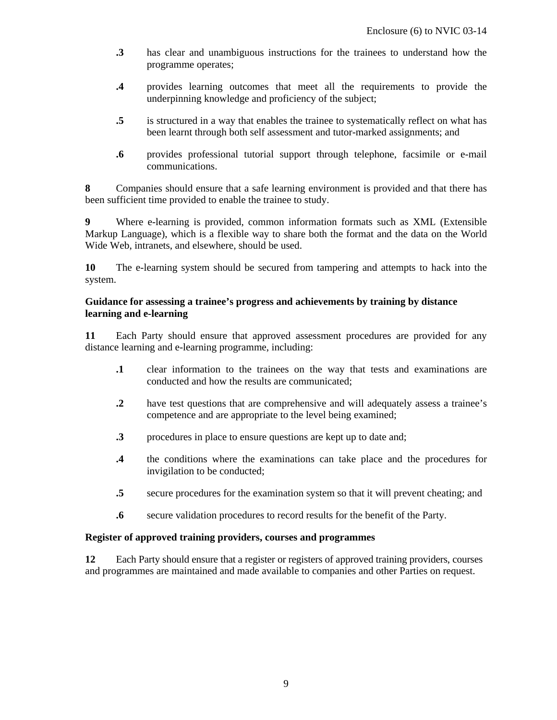- **.3** has clear and unambiguous instructions for the trainees to understand how the programme operates;
- **.4** provides learning outcomes that meet all the requirements to provide the underpinning knowledge and proficiency of the subject;
- **.5** is structured in a way that enables the trainee to systematically reflect on what has been learnt through both self assessment and tutor-marked assignments; and
- **.6** provides professional tutorial support through telephone, facsimile or e-mail communications.

**8** Companies should ensure that a safe learning environment is provided and that there has been sufficient time provided to enable the trainee to study.

**9** Where e-learning is provided, common information formats such as XML (Extensible Markup Language), which is a flexible way to share both the format and the data on the World Wide Web, intranets, and elsewhere, should be used.

**10** The e-learning system should be secured from tampering and attempts to hack into the system.

### **Guidance for assessing a trainee's progress and achievements by training by distance learning and e-learning**

**11** Each Party should ensure that approved assessment procedures are provided for any distance learning and e-learning programme, including:

- **.1** clear information to the trainees on the way that tests and examinations are conducted and how the results are communicated;
- **.2** have test questions that are comprehensive and will adequately assess a trainee's competence and are appropriate to the level being examined;
- **.3** procedures in place to ensure questions are kept up to date and;
- **.4** the conditions where the examinations can take place and the procedures for invigilation to be conducted;
- **.5** secure procedures for the examination system so that it will prevent cheating; and
- **.6** secure validation procedures to record results for the benefit of the Party.

### **Register of approved training providers, courses and programmes**

**12** Each Party should ensure that a register or registers of approved training providers, courses and programmes are maintained and made available to companies and other Parties on request.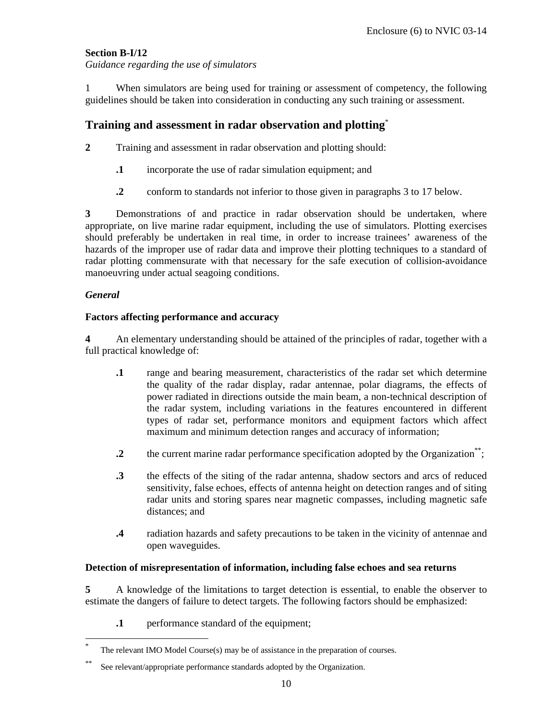# **Section B-I/12**

*Guidance regarding the use of simulators* 

1 When simulators are being used for training or assessment of competency, the following guidelines should be taken into consideration in conducting any such training or assessment.

# **Training and assessment in radar observation and plotting**\*

- **2** Training and assessment in radar observation and plotting should:
	- **.1** incorporate the use of radar simulation equipment; and
	- **.2** conform to standards not inferior to those given in paragraphs 3 to 17 below.

**3** Demonstrations of and practice in radar observation should be undertaken, where appropriate, on live marine radar equipment, including the use of simulators. Plotting exercises should preferably be undertaken in real time, in order to increase trainees' awareness of the hazards of the improper use of radar data and improve their plotting techniques to a standard of radar plotting commensurate with that necessary for the safe execution of collision-avoidance manoeuvring under actual seagoing conditions.

### *General*

-

#### **Factors affecting performance and accuracy**

**4** An elementary understanding should be attained of the principles of radar, together with a full practical knowledge of:

- **.1** range and bearing measurement, characteristics of the radar set which determine the quality of the radar display, radar antennae, polar diagrams, the effects of power radiated in directions outside the main beam, a non-technical description of the radar system, including variations in the features encountered in different types of radar set, performance monitors and equipment factors which affect maximum and minimum detection ranges and accuracy of information;
- **.2** the current marine radar performance specification adopted by the Organization\*\*;
- **.3** the effects of the siting of the radar antenna, shadow sectors and arcs of reduced sensitivity, false echoes, effects of antenna height on detection ranges and of siting radar units and storing spares near magnetic compasses, including magnetic safe distances; and
- **.4** radiation hazards and safety precautions to be taken in the vicinity of antennae and open waveguides.

### **Detection of misrepresentation of information, including false echoes and sea returns**

**5** A knowledge of the limitations to target detection is essential, to enable the observer to estimate the dangers of failure to detect targets. The following factors should be emphasized:

**.1** performance standard of the equipment;

<sup>\*</sup> The relevant IMO Model Course(s) may be of assistance in the preparation of courses.

<sup>\*\*</sup> See relevant/appropriate performance standards adopted by the Organization.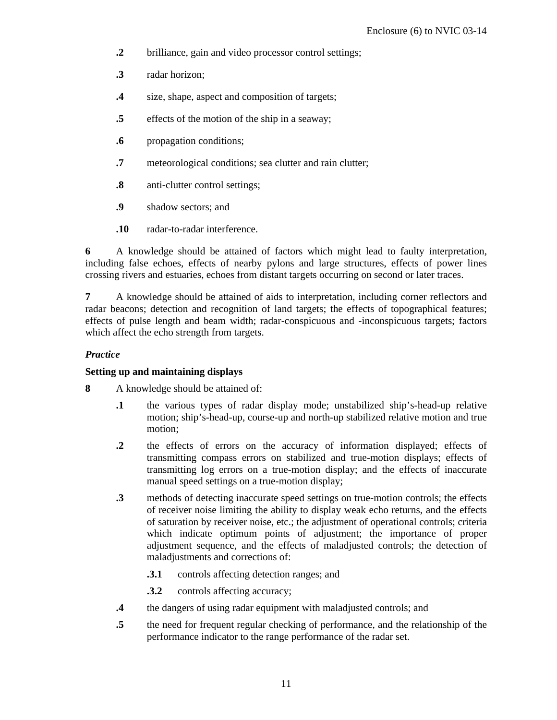- **.2** brilliance, gain and video processor control settings;
- **.3** radar horizon;
- **.4** size, shape, aspect and composition of targets;
- **.5** effects of the motion of the ship in a seaway;
- **.6** propagation conditions;
- **.7** meteorological conditions; sea clutter and rain clutter;
- **.8** anti-clutter control settings;
- **.9** shadow sectors; and
- **.10** radar-to-radar interference.

**6** A knowledge should be attained of factors which might lead to faulty interpretation, including false echoes, effects of nearby pylons and large structures, effects of power lines crossing rivers and estuaries, echoes from distant targets occurring on second or later traces.

**7** A knowledge should be attained of aids to interpretation, including corner reflectors and radar beacons; detection and recognition of land targets; the effects of topographical features; effects of pulse length and beam width; radar-conspicuous and -inconspicuous targets; factors which affect the echo strength from targets.

# *Practice*

# **Setting up and maintaining displays**

- **8** A knowledge should be attained of:
	- **.1** the various types of radar display mode; unstabilized ship's-head-up relative motion; ship's-head-up, course-up and north-up stabilized relative motion and true motion;
	- **.2** the effects of errors on the accuracy of information displayed; effects of transmitting compass errors on stabilized and true-motion displays; effects of transmitting log errors on a true-motion display; and the effects of inaccurate manual speed settings on a true-motion display;
	- **.3** methods of detecting inaccurate speed settings on true-motion controls; the effects of receiver noise limiting the ability to display weak echo returns, and the effects of saturation by receiver noise, etc.; the adjustment of operational controls; criteria which indicate optimum points of adjustment; the importance of proper adjustment sequence, and the effects of maladjusted controls; the detection of maladjustments and corrections of:
		- **.3.1** controls affecting detection ranges; and
		- **.3.2** controls affecting accuracy;
	- **.4** the dangers of using radar equipment with maladjusted controls; and
	- **.5** the need for frequent regular checking of performance, and the relationship of the performance indicator to the range performance of the radar set.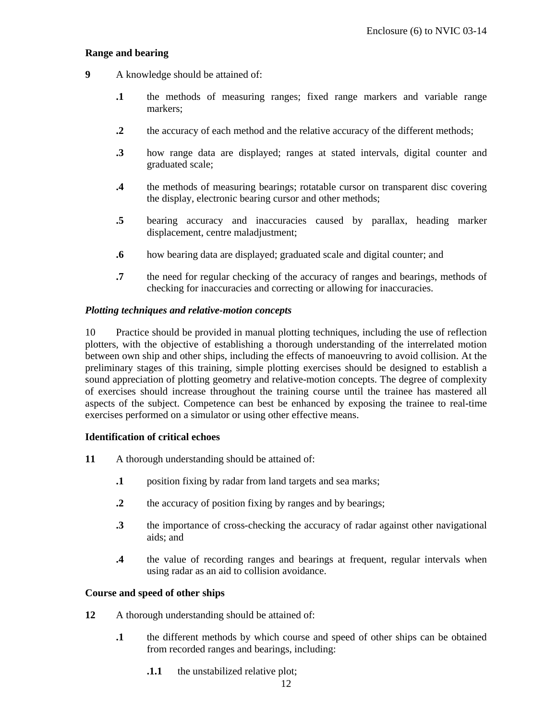### **Range and bearing**

- **9** A knowledge should be attained of:
	- **.1** the methods of measuring ranges; fixed range markers and variable range markers;
	- **.2** the accuracy of each method and the relative accuracy of the different methods;
	- **.3** how range data are displayed; ranges at stated intervals, digital counter and graduated scale;
	- **.4** the methods of measuring bearings; rotatable cursor on transparent disc covering the display, electronic bearing cursor and other methods;
	- **.5** bearing accuracy and inaccuracies caused by parallax, heading marker displacement, centre maladjustment;
	- **.6** how bearing data are displayed; graduated scale and digital counter; and
	- **.7** the need for regular checking of the accuracy of ranges and bearings, methods of checking for inaccuracies and correcting or allowing for inaccuracies.

### *Plotting techniques and relative-motion concepts*

10 Practice should be provided in manual plotting techniques, including the use of reflection plotters, with the objective of establishing a thorough understanding of the interrelated motion between own ship and other ships, including the effects of manoeuvring to avoid collision. At the preliminary stages of this training, simple plotting exercises should be designed to establish a sound appreciation of plotting geometry and relative-motion concepts. The degree of complexity of exercises should increase throughout the training course until the trainee has mastered all aspects of the subject. Competence can best be enhanced by exposing the trainee to real-time exercises performed on a simulator or using other effective means.

### **Identification of critical echoes**

- **11** A thorough understanding should be attained of:
	- **.1** position fixing by radar from land targets and sea marks;
	- **2** the accuracy of position fixing by ranges and by bearings;
	- **.3** the importance of cross-checking the accuracy of radar against other navigational aids; and
	- **.4** the value of recording ranges and bearings at frequent, regular intervals when using radar as an aid to collision avoidance.

### **Course and speed of other ships**

- **12** A thorough understanding should be attained of:
	- **.1** the different methods by which course and speed of other ships can be obtained from recorded ranges and bearings, including:
		- **1.1** the unstabilized relative plot;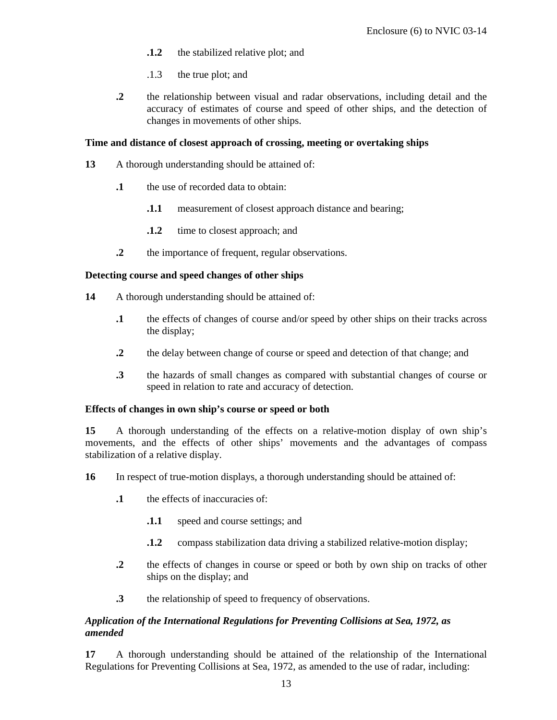- **.1.2** the stabilized relative plot; and
- .1.3 the true plot; and
- **.2** the relationship between visual and radar observations, including detail and the accuracy of estimates of course and speed of other ships, and the detection of changes in movements of other ships.

## **Time and distance of closest approach of crossing, meeting or overtaking ships**

- **13** A thorough understanding should be attained of:
	- **.1** the use of recorded data to obtain:
		- **1.1** measurement of closest approach distance and bearing;
		- **1.2** time to closest approach; and
	- **.2** the importance of frequent, regular observations.

# **Detecting course and speed changes of other ships**

- **14** A thorough understanding should be attained of:
	- **.1** the effects of changes of course and/or speed by other ships on their tracks across the display;
	- **.2** the delay between change of course or speed and detection of that change; and
	- **.3** the hazards of small changes as compared with substantial changes of course or speed in relation to rate and accuracy of detection.

### **Effects of changes in own ship's course or speed or both**

**15** A thorough understanding of the effects on a relative-motion display of own ship's movements, and the effects of other ships' movements and the advantages of compass stabilization of a relative display.

- **16** In respect of true-motion displays, a thorough understanding should be attained of:
	- **.1** the effects of inaccuracies of:
		- **.1.1** speed and course settings; and
		- **.1.2** compass stabilization data driving a stabilized relative-motion display;
	- **.2** the effects of changes in course or speed or both by own ship on tracks of other ships on the display; and
	- **.3** the relationship of speed to frequency of observations.

# *Application of the International Regulations for Preventing Collisions at Sea, 1972, as amended*

**17** A thorough understanding should be attained of the relationship of the International Regulations for Preventing Collisions at Sea, 1972, as amended to the use of radar, including: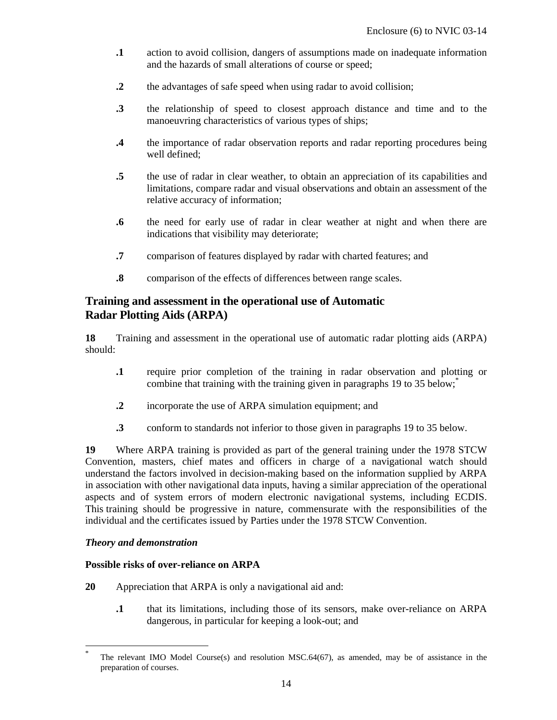- **.1** action to avoid collision, dangers of assumptions made on inadequate information and the hazards of small alterations of course or speed;
- **.2** the advantages of safe speed when using radar to avoid collision;
- **.3** the relationship of speed to closest approach distance and time and to the manoeuvring characteristics of various types of ships;
- **.4** the importance of radar observation reports and radar reporting procedures being well defined;
- **.5** the use of radar in clear weather, to obtain an appreciation of its capabilities and limitations, compare radar and visual observations and obtain an assessment of the relative accuracy of information;
- **.6** the need for early use of radar in clear weather at night and when there are indications that visibility may deteriorate;
- **.7** comparison of features displayed by radar with charted features; and
- **.8** comparison of the effects of differences between range scales.

# **Training and assessment in the operational use of Automatic Radar Plotting Aids (ARPA)**

**18** Training and assessment in the operational use of automatic radar plotting aids (ARPA) should:

- **.1** require prior completion of the training in radar observation and plotting or combine that training with the training given in paragraphs 19 to 35 below;
- **.2** incorporate the use of ARPA simulation equipment; and
- **.3** conform to standards not inferior to those given in paragraphs 19 to 35 below.

**19** Where ARPA training is provided as part of the general training under the 1978 STCW Convention, masters, chief mates and officers in charge of a navigational watch should understand the factors involved in decision-making based on the information supplied by ARPA in association with other navigational data inputs, having a similar appreciation of the operational aspects and of system errors of modern electronic navigational systems, including ECDIS. This training should be progressive in nature, commensurate with the responsibilities of the individual and the certificates issued by Parties under the 1978 STCW Convention.

# *Theory and demonstration*

-

### **Possible risks of over-reliance on ARPA**

- **20** Appreciation that ARPA is only a navigational aid and:
	- **.1** that its limitations, including those of its sensors, make over-reliance on ARPA dangerous, in particular for keeping a look-out; and

The relevant IMO Model Course(s) and resolution MSC.64(67), as amended, may be of assistance in the preparation of courses.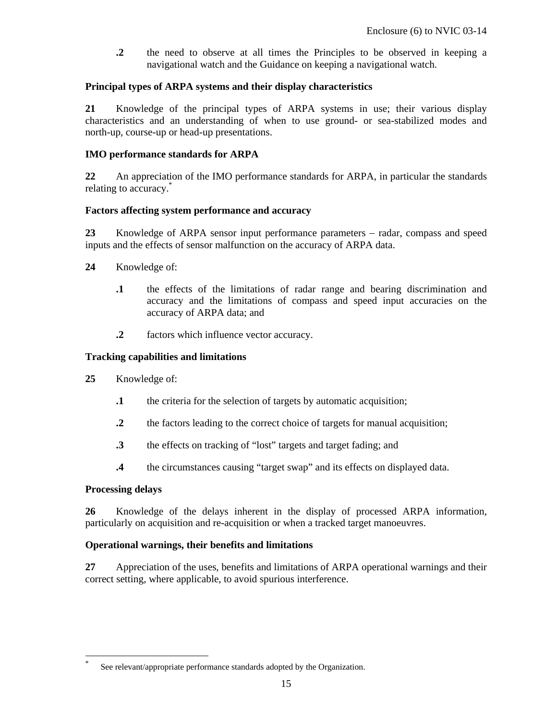**.2** the need to observe at all times the Principles to be observed in keeping a navigational watch and the Guidance on keeping a navigational watch.

## **Principal types of ARPA systems and their display characteristics**

**21** Knowledge of the principal types of ARPA systems in use; their various display characteristics and an understanding of when to use ground- or sea-stabilized modes and north-up, course-up or head-up presentations.

# **IMO performance standards for ARPA**

**22** An appreciation of the IMO performance standards for ARPA, in particular the standards relating to accuracy.

# **Factors affecting system performance and accuracy**

**23** Knowledge of ARPA sensor input performance parameters − radar, compass and speed inputs and the effects of sensor malfunction on the accuracy of ARPA data.

- **24** Knowledge of:
	- **.1** the effects of the limitations of radar range and bearing discrimination and accuracy and the limitations of compass and speed input accuracies on the accuracy of ARPA data; and
	- **.2** factors which influence vector accuracy.

# **Tracking capabilities and limitations**

- **25** Knowledge of:
	- **.1** the criteria for the selection of targets by automatic acquisition;
	- **.2** the factors leading to the correct choice of targets for manual acquisition;
	- **.3** the effects on tracking of "lost" targets and target fading; and
	- **.4** the circumstances causing "target swap" and its effects on displayed data.

### **Processing delays**

-

**26** Knowledge of the delays inherent in the display of processed ARPA information, particularly on acquisition and re-acquisition or when a tracked target manoeuvres.

### **Operational warnings, their benefits and limitations**

**27** Appreciation of the uses, benefits and limitations of ARPA operational warnings and their correct setting, where applicable, to avoid spurious interference.

<sup>\*</sup> See relevant/appropriate performance standards adopted by the Organization.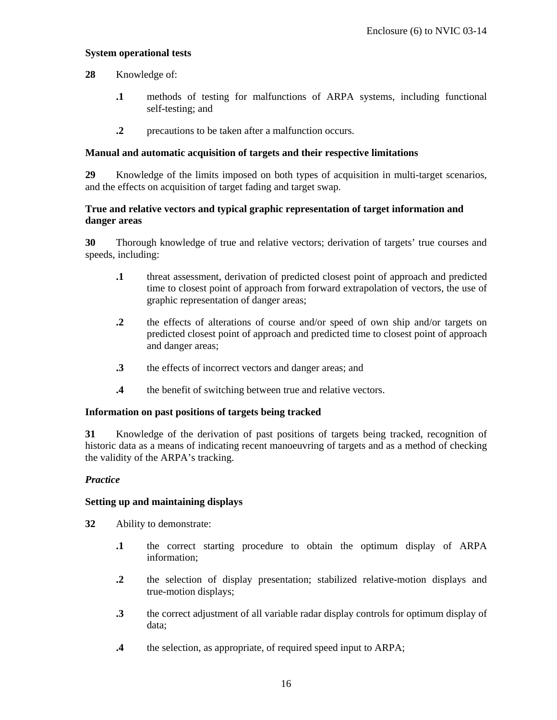### **System operational tests**

**28** Knowledge of:

- **.1** methods of testing for malfunctions of ARPA systems, including functional self-testing; and
- **2** precautions to be taken after a malfunction occurs.

### **Manual and automatic acquisition of targets and their respective limitations**

**29** Knowledge of the limits imposed on both types of acquisition in multi-target scenarios, and the effects on acquisition of target fading and target swap.

# **True and relative vectors and typical graphic representation of target information and danger areas**

**30** Thorough knowledge of true and relative vectors; derivation of targets' true courses and speeds, including:

- **.1** threat assessment, derivation of predicted closest point of approach and predicted time to closest point of approach from forward extrapolation of vectors, the use of graphic representation of danger areas;
- **.2** the effects of alterations of course and/or speed of own ship and/or targets on predicted closest point of approach and predicted time to closest point of approach and danger areas;
- **.3** the effects of incorrect vectors and danger areas; and
- **.4** the benefit of switching between true and relative vectors.

### **Information on past positions of targets being tracked**

**31** Knowledge of the derivation of past positions of targets being tracked, recognition of historic data as a means of indicating recent manoeuvring of targets and as a method of checking the validity of the ARPA's tracking.

### *Practice*

### **Setting up and maintaining displays**

**32** Ability to demonstrate:

- **.1** the correct starting procedure to obtain the optimum display of ARPA information;
- **.2** the selection of display presentation; stabilized relative-motion displays and true-motion displays;
- **.3** the correct adjustment of all variable radar display controls for optimum display of data;
- **.4** the selection, as appropriate, of required speed input to ARPA;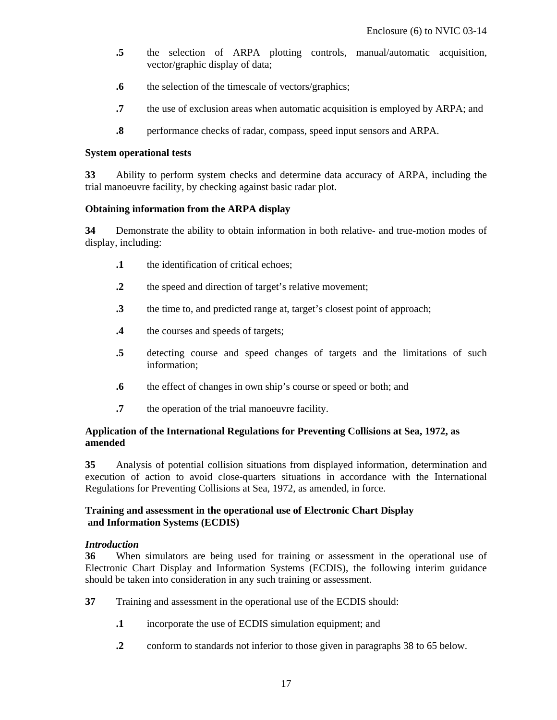- **.5** the selection of ARPA plotting controls, manual/automatic acquisition, vector/graphic display of data;
- **.6** the selection of the timescale of vectors/graphics;
- **.7** the use of exclusion areas when automatic acquisition is employed by ARPA; and
- **.8** performance checks of radar, compass, speed input sensors and ARPA.

#### **System operational tests**

**33** Ability to perform system checks and determine data accuracy of ARPA, including the trial manoeuvre facility, by checking against basic radar plot.

### **Obtaining information from the ARPA display**

**34** Demonstrate the ability to obtain information in both relative- and true-motion modes of display, including:

- **.1** the identification of critical echoes;
- **.2** the speed and direction of target's relative movement;
- **.3** the time to, and predicted range at, target's closest point of approach;
- **.4** the courses and speeds of targets;
- **.5** detecting course and speed changes of targets and the limitations of such information;
- **.6** the effect of changes in own ship's course or speed or both; and
- **.7** the operation of the trial manoeuvre facility.

# **Application of the International Regulations for Preventing Collisions at Sea, 1972, as amended**

**35** Analysis of potential collision situations from displayed information, determination and execution of action to avoid close-quarters situations in accordance with the International Regulations for Preventing Collisions at Sea, 1972, as amended, in force.

### **Training and assessment in the operational use of Electronic Chart Display and Information Systems (ECDIS)**

### *Introduction*

**36** When simulators are being used for training or assessment in the operational use of Electronic Chart Display and Information Systems (ECDIS), the following interim guidance should be taken into consideration in any such training or assessment.

- **37** Training and assessment in the operational use of the ECDIS should:
	- **.1** incorporate the use of ECDIS simulation equipment; and
	- **.2** conform to standards not inferior to those given in paragraphs 38 to 65 below.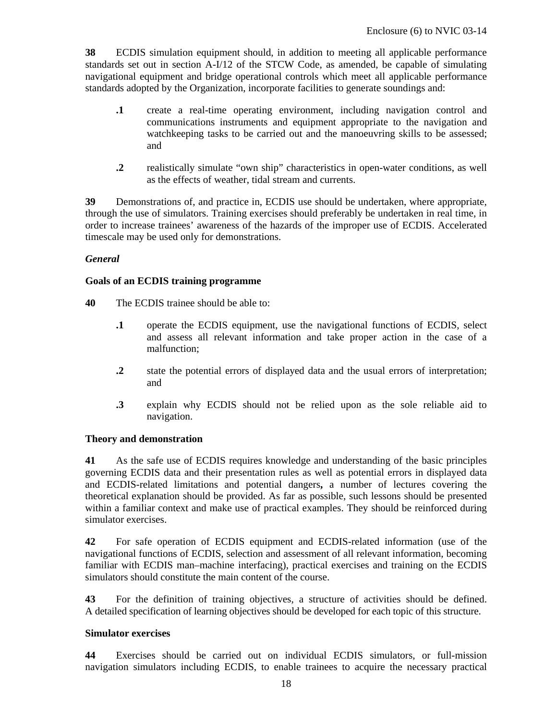**38** ECDIS simulation equipment should, in addition to meeting all applicable performance standards set out in section A-I/12 of the STCW Code, as amended, be capable of simulating navigational equipment and bridge operational controls which meet all applicable performance standards adopted by the Organization, incorporate facilities to generate soundings and:

- **.1** create a real-time operating environment, including navigation control and communications instruments and equipment appropriate to the navigation and watchkeeping tasks to be carried out and the manoeuvring skills to be assessed; and
- **.2** realistically simulate "own ship" characteristics in open-water conditions, as well as the effects of weather, tidal stream and currents.

**39** Demonstrations of, and practice in, ECDIS use should be undertaken, where appropriate, through the use of simulators. Training exercises should preferably be undertaken in real time, in order to increase trainees' awareness of the hazards of the improper use of ECDIS. Accelerated timescale may be used only for demonstrations.

# *General*

### **Goals of an ECDIS training programme**

- **40** The ECDIS trainee should be able to:
	- **.1** operate the ECDIS equipment, use the navigational functions of ECDIS, select and assess all relevant information and take proper action in the case of a malfunction;
	- **.2** state the potential errors of displayed data and the usual errors of interpretation; and
	- **.3** explain why ECDIS should not be relied upon as the sole reliable aid to navigation.

### **Theory and demonstration**

**41** As the safe use of ECDIS requires knowledge and understanding of the basic principles governing ECDIS data and their presentation rules as well as potential errors in displayed data and ECDIS-related limitations and potential dangers**,** a number of lectures covering the theoretical explanation should be provided. As far as possible, such lessons should be presented within a familiar context and make use of practical examples. They should be reinforced during simulator exercises.

**42** For safe operation of ECDIS equipment and ECDIS-related information (use of the navigational functions of ECDIS, selection and assessment of all relevant information, becoming familiar with ECDIS man–machine interfacing), practical exercises and training on the ECDIS simulators should constitute the main content of the course.

**43** For the definition of training objectives, a structure of activities should be defined. A detailed specification of learning objectives should be developed for each topic of this structure.

### **Simulator exercises**

**44** Exercises should be carried out on individual ECDIS simulators, or full-mission navigation simulators including ECDIS, to enable trainees to acquire the necessary practical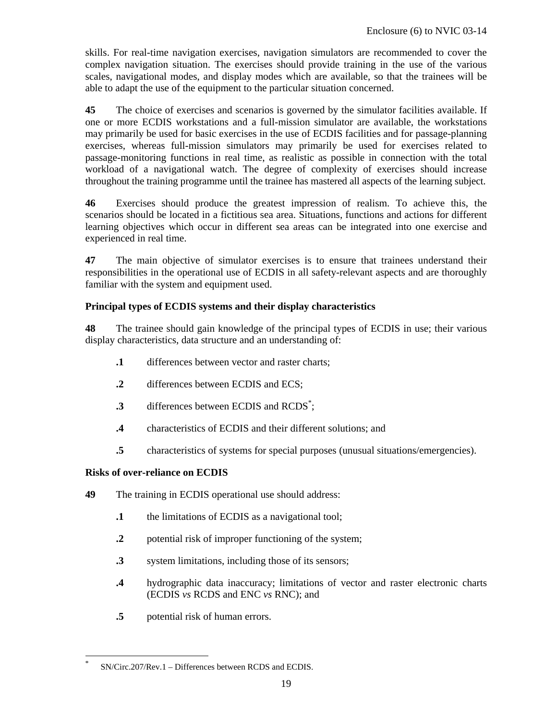skills. For real-time navigation exercises, navigation simulators are recommended to cover the complex navigation situation. The exercises should provide training in the use of the various scales, navigational modes, and display modes which are available, so that the trainees will be able to adapt the use of the equipment to the particular situation concerned.

**45** The choice of exercises and scenarios is governed by the simulator facilities available. If one or more ECDIS workstations and a full-mission simulator are available, the workstations may primarily be used for basic exercises in the use of ECDIS facilities and for passage-planning exercises, whereas full-mission simulators may primarily be used for exercises related to passage-monitoring functions in real time, as realistic as possible in connection with the total workload of a navigational watch. The degree of complexity of exercises should increase throughout the training programme until the trainee has mastered all aspects of the learning subject.

**46** Exercises should produce the greatest impression of realism. To achieve this, the scenarios should be located in a fictitious sea area. Situations, functions and actions for different learning objectives which occur in different sea areas can be integrated into one exercise and experienced in real time.

**47** The main objective of simulator exercises is to ensure that trainees understand their responsibilities in the operational use of ECDIS in all safety-relevant aspects and are thoroughly familiar with the system and equipment used.

# **Principal types of ECDIS systems and their display characteristics**

**48** The trainee should gain knowledge of the principal types of ECDIS in use; their various display characteristics, data structure and an understanding of:

- **.1** differences between vector and raster charts;
- **.2** differences between ECDIS and ECS;
- **.3** differences between ECDIS and RCDS<sup>\*</sup>;
- **.4** characteristics of ECDIS and their different solutions; and
- **.5** characteristics of systems for special purposes (unusual situations/emergencies).

# **Risks of over-reliance on ECDIS**

-

- **49** The training in ECDIS operational use should address:
	- **.1** the limitations of ECDIS as a navigational tool;
	- **.2** potential risk of improper functioning of the system;
	- **.3** system limitations, including those of its sensors;
	- **.4** hydrographic data inaccuracy; limitations of vector and raster electronic charts (ECDIS *vs* RCDS and ENC *vs* RNC); and
	- **.5** potential risk of human errors.

<sup>\*</sup> SN/Circ.207/Rev.1 – Differences between RCDS and ECDIS.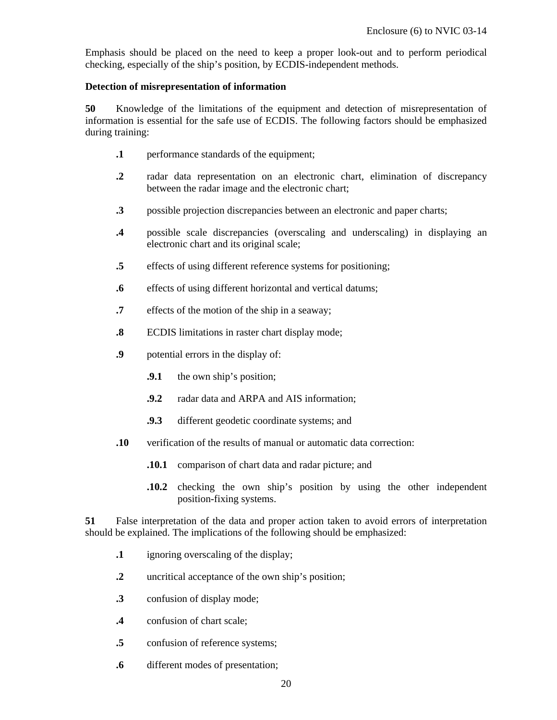Emphasis should be placed on the need to keep a proper look-out and to perform periodical checking, especially of the ship's position, by ECDIS-independent methods.

# **Detection of misrepresentation of information**

**50** Knowledge of the limitations of the equipment and detection of misrepresentation of information is essential for the safe use of ECDIS. The following factors should be emphasized during training:

- **.1** performance standards of the equipment;
- **.2** radar data representation on an electronic chart, elimination of discrepancy between the radar image and the electronic chart;
- **.3** possible projection discrepancies between an electronic and paper charts;
- **.4** possible scale discrepancies (overscaling and underscaling) in displaying an electronic chart and its original scale;
- **.5** effects of using different reference systems for positioning;
- **.6** effects of using different horizontal and vertical datums;
- **.7** effects of the motion of the ship in a seaway;
- **.8** ECDIS limitations in raster chart display mode;
- **.9** potential errors in the display of:
	- **.9.1** the own ship's position;
	- **.9.2** radar data and ARPA and AIS information;
	- **.9.3** different geodetic coordinate systems; and
- **.10** verification of the results of manual or automatic data correction:
	- **.10.1** comparison of chart data and radar picture; and
	- **.10.2** checking the own ship's position by using the other independent position-fixing systems.

**51** False interpretation of the data and proper action taken to avoid errors of interpretation should be explained. The implications of the following should be emphasized:

- **.1** ignoring overscaling of the display;
- **.2** uncritical acceptance of the own ship's position;
- **.3** confusion of display mode;
- **.4** confusion of chart scale;
- **.5** confusion of reference systems;
- **.6** different modes of presentation;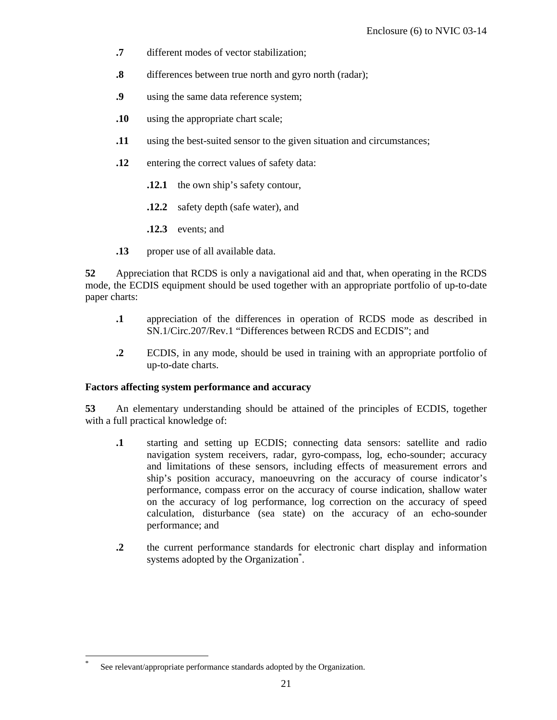- **.7** different modes of vector stabilization;
- **.8** differences between true north and gyro north (radar);
- **.9** using the same data reference system;
- **.10** using the appropriate chart scale;
- **.11** using the best-suited sensor to the given situation and circumstances;
- **.12** entering the correct values of safety data:
	- **.12.1** the own ship's safety contour,
	- **.12.2** safety depth (safe water), and
	- **.12.3** events; and
- **.13** proper use of all available data.

**52** Appreciation that RCDS is only a navigational aid and that, when operating in the RCDS mode, the ECDIS equipment should be used together with an appropriate portfolio of up-to-date paper charts:

- **.1** appreciation of the differences in operation of RCDS mode as described in SN.1/Circ.207/Rev.1 "Differences between RCDS and ECDIS"; and
- **.2** ECDIS, in any mode, should be used in training with an appropriate portfolio of up-to-date charts.

### **Factors affecting system performance and accuracy**

**53** An elementary understanding should be attained of the principles of ECDIS, together with a full practical knowledge of:

- **.1** starting and setting up ECDIS; connecting data sensors: satellite and radio navigation system receivers, radar, gyro-compass, log, echo-sounder; accuracy and limitations of these sensors, including effects of measurement errors and ship's position accuracy, manoeuvring on the accuracy of course indicator's performance, compass error on the accuracy of course indication, shallow water on the accuracy of log performance, log correction on the accuracy of speed calculation, disturbance (sea state) on the accuracy of an echo-sounder performance; and
- **.2** the current performance standards for electronic chart display and information systems adopted by the Organization<sup>\*</sup>.

-

See relevant/appropriate performance standards adopted by the Organization.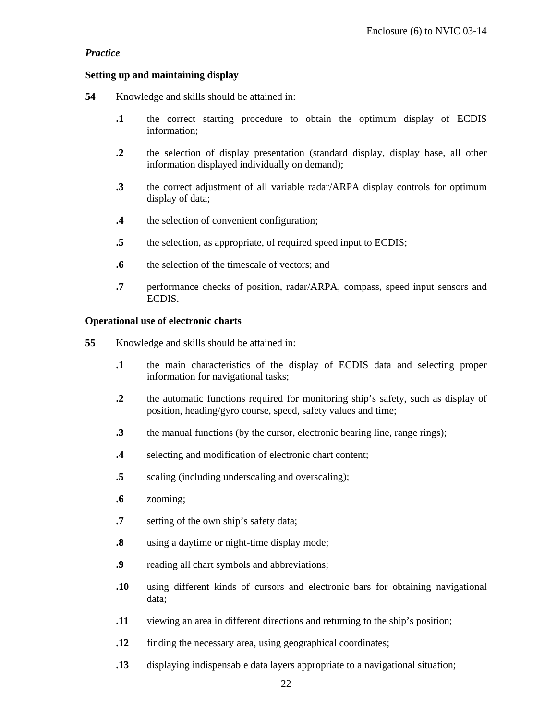# *Practice*

## **Setting up and maintaining display**

- **54** Knowledge and skills should be attained in:
	- **.1** the correct starting procedure to obtain the optimum display of ECDIS information;
	- **.2** the selection of display presentation (standard display, display base, all other information displayed individually on demand);
	- **.3** the correct adjustment of all variable radar/ARPA display controls for optimum display of data;
	- **.4** the selection of convenient configuration;
	- **.5** the selection, as appropriate, of required speed input to ECDIS;
	- **.6** the selection of the timescale of vectors; and
	- **.7** performance checks of position, radar/ARPA, compass, speed input sensors and ECDIS.

### **Operational use of electronic charts**

- **55** Knowledge and skills should be attained in:
	- **.1** the main characteristics of the display of ECDIS data and selecting proper information for navigational tasks;
	- **.2** the automatic functions required for monitoring ship's safety, such as display of position, heading/gyro course, speed, safety values and time;
	- **.3** the manual functions (by the cursor, electronic bearing line, range rings);
	- **.4** selecting and modification of electronic chart content;
	- **.5** scaling (including underscaling and overscaling);
	- **.6** zooming;
	- **.7** setting of the own ship's safety data;
	- **.8** using a daytime or night-time display mode;
	- **.9** reading all chart symbols and abbreviations;
	- **.10** using different kinds of cursors and electronic bars for obtaining navigational data;
	- **.11** viewing an area in different directions and returning to the ship's position;
	- **.12** finding the necessary area, using geographical coordinates;
	- **.13** displaying indispensable data layers appropriate to a navigational situation;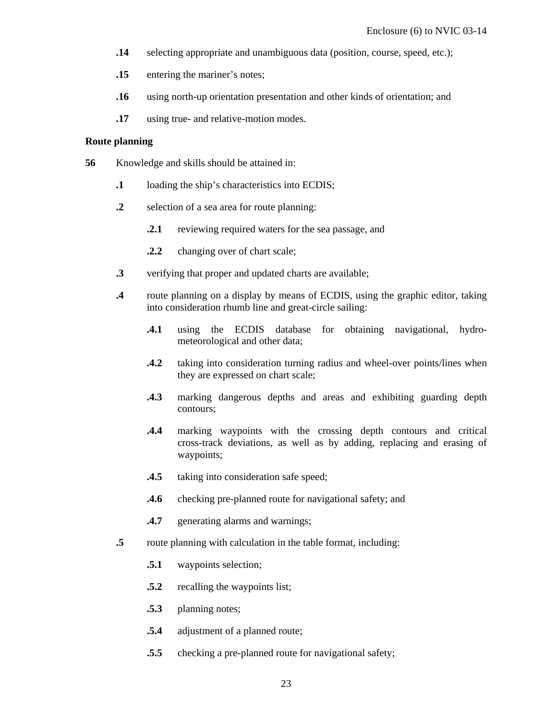- **.14** selecting appropriate and unambiguous data (position, course, speed, etc.);
- **.15** entering the mariner's notes;
- **.16** using north-up orientation presentation and other kinds of orientation; and
- **.17** using true- and relative-motion modes.

### **Route planning**

- **56** Knowledge and skills should be attained in:
	- **.1** loading the ship's characteristics into ECDIS;
	- **.2** selection of a sea area for route planning:
		- **2.1** reviewing required waters for the sea passage, and
		- **.2.2** changing over of chart scale;
	- **.3** verifying that proper and updated charts are available;
	- **.4** route planning on a display by means of ECDIS, using the graphic editor, taking into consideration rhumb line and great-circle sailing:
		- **.4.1** using the ECDIS database for obtaining navigational, hydrometeorological and other data;
		- **.4.2** taking into consideration turning radius and wheel-over points/lines when they are expressed on chart scale;
		- **.4.3** marking dangerous depths and areas and exhibiting guarding depth contours;
		- **.4.4** marking waypoints with the crossing depth contours and critical cross-track deviations, as well as by adding, replacing and erasing of waypoints;
		- **.4.5** taking into consideration safe speed;
		- **.4.6** checking pre-planned route for navigational safety; and
		- **.4.7** generating alarms and warnings;
	- **.5** route planning with calculation in the table format, including:
		- **.5.1** waypoints selection;
		- **.5.2** recalling the waypoints list;
		- **.5.3** planning notes;
		- **.5.4** adjustment of a planned route;
		- **.5.5** checking a pre-planned route for navigational safety;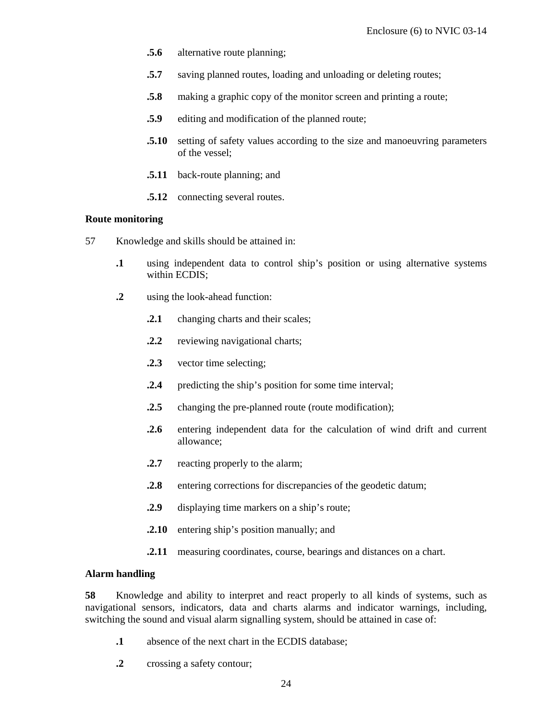- **.5.6** alternative route planning;
- **.5.7** saving planned routes, loading and unloading or deleting routes;
- **.5.8** making a graphic copy of the monitor screen and printing a route;
- **.5.9** editing and modification of the planned route;
- **.5.10** setting of safety values according to the size and manoeuvring parameters of the vessel;
- **.5.11** back-route planning; and
- **.5.12** connecting several routes.

#### **Route monitoring**

- 57 Knowledge and skills should be attained in:
	- **.1** using independent data to control ship's position or using alternative systems within ECDIS;
	- **.2** using the look-ahead function:
		- **.2.1** changing charts and their scales;
		- **.2.2** reviewing navigational charts;
		- **.2.3** vector time selecting;
		- **2.4** predicting the ship's position for some time interval;
		- **.2.5** changing the pre-planned route (route modification);
		- **.2.6** entering independent data for the calculation of wind drift and current allowance;
		- **2.7** reacting properly to the alarm;
		- **2.8** entering corrections for discrepancies of the geodetic datum;
		- **.2.9** displaying time markers on a ship's route;
		- **.2.10** entering ship's position manually; and
		- **2.11** measuring coordinates, course, bearings and distances on a chart.

#### **Alarm handling**

**58** Knowledge and ability to interpret and react properly to all kinds of systems, such as navigational sensors, indicators, data and charts alarms and indicator warnings, including, switching the sound and visual alarm signalling system, should be attained in case of:

- **.1** absence of the next chart in the ECDIS database;
- **.2** crossing a safety contour;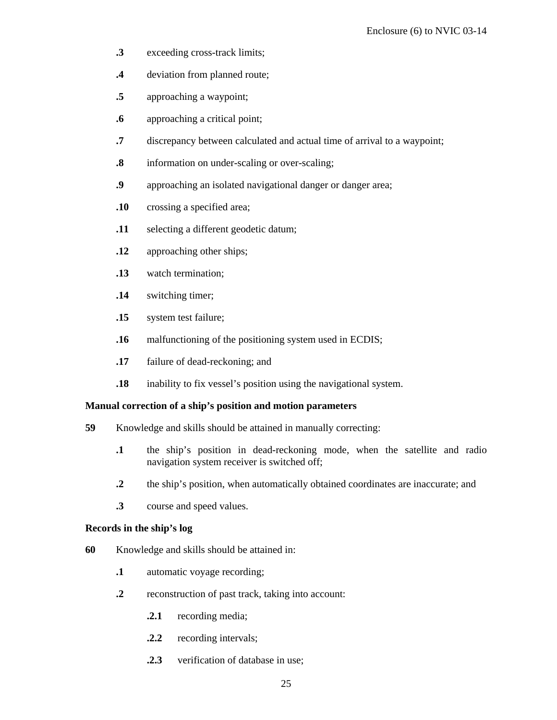- **.3** exceeding cross-track limits;
- **.4** deviation from planned route;
- **.5** approaching a waypoint;
- **.6** approaching a critical point;
- **.7** discrepancy between calculated and actual time of arrival to a waypoint;
- **.8** information on under-scaling or over-scaling;
- **.9** approaching an isolated navigational danger or danger area;
- **.10** crossing a specified area;
- **.11** selecting a different geodetic datum;
- **.12** approaching other ships;
- **.13** watch termination;
- **.14** switching timer;
- **.15** system test failure;
- **.16** malfunctioning of the positioning system used in ECDIS;
- **.17** failure of dead-reckoning; and
- **.18** inability to fix vessel's position using the navigational system.

### **Manual correction of a ship's position and motion parameters**

- **59** Knowledge and skills should be attained in manually correcting:
	- **.1** the ship's position in dead-reckoning mode, when the satellite and radio navigation system receiver is switched off;
	- **.2** the ship's position, when automatically obtained coordinates are inaccurate; and
	- **.3** course and speed values.

### **Records in the ship's log**

- **60** Knowledge and skills should be attained in:
	- **.1** automatic voyage recording;
	- **.2** reconstruction of past track, taking into account:
		- **.2.1** recording media;
		- **.2.2** recording intervals;
		- **.2.3** verification of database in use;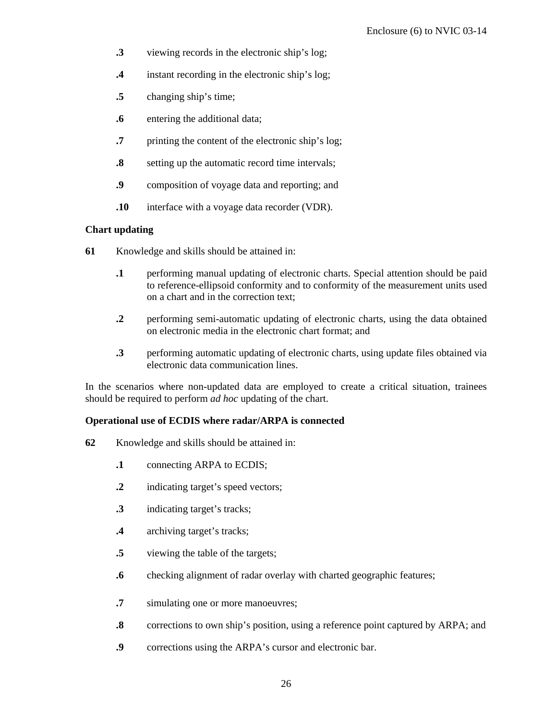- **.3** viewing records in the electronic ship's log;
- **.4** instant recording in the electronic ship's log;
- **.5** changing ship's time;
- **.6** entering the additional data;
- **.7** printing the content of the electronic ship's log;
- **.8** setting up the automatic record time intervals;
- **.9** composition of voyage data and reporting; and
- **.10** interface with a voyage data recorder (VDR).

### **Chart updating**

- **61** Knowledge and skills should be attained in:
	- **.1** performing manual updating of electronic charts. Special attention should be paid to reference-ellipsoid conformity and to conformity of the measurement units used on a chart and in the correction text;
	- **.2** performing semi-automatic updating of electronic charts, using the data obtained on electronic media in the electronic chart format; and
	- **.3** performing automatic updating of electronic charts, using update files obtained via electronic data communication lines.

In the scenarios where non-updated data are employed to create a critical situation, trainees should be required to perform *ad hoc* updating of the chart.

### **Operational use of ECDIS where radar/ARPA is connected**

- **62** Knowledge and skills should be attained in:
	- **.1** connecting ARPA to ECDIS;
	- **.2** indicating target's speed vectors;
	- **.3** indicating target's tracks;
	- **.4** archiving target's tracks;
	- **.5** viewing the table of the targets;
	- **.6** checking alignment of radar overlay with charted geographic features;
	- **.7** simulating one or more manoeuvres;
	- **.8** corrections to own ship's position, using a reference point captured by ARPA; and
	- **.9** corrections using the ARPA's cursor and electronic bar.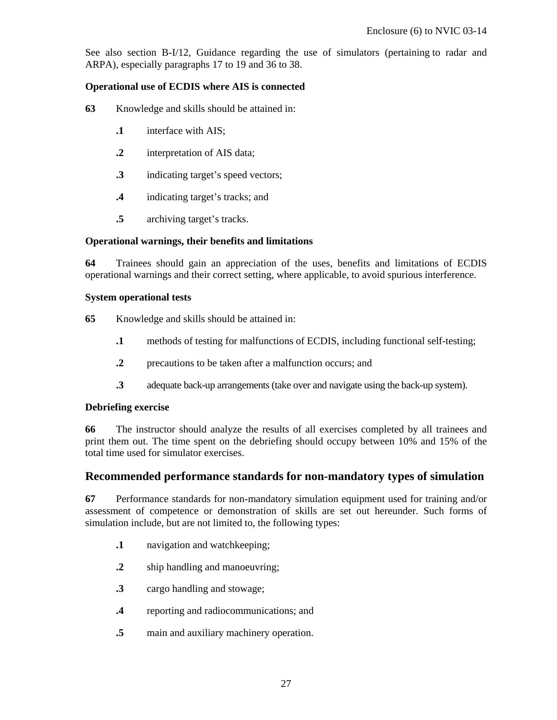See also section B-I/12, Guidance regarding the use of simulators (pertaining to radar and ARPA), especially paragraphs 17 to 19 and 36 to 38.

# **Operational use of ECDIS where AIS is connected**

- **63** Knowledge and skills should be attained in:
	- **.1** interface with AIS;
	- **.2** interpretation of AIS data;
	- **.3** indicating target's speed vectors;
	- **.4** indicating target's tracks; and
	- **.5** archiving target's tracks.

# **Operational warnings, their benefits and limitations**

**64** Trainees should gain an appreciation of the uses, benefits and limitations of ECDIS operational warnings and their correct setting, where applicable, to avoid spurious interference.

### **System operational tests**

**65** Knowledge and skills should be attained in:

- **.1** methods of testing for malfunctions of ECDIS, including functional self-testing;
- **2** precautions to be taken after a malfunction occurs; and
- **.3** adequate back-up arrangements (take over and navigate using the back-up system).

### **Debriefing exercise**

**66** The instructor should analyze the results of all exercises completed by all trainees and print them out. The time spent on the debriefing should occupy between 10% and 15% of the total time used for simulator exercises.

# **Recommended performance standards for non-mandatory types of simulation**

**67** Performance standards for non-mandatory simulation equipment used for training and/or assessment of competence or demonstration of skills are set out hereunder. Such forms of simulation include, but are not limited to, the following types:

- **.1** navigation and watchkeeping;
- **.2** ship handling and manoeuvring;
- **.3** cargo handling and stowage;
- **.4** reporting and radiocommunications; and
- **.5** main and auxiliary machinery operation.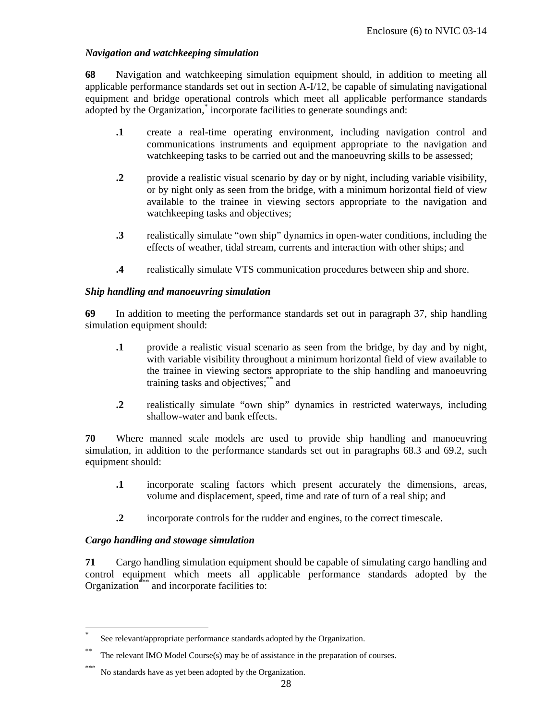# *Navigation and watchkeeping simulation*

**68** Navigation and watchkeeping simulation equipment should, in addition to meeting all applicable performance standards set out in section A-I/12, be capable of simulating navigational equipment and bridge operational controls which meet all applicable performance standards adopted by the Organization,<sup>\*</sup> incorporate facilities to generate soundings and:

- **.1** create a real-time operating environment, including navigation control and communications instruments and equipment appropriate to the navigation and watchkeeping tasks to be carried out and the manoeuvring skills to be assessed;
- **.2** provide a realistic visual scenario by day or by night, including variable visibility, or by night only as seen from the bridge, with a minimum horizontal field of view available to the trainee in viewing sectors appropriate to the navigation and watchkeeping tasks and objectives;
- **.3** realistically simulate "own ship" dynamics in open-water conditions, including the effects of weather, tidal stream, currents and interaction with other ships; and
- **.4** realistically simulate VTS communication procedures between ship and shore.

### *Ship handling and manoeuvring simulation*

**69** In addition to meeting the performance standards set out in paragraph 37, ship handling simulation equipment should:

- **.1** provide a realistic visual scenario as seen from the bridge, by day and by night, with variable visibility throughout a minimum horizontal field of view available to the trainee in viewing sectors appropriate to the ship handling and manoeuvring training tasks and objectives;\*\* and
- **.2** realistically simulate "own ship" dynamics in restricted waterways, including shallow-water and bank effects.

**70** Where manned scale models are used to provide ship handling and manoeuvring simulation, in addition to the performance standards set out in paragraphs 68.3 and 69.2, such equipment should:

- **.1** incorporate scaling factors which present accurately the dimensions, areas, volume and displacement, speed, time and rate of turn of a real ship; and
- **.2** incorporate controls for the rudder and engines, to the correct timescale.

# *Cargo handling and stowage simulation*

-

**71** Cargo handling simulation equipment should be capable of simulating cargo handling and control equipment which meets all applicable performance standards adopted by the Organization<sup>\*\*\*</sup> and incorporate facilities to:

<sup>\*</sup> See relevant/appropriate performance standards adopted by the Organization.

<sup>\*\*</sup> The relevant IMO Model Course(s) may be of assistance in the preparation of courses.

No standards have as yet been adopted by the Organization.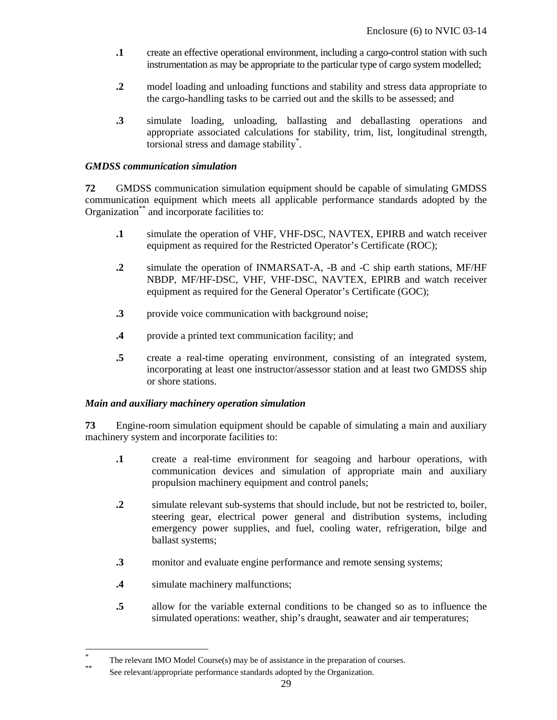- **.1** create an effective operational environment, including a cargo-control station with such instrumentation as may be appropriate to the particular type of cargo system modelled;
- **.2** model loading and unloading functions and stability and stress data appropriate to the cargo-handling tasks to be carried out and the skills to be assessed; and
- **.3** simulate loading, unloading, ballasting and deballasting operations and appropriate associated calculations for stability, trim, list, longitudinal strength, torsional stress and damage stability\* .

## *GMDSS communication simulation*

**72** GMDSS communication simulation equipment should be capable of simulating GMDSS communication equipment which meets all applicable performance standards adopted by the Organization<sup>\*\*</sup> and incorporate facilities to:

- **.1** simulate the operation of VHF, VHF-DSC, NAVTEX, EPIRB and watch receiver equipment as required for the Restricted Operator's Certificate (ROC);
- **.2** simulate the operation of INMARSAT-A, -B and -C ship earth stations, MF/HF NBDP, MF/HF-DSC, VHF, VHF-DSC, NAVTEX, EPIRB and watch receiver equipment as required for the General Operator's Certificate (GOC);
- **.3** provide voice communication with background noise;
- **.4** provide a printed text communication facility; and
- **.5** create a real-time operating environment, consisting of an integrated system, incorporating at least one instructor/assessor station and at least two GMDSS ship or shore stations.

# *Main and auxiliary machinery operation simulation*

**73** Engine-room simulation equipment should be capable of simulating a main and auxiliary machinery system and incorporate facilities to:

- **.1** create a real-time environment for seagoing and harbour operations, with communication devices and simulation of appropriate main and auxiliary propulsion machinery equipment and control panels;
- **.2** simulate relevant sub-systems that should include, but not be restricted to, boiler, steering gear, electrical power general and distribution systems, including emergency power supplies, and fuel, cooling water, refrigeration, bilge and ballast systems;
- **.3** monitor and evaluate engine performance and remote sensing systems;
- **.4** simulate machinery malfunctions;

-

**.5** allow for the variable external conditions to be changed so as to influence the simulated operations: weather, ship's draught, seawater and air temperatures;

<sup>\*</sup> The relevant IMO Model Course(s) may be of assistance in the preparation of courses.<br>See relevant/appropriate performance standards adopted by the Organization.